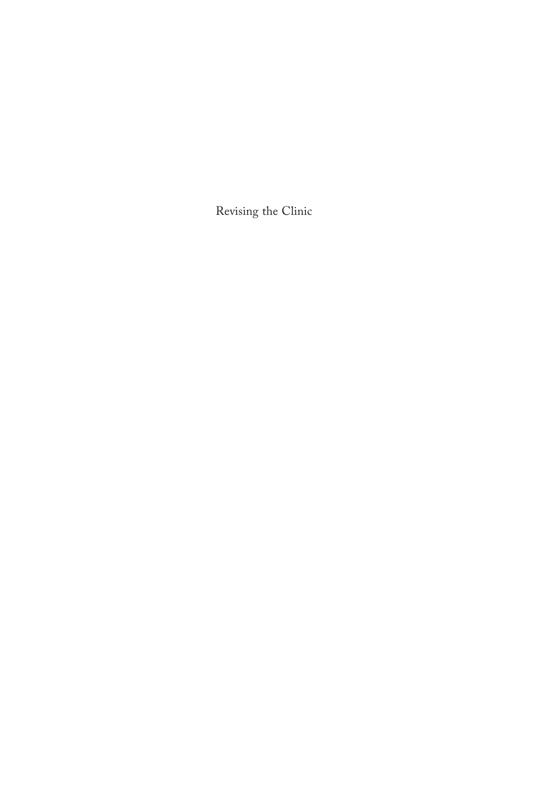Revising the Clinic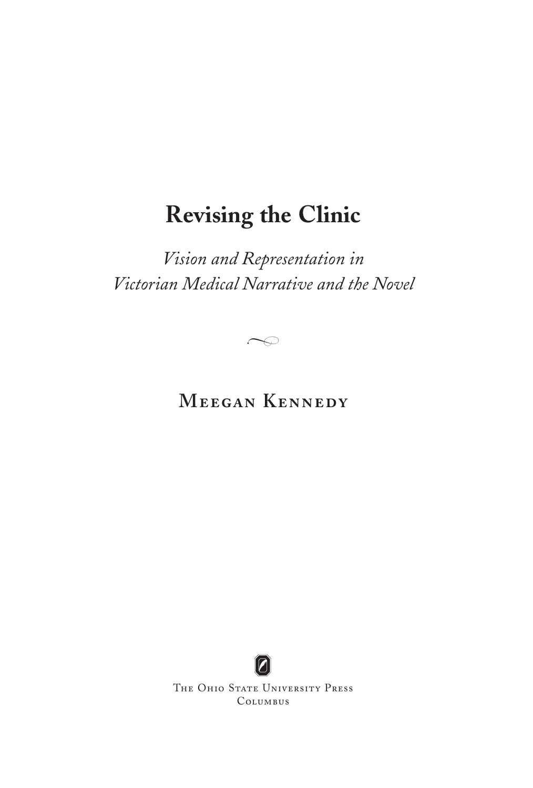# **Revising the Clinic**

*Vision and Representation in Victorian Medical Narrative and the Novel*

 $\curvearrowright$ 

**Meegan Kennedy**



THE OHIO STATE UNIVERSITY PRESS Columbus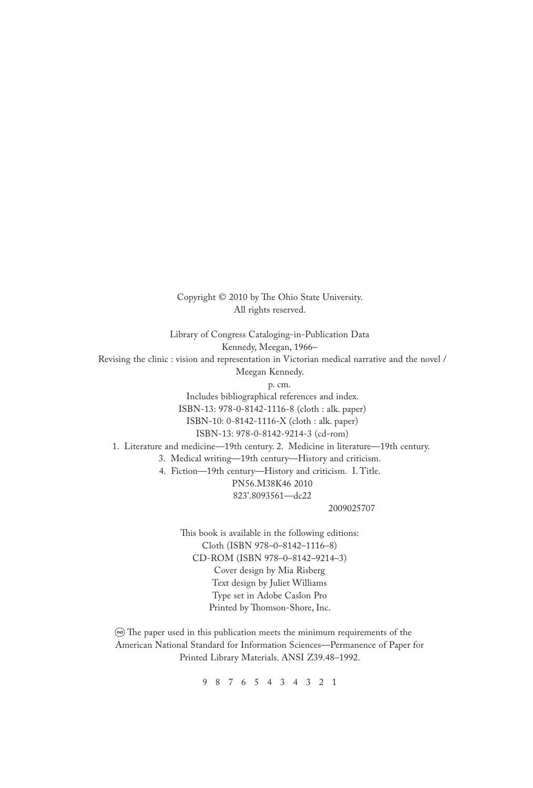Copyright © 2010 by The Ohio State University. All rights reserved.

Library of Congress Cataloging-in-Publication Data Kennedy, Meegan, 1966– Revising the clinic : vision and representation in Victorian medical narrative and the novel / Meegan Kennedy. p. cm. Includes bibliographical references and index. ISBN-13: 978-0-8142-1116-8 (cloth : alk. paper) ISBN-10: 0-8142-1116-X (cloth : alk. paper) ISBN-13: 978-0-8142-9214-3 (cd-rom) 1. Literature and medicine—19th century. 2. Medicine in literature—19th century. 3. Medical writing—19th century—History and criticism. 4. Fiction—19th century—History and criticism. I. Title. PN56.M38K46 2010 823'.8093561—dc22 2009025707

> This book is available in the following editions: Cloth (ISBN 978–0–8142–1116–8) CD-ROM (ISBN 978–0–8142–9214–3) Cover design by Mia Risberg Text design by Juliet Williams Type set in Adobe Caslon Pro Printed by Thomson-Shore, Inc.

 $\circledcirc$  The paper used in this publication meets the minimum requirements of the American National Standard for Information Sciences—Permanence of Paper for Printed Library Materials. ANSI Z39.48–1992.

9 8 7 6 5 4 3 4 3 2 1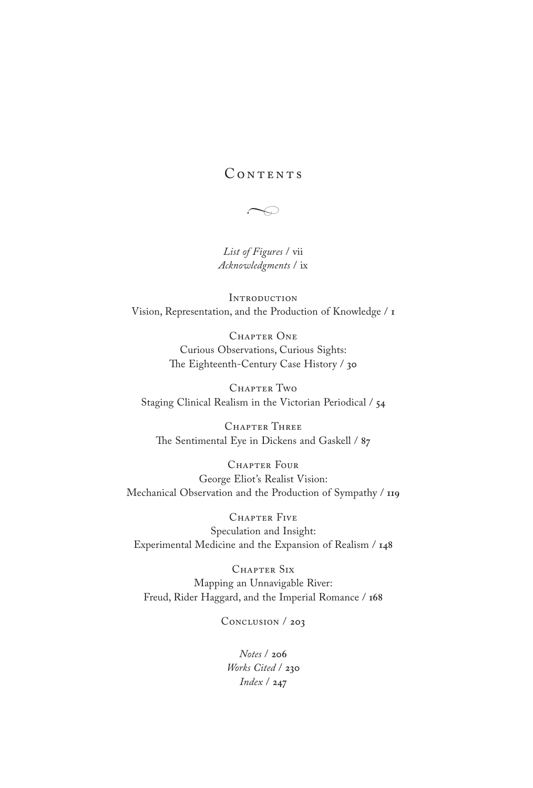# CONTENTS

 $\curvearrowright$ 

*[List of Figures](#page-4-0)* / vii *[Acknowledgments](#page-5-0)* / ix

**INTRODUCTION** [Vision, Representation, and the Production of Knowledge /](#page-7-0) **1**

> CHAPTER ONE Curious Observations, Curious Sights: The Eighteenth-Century Case History / **30**

CHAPTER TWO Staging Clinical Realism in the Victorian Periodical / **54**

Chapter Three The Sentimental Eye in Dickens and Gaskell / **87**

CHAPTER FOUR George Eliot's Realist Vision: Mechanical Observation and the Production of Sympathy / **119**

Chapter Five Speculation and Insight: Experimental Medicine and the Expansion of Realism / **148**

Chapter Six Mapping an Unnavigable River: Freud, Rider Haggard, and the Imperial Romance / **168**

[Conclusion /](#page-36-0) **203**

*[Notes](#page-39-0)* / **206** *[Works Cited](#page-63-0)* / **230** *[Index](#page-80-0)* / **247**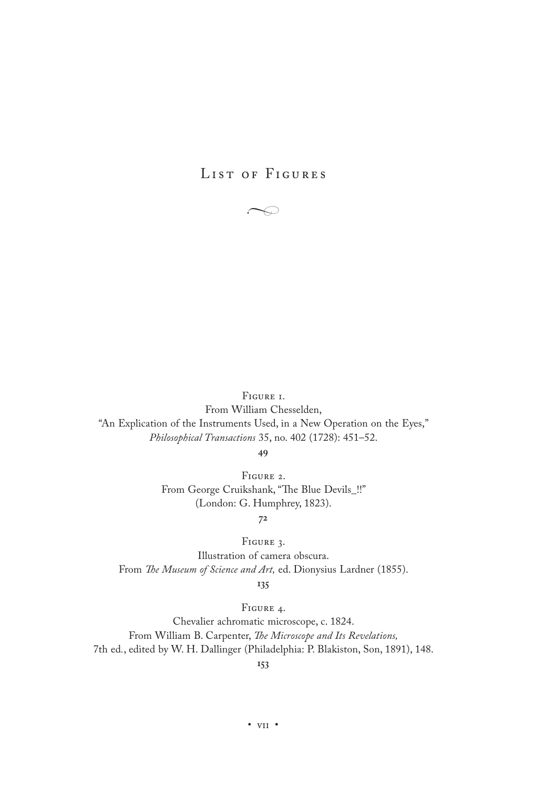# <span id="page-4-0"></span>LIST OF FIGURES

 $\subset$ 

Figure 1.

From William Chesselden, "An Explication of the Instruments Used, in a New Operation on the Eyes," *Philosophical Transactions* 35, no. 402 (1728): 451–52.

**49**

Figure 2. From George Cruikshank, "The Blue Devils\_!!" (London: G. Humphrey, 1823).

**72**

Figure 3.

Illustration of camera obscura. From *The Museum of Science and Art,* ed. Dionysius Lardner (1855).

**135**

Figure 4.

Chevalier achromatic microscope, c. 1824. From William B. Carpenter, *The Microscope and Its Revelations,*  7th ed*.*, edited by W. H. Dallinger (Philadelphia: P. Blakiston, Son, 1891), 148.

**153**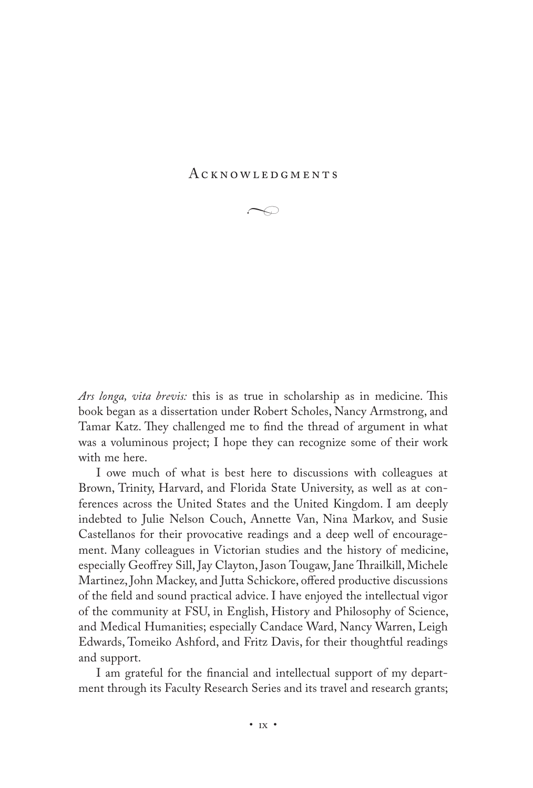#### <span id="page-5-0"></span>A c k n o w l e d g m e n t s



*Ars longa, vita brevis:* this is as true in scholarship as in medicine. This book began as a dissertation under Robert Scholes, Nancy Armstrong, and Tamar Katz. They challenged me to find the thread of argument in what was a voluminous project; I hope they can recognize some of their work with me here.

I owe much of what is best here to discussions with colleagues at Brown, Trinity, Harvard, and Florida State University, as well as at conferences across the United States and the United Kingdom. I am deeply indebted to Julie Nelson Couch, Annette Van, Nina Markov, and Susie Castellanos for their provocative readings and a deep well of encouragement. Many colleagues in Victorian studies and the history of medicine, especially Geoffrey Sill, Jay Clayton, Jason Tougaw, Jane Thrailkill, Michele Martinez, John Mackey, and Jutta Schickore, offered productive discussions of the field and sound practical advice. I have enjoyed the intellectual vigor of the community at FSU, in English, History and Philosophy of Science, and Medical Humanities; especially Candace Ward, Nancy Warren, Leigh Edwards, Tomeiko Ashford, and Fritz Davis, for their thoughtful readings and support.

I am grateful for the financial and intellectual support of my department through its Faculty Research Series and its travel and research grants;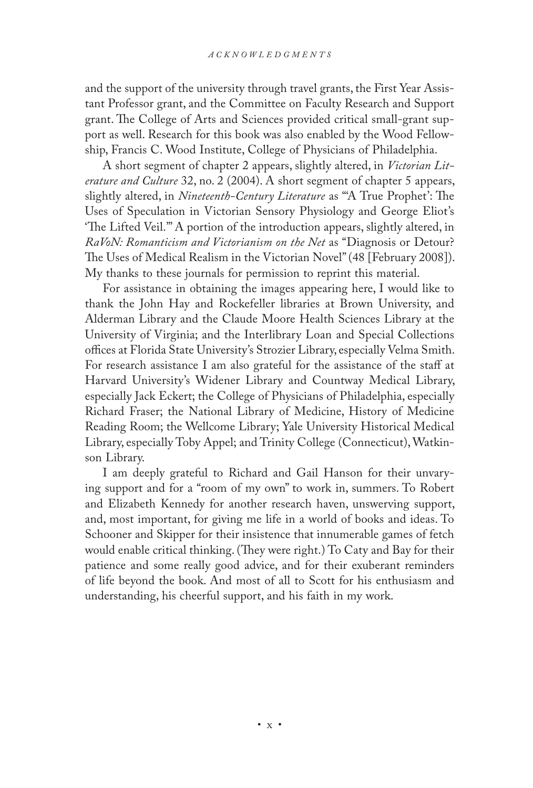and the support of the university through travel grants, the First Year Assistant Professor grant, and the Committee on Faculty Research and Support grant. The College of Arts and Sciences provided critical small-grant support as well. Research for this book was also enabled by the Wood Fellowship, Francis C. Wood Institute, College of Physicians of Philadelphia.

A short segment of chapter 2 appears, slightly altered, in *Victorian Literature and Culture* 32, no. 2 (2004). A short segment of chapter 5 appears, slightly altered, in *Nineteenth-Century Literature* as "'A True Prophet': The Uses of Speculation in Victorian Sensory Physiology and George Eliot's 'The Lifted Veil.'" A portion of the introduction appears, slightly altered, in *RaVoN: Romanticism and Victorianism on the Net* as "Diagnosis or Detour? The Uses of Medical Realism in the Victorian Novel" (48 [February 2008]). My thanks to these journals for permission to reprint this material.

For assistance in obtaining the images appearing here, I would like to thank the John Hay and Rockefeller libraries at Brown University, and Alderman Library and the Claude Moore Health Sciences Library at the University of Virginia; and the Interlibrary Loan and Special Collections offices at Florida State University's Strozier Library, especially Velma Smith. For research assistance I am also grateful for the assistance of the staff at Harvard University's Widener Library and Countway Medical Library, especially Jack Eckert; the College of Physicians of Philadelphia, especially Richard Fraser; the National Library of Medicine, History of Medicine Reading Room; the Wellcome Library; Yale University Historical Medical Library, especially Toby Appel; and Trinity College (Connecticut), Watkinson Library.

I am deeply grateful to Richard and Gail Hanson for their unvarying support and for a "room of my own" to work in, summers. To Robert and Elizabeth Kennedy for another research haven, unswerving support, and, most important, for giving me life in a world of books and ideas. To Schooner and Skipper for their insistence that innumerable games of fetch would enable critical thinking. (They were right.) To Caty and Bay for their patience and some really good advice, and for their exuberant reminders of life beyond the book. And most of all to Scott for his enthusiasm and understanding, his cheerful support, and his faith in my work.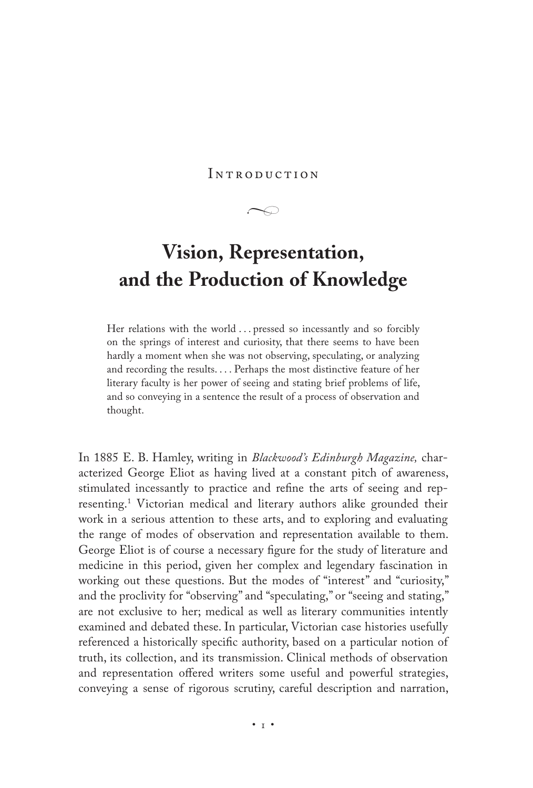<span id="page-7-0"></span>INTRODUCTION

 $\curvearrowright$ 

# **Vision, Representation, and the Production of Knowledge**

Her relations with the world ... pressed so incessantly and so forcibly on the springs of interest and curiosity, that there seems to have been hardly a moment when she was not observing, speculating, or analyzing and recording the results. . . . Perhaps the most distinctive feature of her literary faculty is her power of seeing and stating brief problems of life, and so conveying in a sentence the result of a process of observation and thought.

In 1885 E. B. Hamley, writing in *Blackwood's Edinburgh Magazine,* characterized George Eliot as having lived at a constant pitch of awareness, stimulated incessantly to practice and refine the arts of seeing and representing.1 Victorian medical and literary authors alike grounded their work in a serious attention to these arts, and to exploring and evaluating the range of modes of observation and representation available to them. George Eliot is of course a necessary figure for the study of literature and medicine in this period, given her complex and legendary fascination in working out these questions. But the modes of "interest" and "curiosity," and the proclivity for "observing" and "speculating," or "seeing and stating," are not exclusive to her; medical as well as literary communities intently examined and debated these. In particular, Victorian case histories usefully referenced a historically specific authority, based on a particular notion of truth, its collection, and its transmission. Clinical methods of observation and representation offered writers some useful and powerful strategies, conveying a sense of rigorous scrutiny, careful description and narration,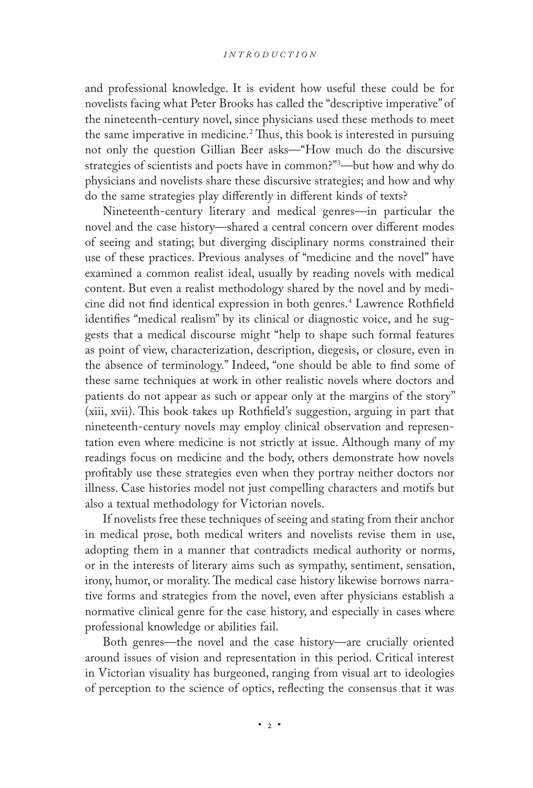and professional knowledge. It is evident how useful these could be for novelists facing what Peter Brooks has called the "descriptive imperative" of the nineteenth-century novel, since physicians used these methods to meet the same imperative in medicine.<sup>2</sup> Thus, this book is interested in pursuing not only the question Gillian Beer asks—"How much do the discursive strategies of scientists and poets have in common?"3 —but how and why do physicians and novelists share these discursive strategies; and how and why do the same strategies play differently in different kinds of texts?

Nineteenth-century literary and medical genres—in particular the novel and the case history—shared a central concern over different modes of seeing and stating; but diverging disciplinary norms constrained their use of these practices. Previous analyses of "medicine and the novel" have examined a common realist ideal, usually by reading novels with medical content. But even a realist methodology shared by the novel and by medicine did not find identical expression in both genres.4 Lawrence Rothfield identifies "medical realism" by its clinical or diagnostic voice, and he suggests that a medical discourse might "help to shape such formal features as point of view, characterization, description, diegesis, or closure, even in the absence of terminology." Indeed, "one should be able to find some of these same techniques at work in other realistic novels where doctors and patients do not appear as such or appear only at the margins of the story" (xiii, xvii). This book takes up Rothfield's suggestion, arguing in part that nineteenth-century novels may employ clinical observation and representation even where medicine is not strictly at issue. Although many of my readings focus on medicine and the body, others demonstrate how novels profitably use these strategies even when they portray neither doctors nor illness. Case histories model not just compelling characters and motifs but also a textual methodology for Victorian novels.

If novelists free these techniques of seeing and stating from their anchor in medical prose, both medical writers and novelists revise them in use, adopting them in a manner that contradicts medical authority or norms, or in the interests of literary aims such as sympathy, sentiment, sensation, irony, humor, or morality. The medical case history likewise borrows narrative forms and strategies from the novel, even after physicians establish a normative clinical genre for the case history, and especially in cases where professional knowledge or abilities fail.

Both genres—the novel and the case history—are crucially oriented around issues of vision and representation in this period. Critical interest in Victorian visuality has burgeoned, ranging from visual art to ideologies of perception to the science of optics, reflecting the consensus that it was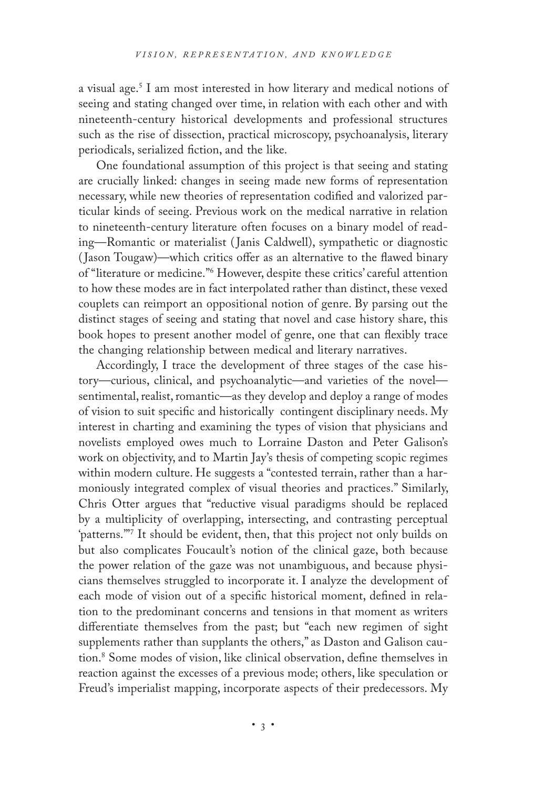a visual age.5 I am most interested in how literary and medical notions of seeing and stating changed over time, in relation with each other and with nineteenth-century historical developments and professional structures such as the rise of dissection, practical microscopy, psychoanalysis, literary periodicals, serialized fiction, and the like.

One foundational assumption of this project is that seeing and stating are crucially linked: changes in seeing made new forms of representation necessary, while new theories of representation codified and valorized particular kinds of seeing. Previous work on the medical narrative in relation to nineteenth-century literature often focuses on a binary model of reading—Romantic or materialist ( Janis Caldwell), sympathetic or diagnostic ( Jason Tougaw)—which critics offer as an alternative to the flawed binary of "literature or medicine."6 However, despite these critics' careful attention to how these modes are in fact interpolated rather than distinct, these vexed couplets can reimport an oppositional notion of genre. By parsing out the distinct stages of seeing and stating that novel and case history share, this book hopes to present another model of genre, one that can flexibly trace the changing relationship between medical and literary narratives.

Accordingly, I trace the development of three stages of the case history—curious, clinical, and psychoanalytic—and varieties of the novel sentimental, realist, romantic—as they develop and deploy a range of modes of vision to suit specific and historically contingent disciplinary needs. My interest in charting and examining the types of vision that physicians and novelists employed owes much to Lorraine Daston and Peter Galison's work on objectivity, and to Martin Jay's thesis of competing scopic regimes within modern culture. He suggests a "contested terrain, rather than a harmoniously integrated complex of visual theories and practices." Similarly, Chris Otter argues that "reductive visual paradigms should be replaced by a multiplicity of overlapping, intersecting, and contrasting perceptual 'patterns.'"7 It should be evident, then, that this project not only builds on but also complicates Foucault's notion of the clinical gaze, both because the power relation of the gaze was not unambiguous, and because physicians themselves struggled to incorporate it. I analyze the development of each mode of vision out of a specific historical moment, defined in relation to the predominant concerns and tensions in that moment as writers differentiate themselves from the past; but "each new regimen of sight supplements rather than supplants the others," as Daston and Galison caution.8 Some modes of vision, like clinical observation, define themselves in reaction against the excesses of a previous mode; others, like speculation or Freud's imperialist mapping, incorporate aspects of their predecessors. My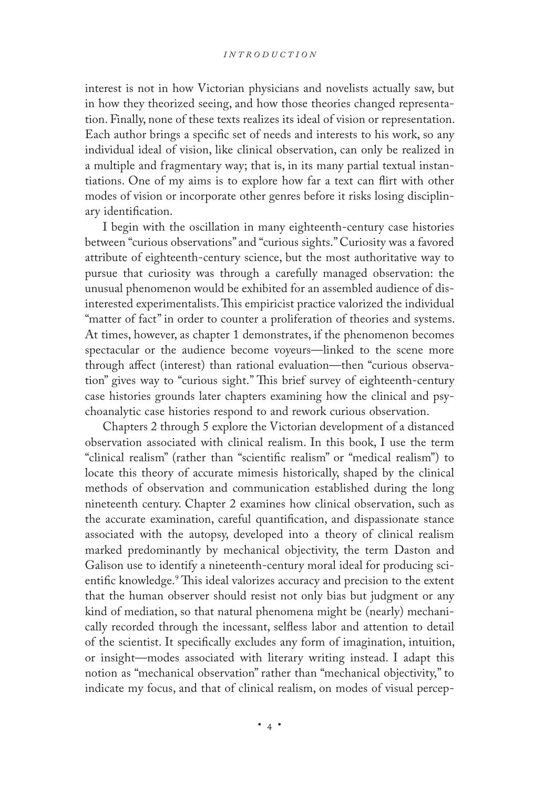#### *I n t r o d u c t i o n*

interest is not in how Victorian physicians and novelists actually saw, but in how they theorized seeing, and how those theories changed representation. Finally, none of these texts realizes its ideal of vision or representation. Each author brings a specific set of needs and interests to his work, so any individual ideal of vision, like clinical observation, can only be realized in a multiple and fragmentary way; that is, in its many partial textual instantiations. One of my aims is to explore how far a text can flirt with other modes of vision or incorporate other genres before it risks losing disciplinary identification.

I begin with the oscillation in many eighteenth-century case histories between "curious observations" and "curious sights." Curiosity was a favored attribute of eighteenth-century science, but the most authoritative way to pursue that curiosity was through a carefully managed observation: the unusual phenomenon would be exhibited for an assembled audience of disinterested experimentalists. This empiricist practice valorized the individual "matter of fact" in order to counter a proliferation of theories and systems. At times, however, as chapter 1 demonstrates, if the phenomenon becomes spectacular or the audience become voyeurs—linked to the scene more through affect (interest) than rational evaluation—then "curious observation" gives way to "curious sight." This brief survey of eighteenth-century case histories grounds later chapters examining how the clinical and psychoanalytic case histories respond to and rework curious observation.

Chapters 2 through 5 explore the Victorian development of a distanced observation associated with clinical realism. In this book, I use the term "clinical realism" (rather than "scientific realism" or "medical realism") to locate this theory of accurate mimesis historically, shaped by the clinical methods of observation and communication established during the long nineteenth century. Chapter 2 examines how clinical observation, such as the accurate examination, careful quantification, and dispassionate stance associated with the autopsy, developed into a theory of clinical realism marked predominantly by mechanical objectivity, the term Daston and Galison use to identify a nineteenth-century moral ideal for producing scientific knowledge.9 This ideal valorizes accuracy and precision to the extent that the human observer should resist not only bias but judgment or any kind of mediation, so that natural phenomena might be (nearly) mechanically recorded through the incessant, selfless labor and attention to detail of the scientist. It specifically excludes any form of imagination, intuition, or insight—modes associated with literary writing instead. I adapt this notion as "mechanical observation" rather than "mechanical objectivity," to indicate my focus, and that of clinical realism, on modes of visual percep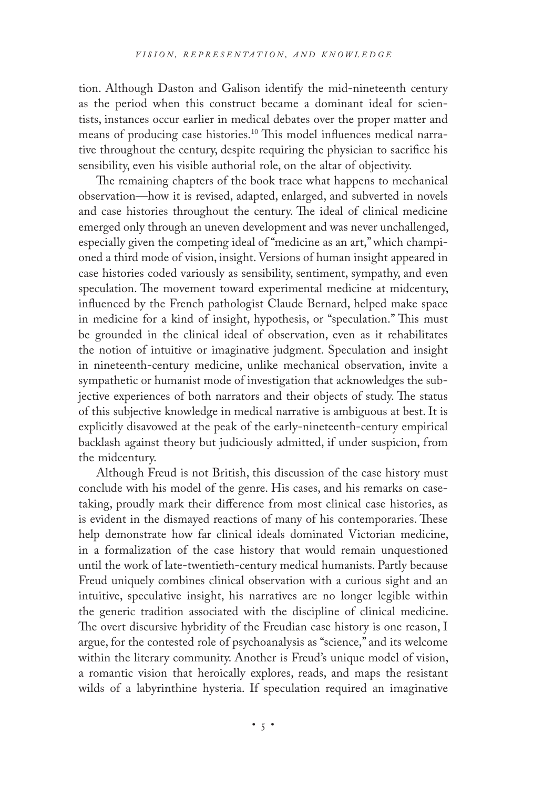tion. Although Daston and Galison identify the mid-nineteenth century as the period when this construct became a dominant ideal for scientists, instances occur earlier in medical debates over the proper matter and means of producing case histories.10 This model influences medical narrative throughout the century, despite requiring the physician to sacrifice his sensibility, even his visible authorial role, on the altar of objectivity.

The remaining chapters of the book trace what happens to mechanical observation—how it is revised, adapted, enlarged, and subverted in novels and case histories throughout the century. The ideal of clinical medicine emerged only through an uneven development and was never unchallenged, especially given the competing ideal of "medicine as an art," which championed a third mode of vision, insight. Versions of human insight appeared in case histories coded variously as sensibility, sentiment, sympathy, and even speculation. The movement toward experimental medicine at midcentury, influenced by the French pathologist Claude Bernard, helped make space in medicine for a kind of insight, hypothesis, or "speculation." This must be grounded in the clinical ideal of observation, even as it rehabilitates the notion of intuitive or imaginative judgment. Speculation and insight in nineteenth-century medicine, unlike mechanical observation, invite a sympathetic or humanist mode of investigation that acknowledges the subjective experiences of both narrators and their objects of study. The status of this subjective knowledge in medical narrative is ambiguous at best. It is explicitly disavowed at the peak of the early-nineteenth-century empirical backlash against theory but judiciously admitted, if under suspicion, from the midcentury.

Although Freud is not British, this discussion of the case history must conclude with his model of the genre. His cases, and his remarks on casetaking, proudly mark their difference from most clinical case histories, as is evident in the dismayed reactions of many of his contemporaries. These help demonstrate how far clinical ideals dominated Victorian medicine, in a formalization of the case history that would remain unquestioned until the work of late-twentieth-century medical humanists. Partly because Freud uniquely combines clinical observation with a curious sight and an intuitive, speculative insight, his narratives are no longer legible within the generic tradition associated with the discipline of clinical medicine. The overt discursive hybridity of the Freudian case history is one reason, I argue, for the contested role of psychoanalysis as "science," and its welcome within the literary community. Another is Freud's unique model of vision, a romantic vision that heroically explores, reads, and maps the resistant wilds of a labyrinthine hysteria. If speculation required an imaginative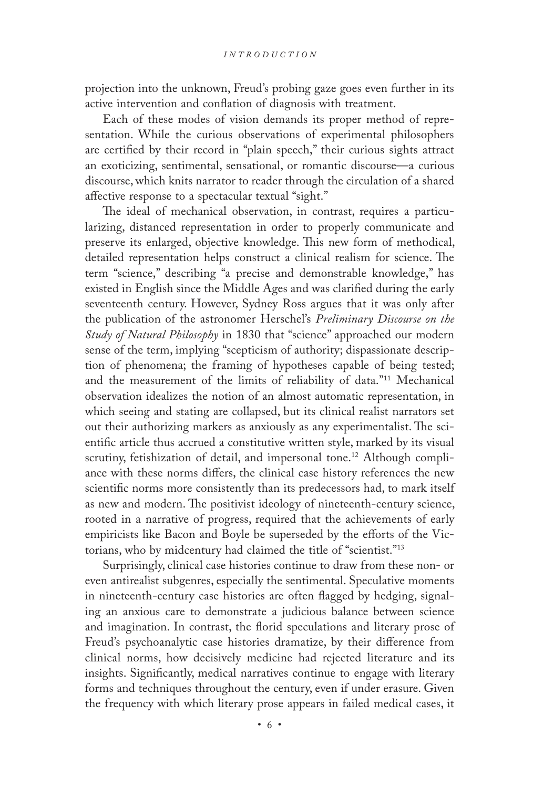projection into the unknown, Freud's probing gaze goes even further in its active intervention and conflation of diagnosis with treatment.

Each of these modes of vision demands its proper method of representation. While the curious observations of experimental philosophers are certified by their record in "plain speech," their curious sights attract an exoticizing, sentimental, sensational, or romantic discourse—a curious discourse, which knits narrator to reader through the circulation of a shared affective response to a spectacular textual "sight."

The ideal of mechanical observation, in contrast, requires a particularizing, distanced representation in order to properly communicate and preserve its enlarged, objective knowledge. This new form of methodical, detailed representation helps construct a clinical realism for science. The term "science," describing "a precise and demonstrable knowledge," has existed in English since the Middle Ages and was clarified during the early seventeenth century. However, Sydney Ross argues that it was only after the publication of the astronomer Herschel's *Preliminary Discourse on the Study of Natural Philosophy* in 1830 that "science" approached our modern sense of the term, implying "scepticism of authority; dispassionate description of phenomena; the framing of hypotheses capable of being tested; and the measurement of the limits of reliability of data."11 Mechanical observation idealizes the notion of an almost automatic representation, in which seeing and stating are collapsed, but its clinical realist narrators set out their authorizing markers as anxiously as any experimentalist. The scientific article thus accrued a constitutive written style, marked by its visual scrutiny, fetishization of detail, and impersonal tone.<sup>12</sup> Although compliance with these norms differs, the clinical case history references the new scientific norms more consistently than its predecessors had, to mark itself as new and modern. The positivist ideology of nineteenth-century science, rooted in a narrative of progress, required that the achievements of early empiricists like Bacon and Boyle be superseded by the efforts of the Victorians, who by midcentury had claimed the title of "scientist."13

Surprisingly, clinical case histories continue to draw from these non- or even antirealist subgenres, especially the sentimental. Speculative moments in nineteenth-century case histories are often flagged by hedging, signaling an anxious care to demonstrate a judicious balance between science and imagination. In contrast, the florid speculations and literary prose of Freud's psychoanalytic case histories dramatize, by their difference from clinical norms, how decisively medicine had rejected literature and its insights. Significantly, medical narratives continue to engage with literary forms and techniques throughout the century, even if under erasure. Given the frequency with which literary prose appears in failed medical cases, it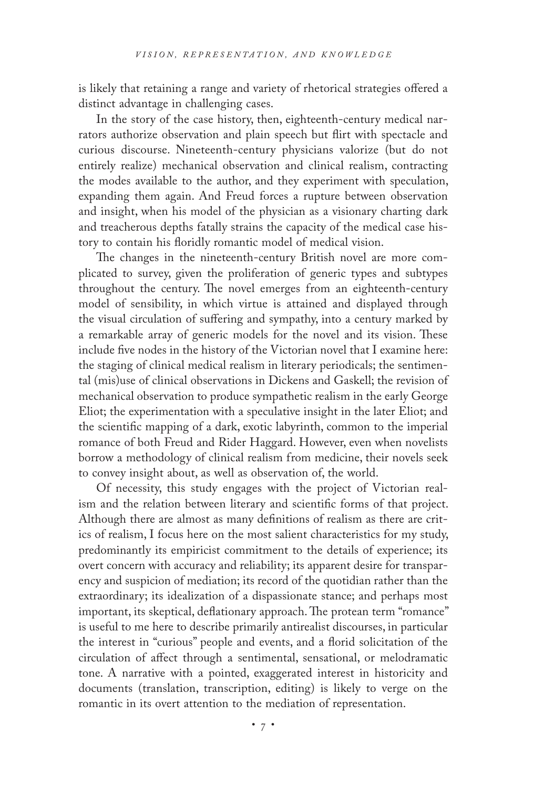is likely that retaining a range and variety of rhetorical strategies offered a distinct advantage in challenging cases.

In the story of the case history, then, eighteenth-century medical narrators authorize observation and plain speech but flirt with spectacle and curious discourse. Nineteenth-century physicians valorize (but do not entirely realize) mechanical observation and clinical realism, contracting the modes available to the author, and they experiment with speculation, expanding them again. And Freud forces a rupture between observation and insight, when his model of the physician as a visionary charting dark and treacherous depths fatally strains the capacity of the medical case history to contain his floridly romantic model of medical vision.

The changes in the nineteenth-century British novel are more complicated to survey, given the proliferation of generic types and subtypes throughout the century. The novel emerges from an eighteenth-century model of sensibility, in which virtue is attained and displayed through the visual circulation of suffering and sympathy, into a century marked by a remarkable array of generic models for the novel and its vision. These include five nodes in the history of the Victorian novel that I examine here: the staging of clinical medical realism in literary periodicals; the sentimental (mis)use of clinical observations in Dickens and Gaskell; the revision of mechanical observation to produce sympathetic realism in the early George Eliot; the experimentation with a speculative insight in the later Eliot; and the scientific mapping of a dark, exotic labyrinth, common to the imperial romance of both Freud and Rider Haggard. However, even when novelists borrow a methodology of clinical realism from medicine, their novels seek to convey insight about, as well as observation of, the world.

Of necessity, this study engages with the project of Victorian realism and the relation between literary and scientific forms of that project. Although there are almost as many definitions of realism as there are critics of realism, I focus here on the most salient characteristics for my study, predominantly its empiricist commitment to the details of experience; its overt concern with accuracy and reliability; its apparent desire for transparency and suspicion of mediation; its record of the quotidian rather than the extraordinary; its idealization of a dispassionate stance; and perhaps most important, its skeptical, deflationary approach. The protean term "romance" is useful to me here to describe primarily antirealist discourses, in particular the interest in "curious" people and events, and a florid solicitation of the circulation of affect through a sentimental, sensational, or melodramatic tone. A narrative with a pointed, exaggerated interest in historicity and documents (translation, transcription, editing) is likely to verge on the romantic in its overt attention to the mediation of representation.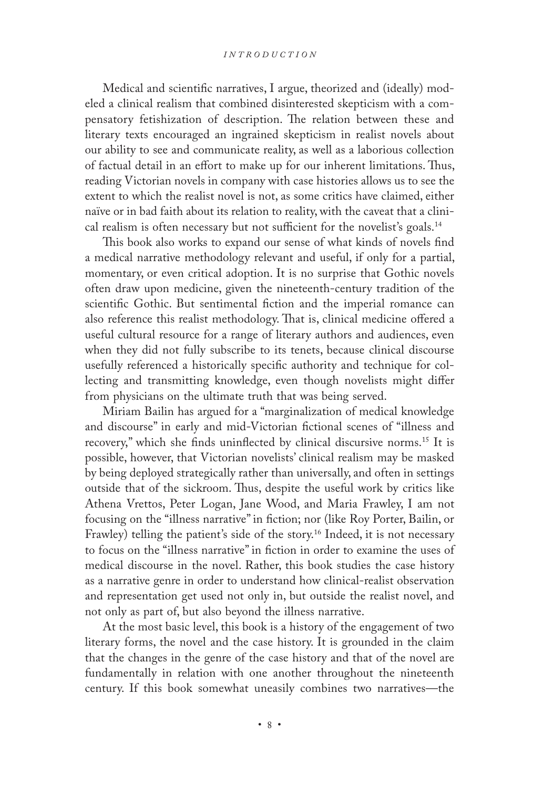Medical and scientific narratives, I argue, theorized and (ideally) modeled a clinical realism that combined disinterested skepticism with a compensatory fetishization of description. The relation between these and literary texts encouraged an ingrained skepticism in realist novels about our ability to see and communicate reality, as well as a laborious collection of factual detail in an effort to make up for our inherent limitations. Thus, reading Victorian novels in company with case histories allows us to see the extent to which the realist novel is not, as some critics have claimed, either naïve or in bad faith about its relation to reality, with the caveat that a clinical realism is often necessary but not sufficient for the novelist's goals.14

This book also works to expand our sense of what kinds of novels find a medical narrative methodology relevant and useful, if only for a partial, momentary, or even critical adoption. It is no surprise that Gothic novels often draw upon medicine, given the nineteenth-century tradition of the scientific Gothic. But sentimental fiction and the imperial romance can also reference this realist methodology. That is, clinical medicine offered a useful cultural resource for a range of literary authors and audiences, even when they did not fully subscribe to its tenets, because clinical discourse usefully referenced a historically specific authority and technique for collecting and transmitting knowledge, even though novelists might differ from physicians on the ultimate truth that was being served.

Miriam Bailin has argued for a "marginalization of medical knowledge and discourse" in early and mid-Victorian fictional scenes of "illness and recovery," which she finds uninflected by clinical discursive norms.15 It is possible, however, that Victorian novelists' clinical realism may be masked by being deployed strategically rather than universally, and often in settings outside that of the sickroom. Thus, despite the useful work by critics like Athena Vrettos, Peter Logan, Jane Wood, and Maria Frawley, I am not focusing on the "illness narrative" in fiction; nor (like Roy Porter, Bailin, or Frawley) telling the patient's side of the story.<sup>16</sup> Indeed, it is not necessary to focus on the "illness narrative" in fiction in order to examine the uses of medical discourse in the novel. Rather, this book studies the case history as a narrative genre in order to understand how clinical-realist observation and representation get used not only in, but outside the realist novel, and not only as part of, but also beyond the illness narrative.

At the most basic level, this book is a history of the engagement of two literary forms, the novel and the case history. It is grounded in the claim that the changes in the genre of the case history and that of the novel are fundamentally in relation with one another throughout the nineteenth century. If this book somewhat uneasily combines two narratives—the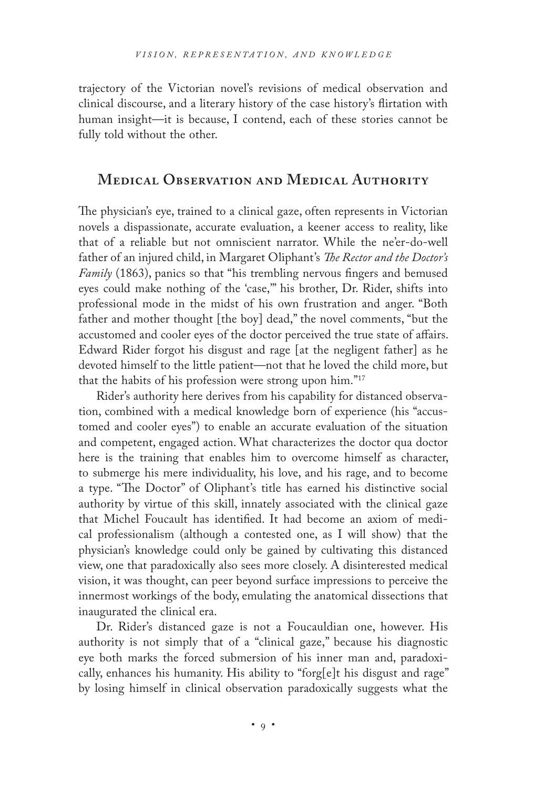trajectory of the Victorian novel's revisions of medical observation and clinical discourse, and a literary history of the case history's flirtation with human insight—it is because, I contend, each of these stories cannot be fully told without the other.

#### **Medical Observation and Medical Authority**

The physician's eye, trained to a clinical gaze, often represents in Victorian novels a dispassionate, accurate evaluation, a keener access to reality, like that of a reliable but not omniscient narrator. While the ne'er-do-well father of an injured child, in Margaret Oliphant's *The Rector and the Doctor's Family* (1863), panics so that "his trembling nervous fingers and bemused eyes could make nothing of the 'case,'" his brother, Dr. Rider, shifts into professional mode in the midst of his own frustration and anger. "Both father and mother thought [the boy] dead," the novel comments, "but the accustomed and cooler eyes of the doctor perceived the true state of affairs. Edward Rider forgot his disgust and rage [at the negligent father] as he devoted himself to the little patient—not that he loved the child more, but that the habits of his profession were strong upon him."17

Rider's authority here derives from his capability for distanced observation, combined with a medical knowledge born of experience (his "accustomed and cooler eyes") to enable an accurate evaluation of the situation and competent, engaged action. What characterizes the doctor qua doctor here is the training that enables him to overcome himself as character, to submerge his mere individuality, his love, and his rage, and to become a type. "The Doctor" of Oliphant's title has earned his distinctive social authority by virtue of this skill, innately associated with the clinical gaze that Michel Foucault has identified. It had become an axiom of medical professionalism (although a contested one, as I will show) that the physician's knowledge could only be gained by cultivating this distanced view, one that paradoxically also sees more closely. A disinterested medical vision, it was thought, can peer beyond surface impressions to perceive the innermost workings of the body, emulating the anatomical dissections that inaugurated the clinical era.

Dr. Rider's distanced gaze is not a Foucauldian one, however. His authority is not simply that of a "clinical gaze," because his diagnostic eye both marks the forced submersion of his inner man and, paradoxically, enhances his humanity. His ability to "forg[e]t his disgust and rage" by losing himself in clinical observation paradoxically suggests what the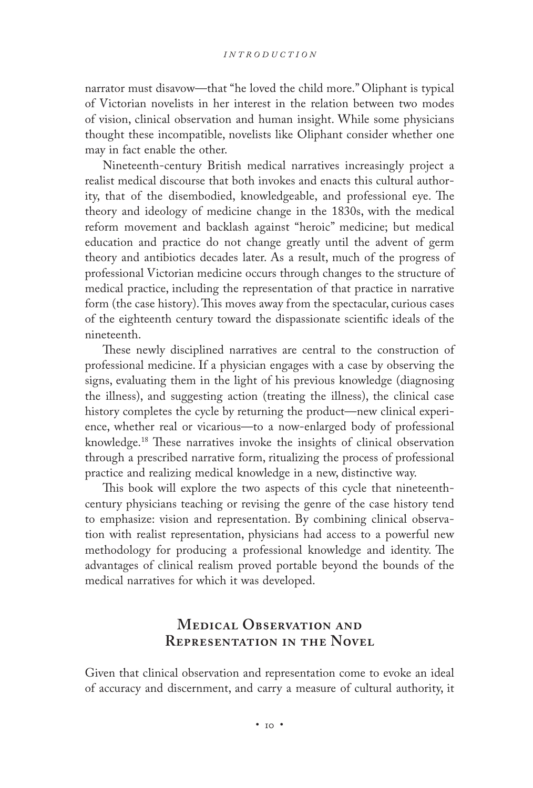narrator must disavow—that "he loved the child more." Oliphant is typical of Victorian novelists in her interest in the relation between two modes of vision, clinical observation and human insight. While some physicians thought these incompatible, novelists like Oliphant consider whether one may in fact enable the other.

Nineteenth-century British medical narratives increasingly project a realist medical discourse that both invokes and enacts this cultural authority, that of the disembodied, knowledgeable, and professional eye. The theory and ideology of medicine change in the 1830s, with the medical reform movement and backlash against "heroic" medicine; but medical education and practice do not change greatly until the advent of germ theory and antibiotics decades later. As a result, much of the progress of professional Victorian medicine occurs through changes to the structure of medical practice, including the representation of that practice in narrative form (the case history). This moves away from the spectacular, curious cases of the eighteenth century toward the dispassionate scientific ideals of the nineteenth.

These newly disciplined narratives are central to the construction of professional medicine. If a physician engages with a case by observing the signs, evaluating them in the light of his previous knowledge (diagnosing the illness), and suggesting action (treating the illness), the clinical case history completes the cycle by returning the product—new clinical experience, whether real or vicarious—to a now-enlarged body of professional knowledge.18 These narratives invoke the insights of clinical observation through a prescribed narrative form, ritualizing the process of professional practice and realizing medical knowledge in a new, distinctive way.

This book will explore the two aspects of this cycle that nineteenthcentury physicians teaching or revising the genre of the case history tend to emphasize: vision and representation. By combining clinical observation with realist representation, physicians had access to a powerful new methodology for producing a professional knowledge and identity. The advantages of clinical realism proved portable beyond the bounds of the medical narratives for which it was developed.

## **Medical Observation and Representation in the Novel**

Given that clinical observation and representation come to evoke an ideal of accuracy and discernment, and carry a measure of cultural authority, it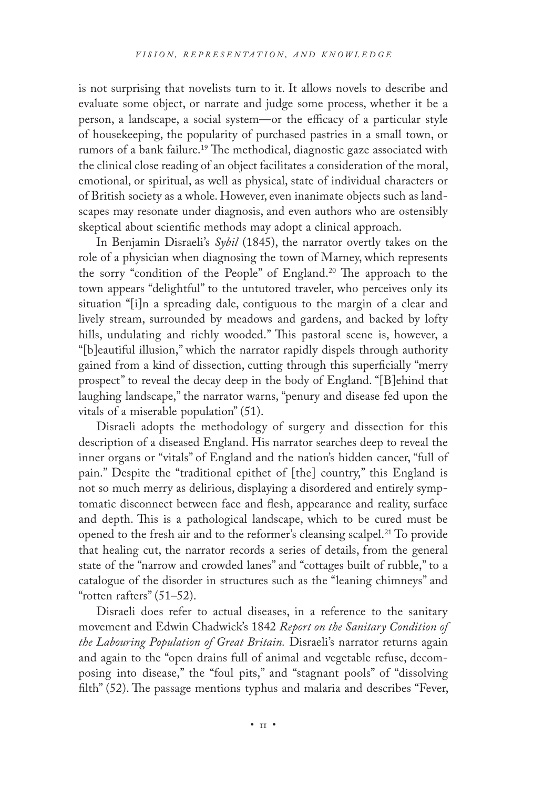is not surprising that novelists turn to it. It allows novels to describe and evaluate some object, or narrate and judge some process, whether it be a person, a landscape, a social system—or the efficacy of a particular style of housekeeping, the popularity of purchased pastries in a small town, or rumors of a bank failure.<sup>19</sup> The methodical, diagnostic gaze associated with the clinical close reading of an object facilitates a consideration of the moral, emotional, or spiritual, as well as physical, state of individual characters or of British society as a whole. However, even inanimate objects such as landscapes may resonate under diagnosis, and even authors who are ostensibly skeptical about scientific methods may adopt a clinical approach.

In Benjamin Disraeli's *Sybil* (1845), the narrator overtly takes on the role of a physician when diagnosing the town of Marney, which represents the sorry "condition of the People" of England.20 The approach to the town appears "delightful" to the untutored traveler, who perceives only its situation "[i]n a spreading dale, contiguous to the margin of a clear and lively stream, surrounded by meadows and gardens, and backed by lofty hills, undulating and richly wooded." This pastoral scene is, however, a "[b]eautiful illusion," which the narrator rapidly dispels through authority gained from a kind of dissection, cutting through this superficially "merry prospect" to reveal the decay deep in the body of England. "[B]ehind that laughing landscape," the narrator warns, "penury and disease fed upon the vitals of a miserable population" (51).

Disraeli adopts the methodology of surgery and dissection for this description of a diseased England. His narrator searches deep to reveal the inner organs or "vitals" of England and the nation's hidden cancer, "full of pain." Despite the "traditional epithet of [the] country," this England is not so much merry as delirious, displaying a disordered and entirely symptomatic disconnect between face and flesh, appearance and reality, surface and depth. This is a pathological landscape, which to be cured must be opened to the fresh air and to the reformer's cleansing scalpel.<sup>21</sup> To provide that healing cut, the narrator records a series of details, from the general state of the "narrow and crowded lanes" and "cottages built of rubble," to a catalogue of the disorder in structures such as the "leaning chimneys" and "rotten rafters" (51–52).

Disraeli does refer to actual diseases, in a reference to the sanitary movement and Edwin Chadwick's 1842 *Report on the Sanitary Condition of the Labouring Population of Great Britain.* Disraeli's narrator returns again and again to the "open drains full of animal and vegetable refuse, decomposing into disease," the "foul pits," and "stagnant pools" of "dissolving filth" (52). The passage mentions typhus and malaria and describes "Fever,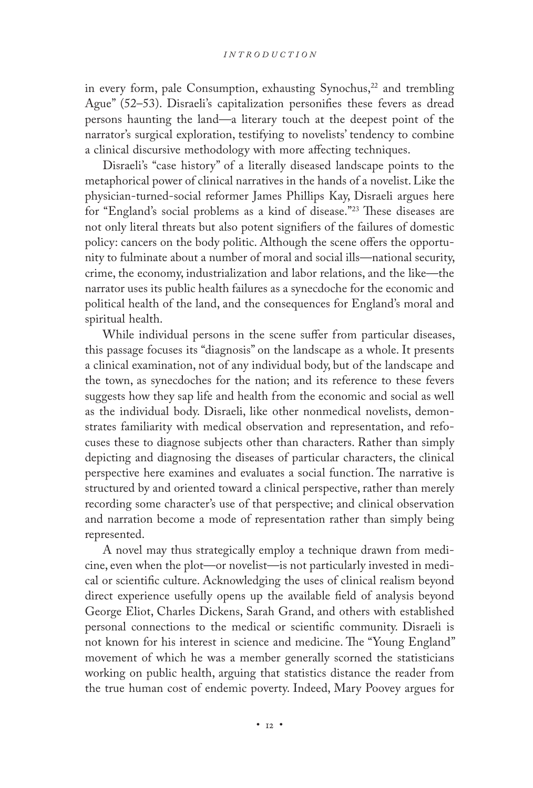in every form, pale Consumption, exhausting Synochus,<sup>22</sup> and trembling Ague" (52–53). Disraeli's capitalization personifies these fevers as dread persons haunting the land—a literary touch at the deepest point of the narrator's surgical exploration, testifying to novelists' tendency to combine a clinical discursive methodology with more affecting techniques.

Disraeli's "case history" of a literally diseased landscape points to the metaphorical power of clinical narratives in the hands of a novelist. Like the physician-turned-social reformer James Phillips Kay, Disraeli argues here for "England's social problems as a kind of disease."23 These diseases are not only literal threats but also potent signifiers of the failures of domestic policy: cancers on the body politic. Although the scene offers the opportunity to fulminate about a number of moral and social ills—national security, crime, the economy, industrialization and labor relations, and the like—the narrator uses its public health failures as a synecdoche for the economic and political health of the land, and the consequences for England's moral and spiritual health.

While individual persons in the scene suffer from particular diseases, this passage focuses its "diagnosis" on the landscape as a whole. It presents a clinical examination, not of any individual body, but of the landscape and the town, as synecdoches for the nation; and its reference to these fevers suggests how they sap life and health from the economic and social as well as the individual body. Disraeli, like other nonmedical novelists, demonstrates familiarity with medical observation and representation, and refocuses these to diagnose subjects other than characters. Rather than simply depicting and diagnosing the diseases of particular characters, the clinical perspective here examines and evaluates a social function. The narrative is structured by and oriented toward a clinical perspective, rather than merely recording some character's use of that perspective; and clinical observation and narration become a mode of representation rather than simply being represented.

A novel may thus strategically employ a technique drawn from medicine, even when the plot—or novelist—is not particularly invested in medical or scientific culture. Acknowledging the uses of clinical realism beyond direct experience usefully opens up the available field of analysis beyond George Eliot, Charles Dickens, Sarah Grand, and others with established personal connections to the medical or scientific community. Disraeli is not known for his interest in science and medicine. The "Young England" movement of which he was a member generally scorned the statisticians working on public health, arguing that statistics distance the reader from the true human cost of endemic poverty. Indeed, Mary Poovey argues for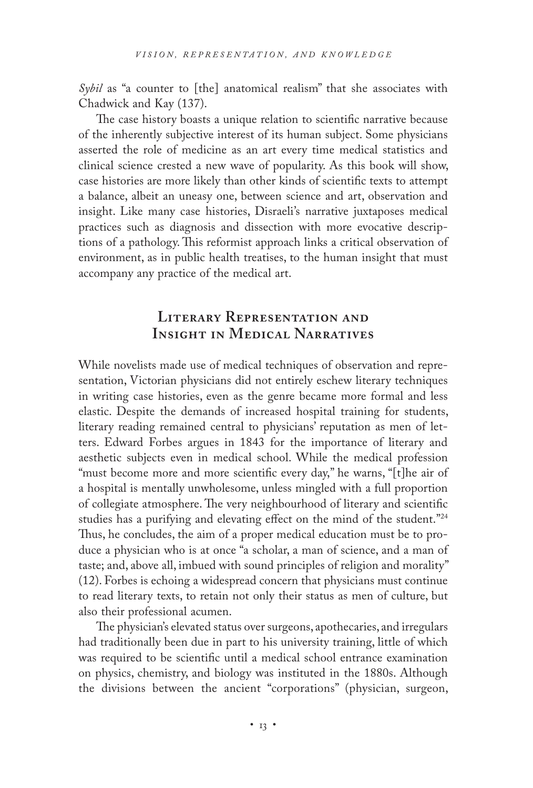*Sybil* as "a counter to [the] anatomical realism" that she associates with Chadwick and Kay (137).

The case history boasts a unique relation to scientific narrative because of the inherently subjective interest of its human subject. Some physicians asserted the role of medicine as an art every time medical statistics and clinical science crested a new wave of popularity. As this book will show, case histories are more likely than other kinds of scientific texts to attempt a balance, albeit an uneasy one, between science and art, observation and insight. Like many case histories, Disraeli's narrative juxtaposes medical practices such as diagnosis and dissection with more evocative descriptions of a pathology. This reformist approach links a critical observation of environment, as in public health treatises, to the human insight that must accompany any practice of the medical art.

# **Literary Representation and Insight in Medical Narratives**

While novelists made use of medical techniques of observation and representation, Victorian physicians did not entirely eschew literary techniques in writing case histories, even as the genre became more formal and less elastic. Despite the demands of increased hospital training for students, literary reading remained central to physicians' reputation as men of letters. Edward Forbes argues in 1843 for the importance of literary and aesthetic subjects even in medical school. While the medical profession "must become more and more scientific every day," he warns, "[t]he air of a hospital is mentally unwholesome, unless mingled with a full proportion of collegiate atmosphere. The very neighbourhood of literary and scientific studies has a purifying and elevating effect on the mind of the student."24 Thus, he concludes, the aim of a proper medical education must be to produce a physician who is at once "a scholar, a man of science, and a man of taste; and, above all, imbued with sound principles of religion and morality" (12). Forbes is echoing a widespread concern that physicians must continue to read literary texts, to retain not only their status as men of culture, but also their professional acumen.

The physician's elevated status over surgeons, apothecaries, and irregulars had traditionally been due in part to his university training, little of which was required to be scientific until a medical school entrance examination on physics, chemistry, and biology was instituted in the 1880s. Although the divisions between the ancient "corporations" (physician, surgeon,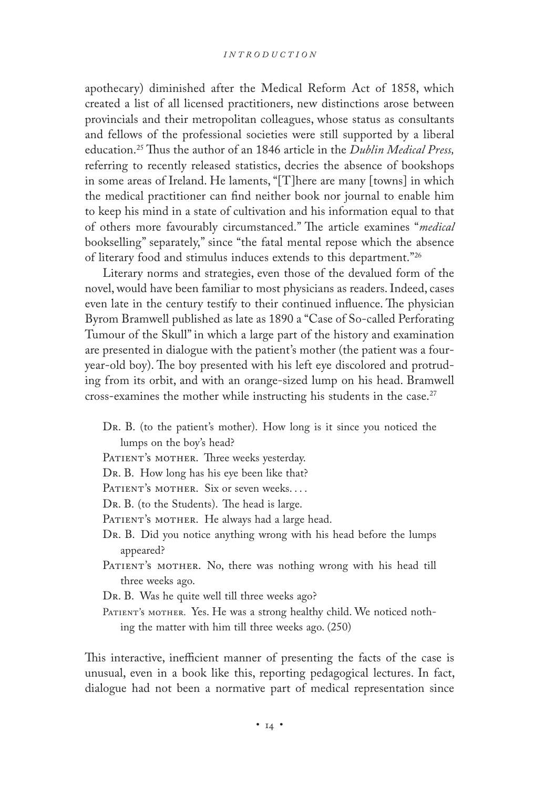apothecary) diminished after the Medical Reform Act of 1858, which created a list of all licensed practitioners, new distinctions arose between provincials and their metropolitan colleagues, whose status as consultants and fellows of the professional societies were still supported by a liberal education.25 Thus the author of an 1846 article in the *Dublin Medical Press,* referring to recently released statistics, decries the absence of bookshops in some areas of Ireland. He laments, "[T]here are many [towns] in which the medical practitioner can find neither book nor journal to enable him to keep his mind in a state of cultivation and his information equal to that of others more favourably circumstanced." The article examines "*medical* bookselling" separately," since "the fatal mental repose which the absence of literary food and stimulus induces extends to this department."26

Literary norms and strategies, even those of the devalued form of the novel, would have been familiar to most physicians as readers. Indeed, cases even late in the century testify to their continued influence. The physician Byrom Bramwell published as late as 1890 a "Case of So-called Perforating Tumour of the Skull" in which a large part of the history and examination are presented in dialogue with the patient's mother (the patient was a fouryear-old boy). The boy presented with his left eye discolored and protruding from its orbit, and with an orange-sized lump on his head. Bramwell cross-examines the mother while instructing his students in the case.<sup>27</sup>

- Dr. B. (to the patient's mother). How long is it since you noticed the lumps on the boy's head?
- PATIENT's MOTHER. Three weeks yesterday.

Dr. B. How long has his eye been like that?

- PATIENT's MOTHER. Six or seven weeks....
- Dr. B. (to the Students). The head is large.
- PATIENT's MOTHER. He always had a large head.
- Dr. B. Did you notice anything wrong with his head before the lumps appeared?
- PATIENT's MOTHER. No, there was nothing wrong with his head till three weeks ago.

Dr. B. Was he quite well till three weeks ago?

PATIENT's MOTHER. Yes. He was a strong healthy child. We noticed nothing the matter with him till three weeks ago. (250)

This interactive, inefficient manner of presenting the facts of the case is unusual, even in a book like this, reporting pedagogical lectures. In fact, dialogue had not been a normative part of medical representation since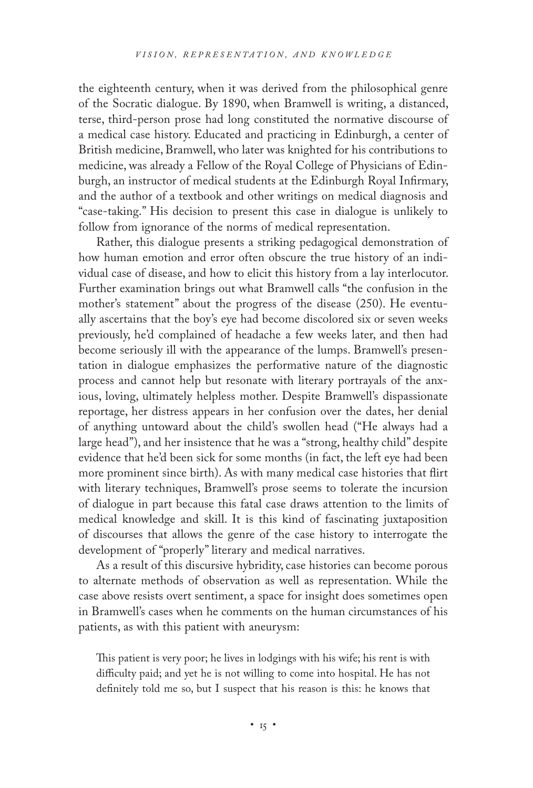the eighteenth century, when it was derived from the philosophical genre of the Socratic dialogue. By 1890, when Bramwell is writing, a distanced, terse, third-person prose had long constituted the normative discourse of a medical case history. Educated and practicing in Edinburgh, a center of British medicine, Bramwell, who later was knighted for his contributions to medicine, was already a Fellow of the Royal College of Physicians of Edinburgh, an instructor of medical students at the Edinburgh Royal Infirmary, and the author of a textbook and other writings on medical diagnosis and "case-taking." His decision to present this case in dialogue is unlikely to follow from ignorance of the norms of medical representation.

Rather, this dialogue presents a striking pedagogical demonstration of how human emotion and error often obscure the true history of an individual case of disease, and how to elicit this history from a lay interlocutor. Further examination brings out what Bramwell calls "the confusion in the mother's statement" about the progress of the disease (250). He eventually ascertains that the boy's eye had become discolored six or seven weeks previously, he'd complained of headache a few weeks later, and then had become seriously ill with the appearance of the lumps. Bramwell's presentation in dialogue emphasizes the performative nature of the diagnostic process and cannot help but resonate with literary portrayals of the anxious, loving, ultimately helpless mother. Despite Bramwell's dispassionate reportage, her distress appears in her confusion over the dates, her denial of anything untoward about the child's swollen head ("He always had a large head"), and her insistence that he was a "strong, healthy child" despite evidence that he'd been sick for some months (in fact, the left eye had been more prominent since birth). As with many medical case histories that flirt with literary techniques, Bramwell's prose seems to tolerate the incursion of dialogue in part because this fatal case draws attention to the limits of medical knowledge and skill. It is this kind of fascinating juxtaposition of discourses that allows the genre of the case history to interrogate the development of "properly" literary and medical narratives.

As a result of this discursive hybridity, case histories can become porous to alternate methods of observation as well as representation. While the case above resists overt sentiment, a space for insight does sometimes open in Bramwell's cases when he comments on the human circumstances of his patients, as with this patient with aneurysm:

This patient is very poor; he lives in lodgings with his wife; his rent is with difficulty paid; and yet he is not willing to come into hospital. He has not definitely told me so, but I suspect that his reason is this: he knows that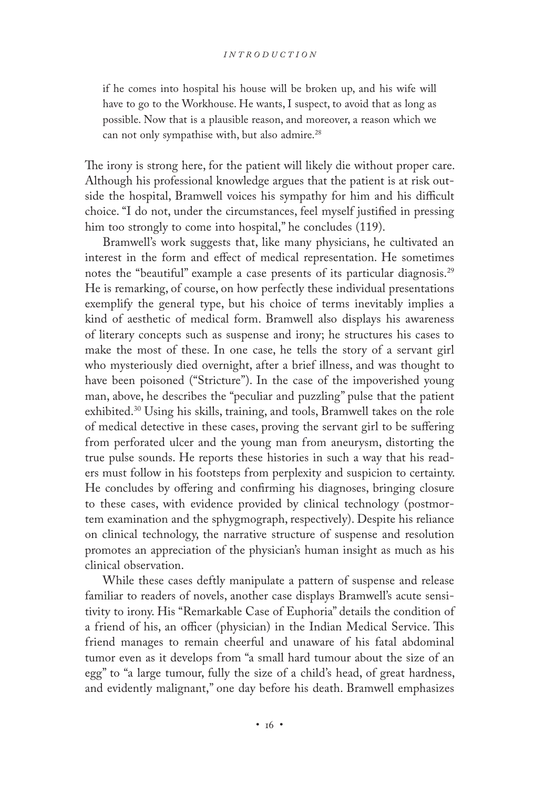if he comes into hospital his house will be broken up, and his wife will have to go to the Workhouse. He wants, I suspect, to avoid that as long as possible. Now that is a plausible reason, and moreover, a reason which we can not only sympathise with, but also admire.<sup>28</sup>

The irony is strong here, for the patient will likely die without proper care. Although his professional knowledge argues that the patient is at risk outside the hospital, Bramwell voices his sympathy for him and his difficult choice. "I do not, under the circumstances, feel myself justified in pressing him too strongly to come into hospital," he concludes (119).

Bramwell's work suggests that, like many physicians, he cultivated an interest in the form and effect of medical representation. He sometimes notes the "beautiful" example a case presents of its particular diagnosis.<sup>29</sup> He is remarking, of course, on how perfectly these individual presentations exemplify the general type, but his choice of terms inevitably implies a kind of aesthetic of medical form. Bramwell also displays his awareness of literary concepts such as suspense and irony; he structures his cases to make the most of these. In one case, he tells the story of a servant girl who mysteriously died overnight, after a brief illness, and was thought to have been poisoned ("Stricture"). In the case of the impoverished young man, above, he describes the "peculiar and puzzling" pulse that the patient exhibited.30 Using his skills, training, and tools, Bramwell takes on the role of medical detective in these cases, proving the servant girl to be suffering from perforated ulcer and the young man from aneurysm, distorting the true pulse sounds. He reports these histories in such a way that his readers must follow in his footsteps from perplexity and suspicion to certainty. He concludes by offering and confirming his diagnoses, bringing closure to these cases, with evidence provided by clinical technology (postmortem examination and the sphygmograph, respectively). Despite his reliance on clinical technology, the narrative structure of suspense and resolution promotes an appreciation of the physician's human insight as much as his clinical observation.

While these cases deftly manipulate a pattern of suspense and release familiar to readers of novels, another case displays Bramwell's acute sensitivity to irony. His "Remarkable Case of Euphoria" details the condition of a friend of his, an officer (physician) in the Indian Medical Service. This friend manages to remain cheerful and unaware of his fatal abdominal tumor even as it develops from "a small hard tumour about the size of an egg" to "a large tumour, fully the size of a child's head, of great hardness, and evidently malignant," one day before his death. Bramwell emphasizes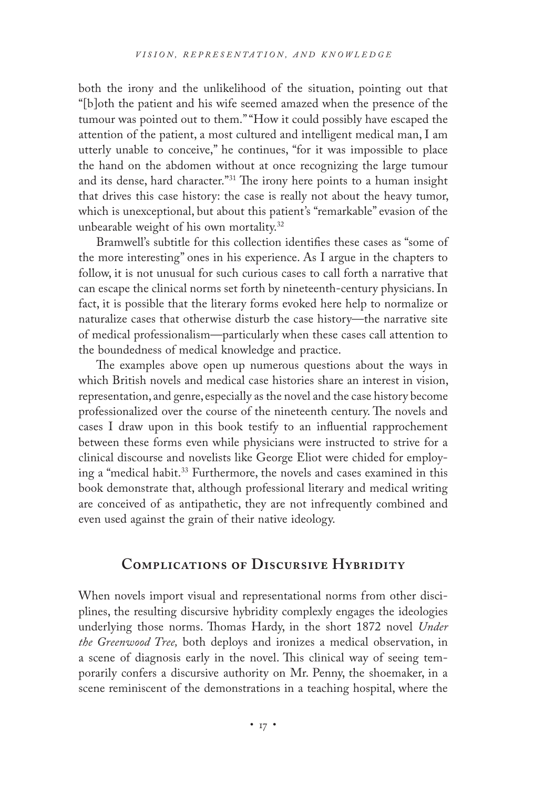both the irony and the unlikelihood of the situation, pointing out that "[b]oth the patient and his wife seemed amazed when the presence of the tumour was pointed out to them." "How it could possibly have escaped the attention of the patient, a most cultured and intelligent medical man, I am utterly unable to conceive," he continues, "for it was impossible to place the hand on the abdomen without at once recognizing the large tumour and its dense, hard character."31 The irony here points to a human insight that drives this case history: the case is really not about the heavy tumor, which is unexceptional, but about this patient's "remarkable" evasion of the unbearable weight of his own mortality.32

Bramwell's subtitle for this collection identifies these cases as "some of the more interesting" ones in his experience. As I argue in the chapters to follow, it is not unusual for such curious cases to call forth a narrative that can escape the clinical norms set forth by nineteenth-century physicians. In fact, it is possible that the literary forms evoked here help to normalize or naturalize cases that otherwise disturb the case history—the narrative site of medical professionalism—particularly when these cases call attention to the boundedness of medical knowledge and practice.

The examples above open up numerous questions about the ways in which British novels and medical case histories share an interest in vision, representation, and genre, especially as the novel and the case history become professionalized over the course of the nineteenth century. The novels and cases I draw upon in this book testify to an influential rapprochement between these forms even while physicians were instructed to strive for a clinical discourse and novelists like George Eliot were chided for employing a "medical habit.<sup>33</sup> Furthermore, the novels and cases examined in this book demonstrate that, although professional literary and medical writing are conceived of as antipathetic, they are not infrequently combined and even used against the grain of their native ideology.

### **Complications of Discursive Hybridity**

When novels import visual and representational norms from other disciplines, the resulting discursive hybridity complexly engages the ideologies underlying those norms. Thomas Hardy, in the short 1872 novel *Under the Greenwood Tree,* both deploys and ironizes a medical observation, in a scene of diagnosis early in the novel. This clinical way of seeing temporarily confers a discursive authority on Mr. Penny, the shoemaker, in a scene reminiscent of the demonstrations in a teaching hospital, where the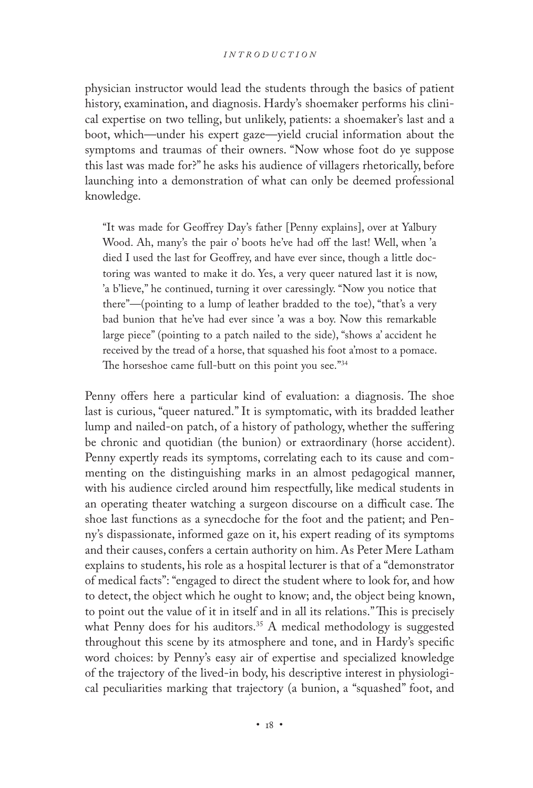physician instructor would lead the students through the basics of patient history, examination, and diagnosis. Hardy's shoemaker performs his clinical expertise on two telling, but unlikely, patients: a shoemaker's last and a boot, which—under his expert gaze—yield crucial information about the symptoms and traumas of their owners. "Now whose foot do ye suppose this last was made for?" he asks his audience of villagers rhetorically, before launching into a demonstration of what can only be deemed professional knowledge.

"It was made for Geoffrey Day's father [Penny explains], over at Yalbury Wood. Ah, many's the pair o' boots he've had off the last! Well, when 'a died I used the last for Geoffrey, and have ever since, though a little doctoring was wanted to make it do. Yes, a very queer natured last it is now, 'a b'lieve," he continued, turning it over caressingly. "Now you notice that there"—(pointing to a lump of leather bradded to the toe), "that's a very bad bunion that he've had ever since 'a was a boy. Now this remarkable large piece" (pointing to a patch nailed to the side), "shows a' accident he received by the tread of a horse, that squashed his foot a'most to a pomace. The horseshoe came full-butt on this point you see."<sup>34</sup>

Penny offers here a particular kind of evaluation: a diagnosis. The shoe last is curious, "queer natured." It is symptomatic, with its bradded leather lump and nailed-on patch, of a history of pathology, whether the suffering be chronic and quotidian (the bunion) or extraordinary (horse accident). Penny expertly reads its symptoms, correlating each to its cause and commenting on the distinguishing marks in an almost pedagogical manner, with his audience circled around him respectfully, like medical students in an operating theater watching a surgeon discourse on a difficult case. The shoe last functions as a synecdoche for the foot and the patient; and Penny's dispassionate, informed gaze on it, his expert reading of its symptoms and their causes, confers a certain authority on him. As Peter Mere Latham explains to students, his role as a hospital lecturer is that of a "demonstrator of medical facts": "engaged to direct the student where to look for, and how to detect, the object which he ought to know; and, the object being known, to point out the value of it in itself and in all its relations." This is precisely what Penny does for his auditors.<sup>35</sup> A medical methodology is suggested throughout this scene by its atmosphere and tone, and in Hardy's specific word choices: by Penny's easy air of expertise and specialized knowledge of the trajectory of the lived-in body, his descriptive interest in physiological peculiarities marking that trajectory (a bunion, a "squashed" foot, and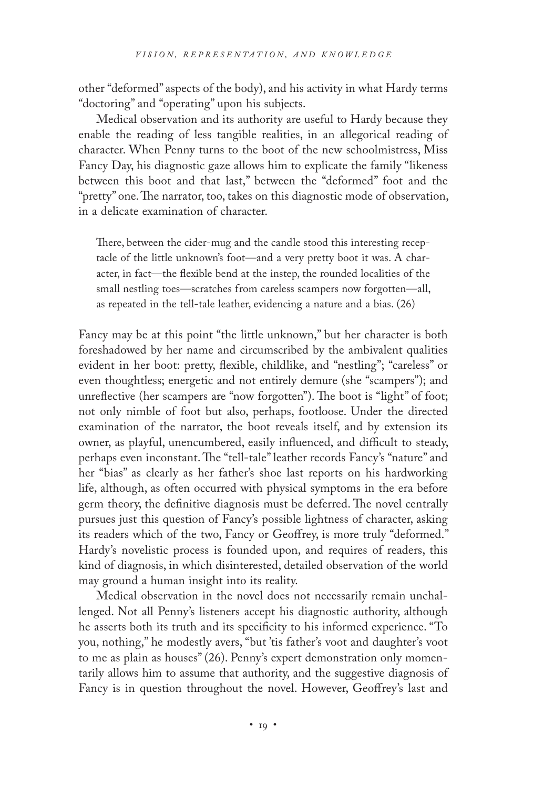other "deformed" aspects of the body), and his activity in what Hardy terms "doctoring" and "operating" upon his subjects.

Medical observation and its authority are useful to Hardy because they enable the reading of less tangible realities, in an allegorical reading of character. When Penny turns to the boot of the new schoolmistress, Miss Fancy Day, his diagnostic gaze allows him to explicate the family "likeness between this boot and that last," between the "deformed" foot and the "pretty" one. The narrator, too, takes on this diagnostic mode of observation, in a delicate examination of character.

There, between the cider-mug and the candle stood this interesting receptacle of the little unknown's foot—and a very pretty boot it was. A character, in fact—the flexible bend at the instep, the rounded localities of the small nestling toes—scratches from careless scampers now forgotten—all, as repeated in the tell-tale leather, evidencing a nature and a bias. (26)

Fancy may be at this point "the little unknown," but her character is both foreshadowed by her name and circumscribed by the ambivalent qualities evident in her boot: pretty, flexible, childlike, and "nestling"; "careless" or even thoughtless; energetic and not entirely demure (she "scampers"); and unreflective (her scampers are "now forgotten"). The boot is "light" of foot; not only nimble of foot but also, perhaps, footloose. Under the directed examination of the narrator, the boot reveals itself, and by extension its owner, as playful, unencumbered, easily influenced, and difficult to steady, perhaps even inconstant. The "tell-tale" leather records Fancy's "nature" and her "bias" as clearly as her father's shoe last reports on his hardworking life, although, as often occurred with physical symptoms in the era before germ theory, the definitive diagnosis must be deferred. The novel centrally pursues just this question of Fancy's possible lightness of character, asking its readers which of the two, Fancy or Geoffrey, is more truly "deformed." Hardy's novelistic process is founded upon, and requires of readers, this kind of diagnosis, in which disinterested, detailed observation of the world may ground a human insight into its reality.

Medical observation in the novel does not necessarily remain unchallenged. Not all Penny's listeners accept his diagnostic authority, although he asserts both its truth and its specificity to his informed experience. "To you, nothing," he modestly avers, "but 'tis father's voot and daughter's voot to me as plain as houses" (26). Penny's expert demonstration only momentarily allows him to assume that authority, and the suggestive diagnosis of Fancy is in question throughout the novel. However, Geoffrey's last and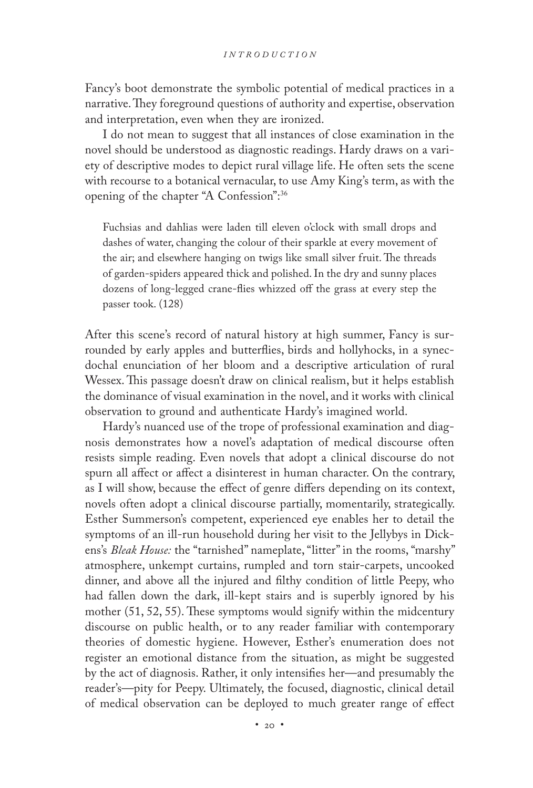Fancy's boot demonstrate the symbolic potential of medical practices in a narrative. They foreground questions of authority and expertise, observation and interpretation, even when they are ironized.

I do not mean to suggest that all instances of close examination in the novel should be understood as diagnostic readings. Hardy draws on a variety of descriptive modes to depict rural village life. He often sets the scene with recourse to a botanical vernacular, to use Amy King's term, as with the opening of the chapter "A Confession":36

Fuchsias and dahlias were laden till eleven o'clock with small drops and dashes of water, changing the colour of their sparkle at every movement of the air; and elsewhere hanging on twigs like small silver fruit. The threads of garden-spiders appeared thick and polished. In the dry and sunny places dozens of long-legged crane-flies whizzed off the grass at every step the passer took. (128)

After this scene's record of natural history at high summer, Fancy is surrounded by early apples and butterflies, birds and hollyhocks, in a synecdochal enunciation of her bloom and a descriptive articulation of rural Wessex. This passage doesn't draw on clinical realism, but it helps establish the dominance of visual examination in the novel, and it works with clinical observation to ground and authenticate Hardy's imagined world.

Hardy's nuanced use of the trope of professional examination and diagnosis demonstrates how a novel's adaptation of medical discourse often resists simple reading. Even novels that adopt a clinical discourse do not spurn all affect or affect a disinterest in human character. On the contrary, as I will show, because the effect of genre differs depending on its context, novels often adopt a clinical discourse partially, momentarily, strategically. Esther Summerson's competent, experienced eye enables her to detail the symptoms of an ill-run household during her visit to the Jellybys in Dickens's *Bleak House:* the "tarnished" nameplate, "litter" in the rooms, "marshy" atmosphere, unkempt curtains, rumpled and torn stair-carpets, uncooked dinner, and above all the injured and filthy condition of little Peepy, who had fallen down the dark, ill-kept stairs and is superbly ignored by his mother (51, 52, 55). These symptoms would signify within the midcentury discourse on public health, or to any reader familiar with contemporary theories of domestic hygiene. However, Esther's enumeration does not register an emotional distance from the situation, as might be suggested by the act of diagnosis. Rather, it only intensifies her—and presumably the reader's—pity for Peepy. Ultimately, the focused, diagnostic, clinical detail of medical observation can be deployed to much greater range of effect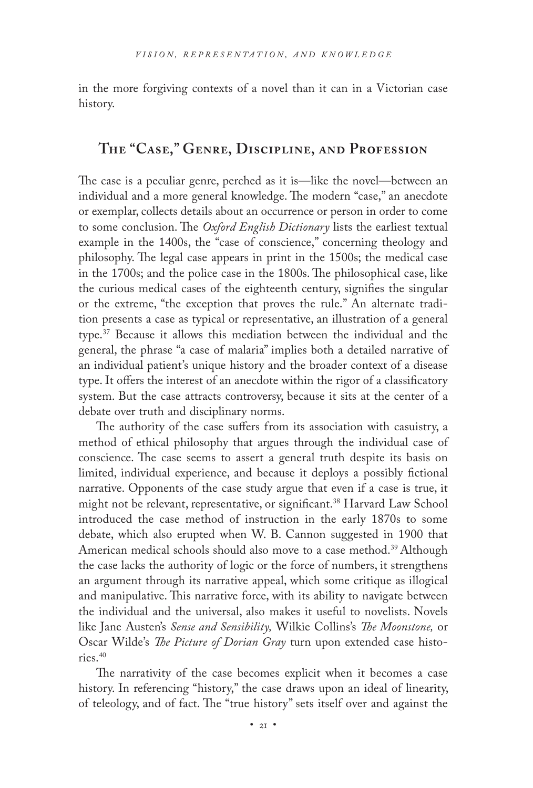in the more forgiving contexts of a novel than it can in a Victorian case history.

# **The "Case," Genre, Discipline, and Profession**

The case is a peculiar genre, perched as it is—like the novel—between an individual and a more general knowledge. The modern "case," an anecdote or exemplar, collects details about an occurrence or person in order to come to some conclusion. The *Oxford English Dictionary* lists the earliest textual example in the 1400s, the "case of conscience," concerning theology and philosophy. The legal case appears in print in the 1500s; the medical case in the 1700s; and the police case in the 1800s. The philosophical case, like the curious medical cases of the eighteenth century, signifies the singular or the extreme, "the exception that proves the rule." An alternate tradition presents a case as typical or representative, an illustration of a general type.37 Because it allows this mediation between the individual and the general, the phrase "a case of malaria" implies both a detailed narrative of an individual patient's unique history and the broader context of a disease type. It offers the interest of an anecdote within the rigor of a classificatory system. But the case attracts controversy, because it sits at the center of a debate over truth and disciplinary norms.

The authority of the case suffers from its association with casuistry, a method of ethical philosophy that argues through the individual case of conscience. The case seems to assert a general truth despite its basis on limited, individual experience, and because it deploys a possibly fictional narrative. Opponents of the case study argue that even if a case is true, it might not be relevant, representative, or significant.<sup>38</sup> Harvard Law School introduced the case method of instruction in the early 1870s to some debate, which also erupted when W. B. Cannon suggested in 1900 that American medical schools should also move to a case method.<sup>39</sup> Although the case lacks the authority of logic or the force of numbers, it strengthens an argument through its narrative appeal, which some critique as illogical and manipulative. This narrative force, with its ability to navigate between the individual and the universal, also makes it useful to novelists. Novels like Jane Austen's *Sense and Sensibility,* Wilkie Collins's *The Moonstone,* or Oscar Wilde's *The Picture of Dorian Gray* turn upon extended case histories.40

The narrativity of the case becomes explicit when it becomes a case history. In referencing "history," the case draws upon an ideal of linearity, of teleology, and of fact. The "true history" sets itself over and against the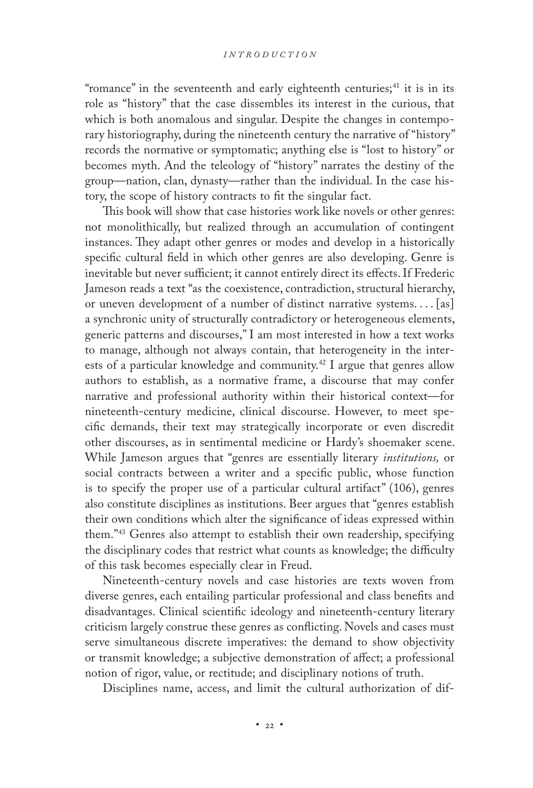"romance" in the seventeenth and early eighteenth centuries;<sup>41</sup> it is in its role as "history" that the case dissembles its interest in the curious, that which is both anomalous and singular. Despite the changes in contemporary historiography, during the nineteenth century the narrative of "history" records the normative or symptomatic; anything else is "lost to history" or becomes myth. And the teleology of "history" narrates the destiny of the group—nation, clan, dynasty—rather than the individual. In the case history, the scope of history contracts to fit the singular fact.

This book will show that case histories work like novels or other genres: not monolithically, but realized through an accumulation of contingent instances. They adapt other genres or modes and develop in a historically specific cultural field in which other genres are also developing. Genre is inevitable but never sufficient; it cannot entirely direct its effects. If Frederic Jameson reads a text "as the coexistence, contradiction, structural hierarchy, or uneven development of a number of distinct narrative systems. . . . [as] a synchronic unity of structurally contradictory or heterogeneous elements, generic patterns and discourses," I am most interested in how a text works to manage, although not always contain, that heterogeneity in the interests of a particular knowledge and community.42 I argue that genres allow authors to establish, as a normative frame, a discourse that may confer narrative and professional authority within their historical context—for nineteenth-century medicine, clinical discourse. However, to meet specific demands, their text may strategically incorporate or even discredit other discourses, as in sentimental medicine or Hardy's shoemaker scene. While Jameson argues that "genres are essentially literary *institutions,* or social contracts between a writer and a specific public, whose function is to specify the proper use of a particular cultural artifact" (106), genres also constitute disciplines as institutions. Beer argues that "genres establish their own conditions which alter the significance of ideas expressed within them."43 Genres also attempt to establish their own readership, specifying the disciplinary codes that restrict what counts as knowledge; the difficulty of this task becomes especially clear in Freud.

Nineteenth-century novels and case histories are texts woven from diverse genres, each entailing particular professional and class benefits and disadvantages. Clinical scientific ideology and nineteenth-century literary criticism largely construe these genres as conflicting. Novels and cases must serve simultaneous discrete imperatives: the demand to show objectivity or transmit knowledge; a subjective demonstration of affect; a professional notion of rigor, value, or rectitude; and disciplinary notions of truth.

Disciplines name, access, and limit the cultural authorization of dif-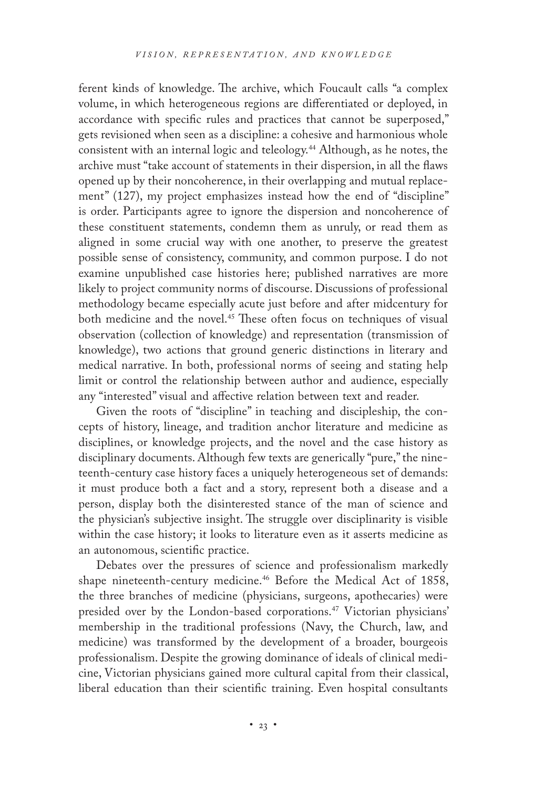ferent kinds of knowledge. The archive, which Foucault calls "a complex volume, in which heterogeneous regions are differentiated or deployed, in accordance with specific rules and practices that cannot be superposed," gets revisioned when seen as a discipline: a cohesive and harmonious whole consistent with an internal logic and teleology.<sup>44</sup> Although, as he notes, the archive must "take account of statements in their dispersion, in all the flaws opened up by their noncoherence, in their overlapping and mutual replacement" (127), my project emphasizes instead how the end of "discipline" is order. Participants agree to ignore the dispersion and noncoherence of these constituent statements, condemn them as unruly, or read them as aligned in some crucial way with one another, to preserve the greatest possible sense of consistency, community, and common purpose. I do not examine unpublished case histories here; published narratives are more likely to project community norms of discourse. Discussions of professional methodology became especially acute just before and after midcentury for both medicine and the novel.<sup>45</sup> These often focus on techniques of visual observation (collection of knowledge) and representation (transmission of knowledge), two actions that ground generic distinctions in literary and medical narrative. In both, professional norms of seeing and stating help limit or control the relationship between author and audience, especially any "interested" visual and affective relation between text and reader.

Given the roots of "discipline" in teaching and discipleship, the concepts of history, lineage, and tradition anchor literature and medicine as disciplines, or knowledge projects, and the novel and the case history as disciplinary documents. Although few texts are generically "pure," the nineteenth-century case history faces a uniquely heterogeneous set of demands: it must produce both a fact and a story, represent both a disease and a person, display both the disinterested stance of the man of science and the physician's subjective insight. The struggle over disciplinarity is visible within the case history; it looks to literature even as it asserts medicine as an autonomous, scientific practice.

Debates over the pressures of science and professionalism markedly shape nineteenth-century medicine.<sup>46</sup> Before the Medical Act of 1858, the three branches of medicine (physicians, surgeons, apothecaries) were presided over by the London-based corporations.<sup>47</sup> Victorian physicians' membership in the traditional professions (Navy, the Church, law, and medicine) was transformed by the development of a broader, bourgeois professionalism. Despite the growing dominance of ideals of clinical medicine, Victorian physicians gained more cultural capital from their classical, liberal education than their scientific training. Even hospital consultants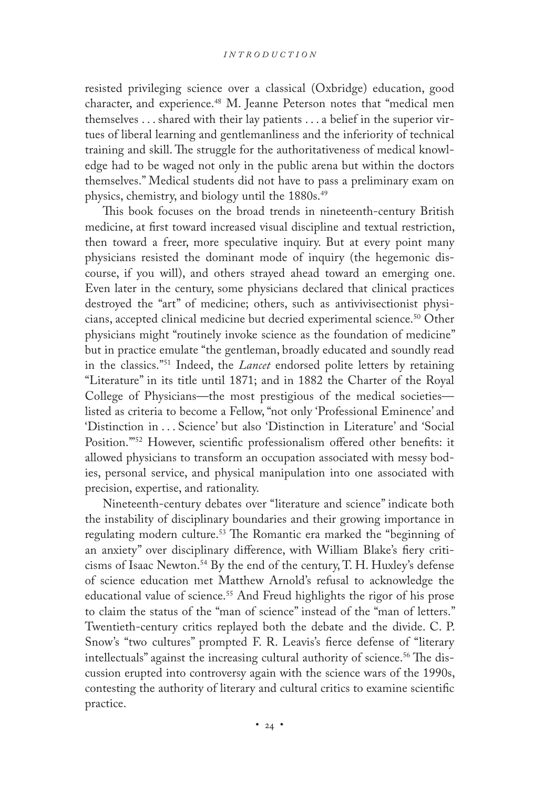resisted privileging science over a classical (Oxbridge) education, good character, and experience.<sup>48</sup> M. Jeanne Peterson notes that "medical men themselves . . . shared with their lay patients . . . a belief in the superior virtues of liberal learning and gentlemanliness and the inferiority of technical training and skill. The struggle for the authoritativeness of medical knowledge had to be waged not only in the public arena but within the doctors themselves." Medical students did not have to pass a preliminary exam on physics, chemistry, and biology until the 1880s.<sup>49</sup>

This book focuses on the broad trends in nineteenth-century British medicine, at first toward increased visual discipline and textual restriction, then toward a freer, more speculative inquiry. But at every point many physicians resisted the dominant mode of inquiry (the hegemonic discourse, if you will), and others strayed ahead toward an emerging one. Even later in the century, some physicians declared that clinical practices destroyed the "art" of medicine; others, such as antivivisectionist physicians, accepted clinical medicine but decried experimental science.<sup>50</sup> Other physicians might "routinely invoke science as the foundation of medicine" but in practice emulate "the gentleman, broadly educated and soundly read in the classics."51 Indeed, the *Lancet* endorsed polite letters by retaining "Literature" in its title until 1871; and in 1882 the Charter of the Royal College of Physicians—the most prestigious of the medical societies listed as criteria to become a Fellow, "not only 'Professional Eminence' and 'Distinction in . . . Science' but also 'Distinction in Literature' and 'Social Position.'"52 However, scientific professionalism offered other benefits: it allowed physicians to transform an occupation associated with messy bodies, personal service, and physical manipulation into one associated with precision, expertise, and rationality.

Nineteenth-century debates over "literature and science" indicate both the instability of disciplinary boundaries and their growing importance in regulating modern culture.53 The Romantic era marked the "beginning of an anxiety" over disciplinary difference, with William Blake's fiery criticisms of Isaac Newton.54 By the end of the century, T. H. Huxley's defense of science education met Matthew Arnold's refusal to acknowledge the educational value of science.<sup>55</sup> And Freud highlights the rigor of his prose to claim the status of the "man of science" instead of the "man of letters." Twentieth-century critics replayed both the debate and the divide. C. P. Snow's "two cultures" prompted F. R. Leavis's fierce defense of "literary intellectuals" against the increasing cultural authority of science.<sup>56</sup> The discussion erupted into controversy again with the science wars of the 1990s, contesting the authority of literary and cultural critics to examine scientific practice.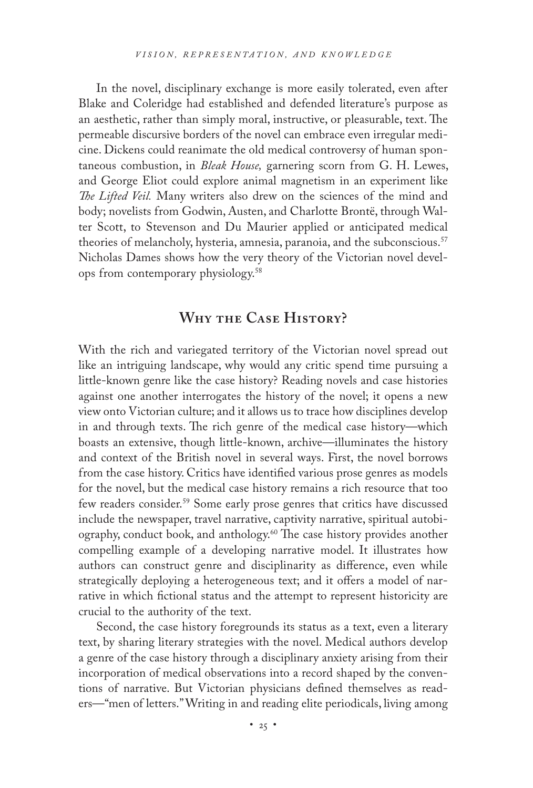In the novel, disciplinary exchange is more easily tolerated, even after Blake and Coleridge had established and defended literature's purpose as an aesthetic, rather than simply moral, instructive, or pleasurable, text. The permeable discursive borders of the novel can embrace even irregular medicine. Dickens could reanimate the old medical controversy of human spontaneous combustion, in *Bleak House,* garnering scorn from G. H. Lewes, and George Eliot could explore animal magnetism in an experiment like *The Lifted Veil.* Many writers also drew on the sciences of the mind and body; novelists from Godwin, Austen, and Charlotte Brontë, through Walter Scott, to Stevenson and Du Maurier applied or anticipated medical theories of melancholy, hysteria, amnesia, paranoia, and the subconscious.<sup>57</sup> Nicholas Dames shows how the very theory of the Victorian novel develops from contemporary physiology.58

#### **Why the Case History?**

With the rich and variegated territory of the Victorian novel spread out like an intriguing landscape, why would any critic spend time pursuing a little-known genre like the case history? Reading novels and case histories against one another interrogates the history of the novel; it opens a new view onto Victorian culture; and it allows us to trace how disciplines develop in and through texts. The rich genre of the medical case history—which boasts an extensive, though little-known, archive—illuminates the history and context of the British novel in several ways. First, the novel borrows from the case history. Critics have identified various prose genres as models for the novel, but the medical case history remains a rich resource that too few readers consider.<sup>59</sup> Some early prose genres that critics have discussed include the newspaper, travel narrative, captivity narrative, spiritual autobiography, conduct book, and anthology.60 The case history provides another compelling example of a developing narrative model. It illustrates how authors can construct genre and disciplinarity as difference, even while strategically deploying a heterogeneous text; and it offers a model of narrative in which fictional status and the attempt to represent historicity are crucial to the authority of the text.

Second, the case history foregrounds its status as a text, even a literary text, by sharing literary strategies with the novel. Medical authors develop a genre of the case history through a disciplinary anxiety arising from their incorporation of medical observations into a record shaped by the conventions of narrative. But Victorian physicians defined themselves as readers—"men of letters." Writing in and reading elite periodicals, living among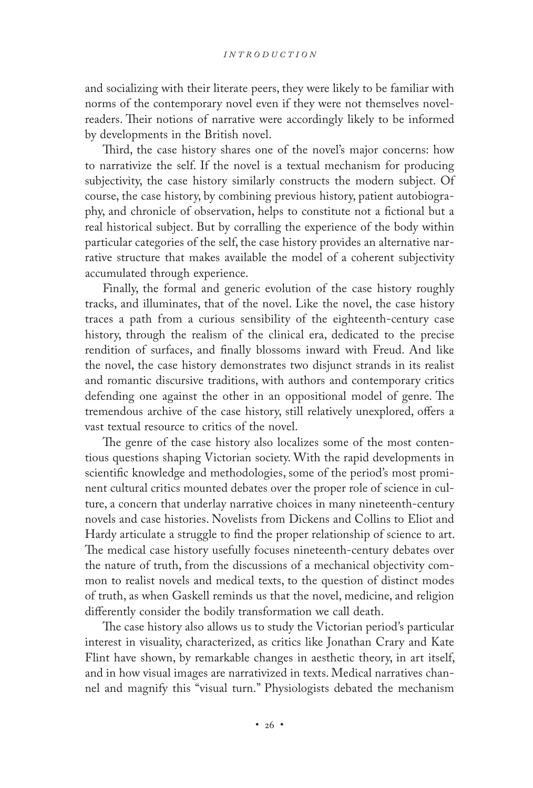and socializing with their literate peers, they were likely to be familiar with norms of the contemporary novel even if they were not themselves novelreaders. Their notions of narrative were accordingly likely to be informed by developments in the British novel.

Third, the case history shares one of the novel's major concerns: how to narrativize the self. If the novel is a textual mechanism for producing subjectivity, the case history similarly constructs the modern subject. Of course, the case history, by combining previous history, patient autobiography, and chronicle of observation, helps to constitute not a fictional but a real historical subject. But by corralling the experience of the body within particular categories of the self, the case history provides an alternative narrative structure that makes available the model of a coherent subjectivity accumulated through experience.

Finally, the formal and generic evolution of the case history roughly tracks, and illuminates, that of the novel. Like the novel, the case history traces a path from a curious sensibility of the eighteenth-century case history, through the realism of the clinical era, dedicated to the precise rendition of surfaces, and finally blossoms inward with Freud. And like the novel, the case history demonstrates two disjunct strands in its realist and romantic discursive traditions, with authors and contemporary critics defending one against the other in an oppositional model of genre. The tremendous archive of the case history, still relatively unexplored, offers a vast textual resource to critics of the novel.

The genre of the case history also localizes some of the most contentious questions shaping Victorian society. With the rapid developments in scientific knowledge and methodologies, some of the period's most prominent cultural critics mounted debates over the proper role of science in culture, a concern that underlay narrative choices in many nineteenth-century novels and case histories. Novelists from Dickens and Collins to Eliot and Hardy articulate a struggle to find the proper relationship of science to art. The medical case history usefully focuses nineteenth-century debates over the nature of truth, from the discussions of a mechanical objectivity common to realist novels and medical texts, to the question of distinct modes of truth, as when Gaskell reminds us that the novel, medicine, and religion differently consider the bodily transformation we call death.

The case history also allows us to study the Victorian period's particular interest in visuality, characterized, as critics like Jonathan Crary and Kate Flint have shown, by remarkable changes in aesthetic theory, in art itself, and in how visual images are narrativized in texts. Medical narratives channel and magnify this "visual turn." Physiologists debated the mechanism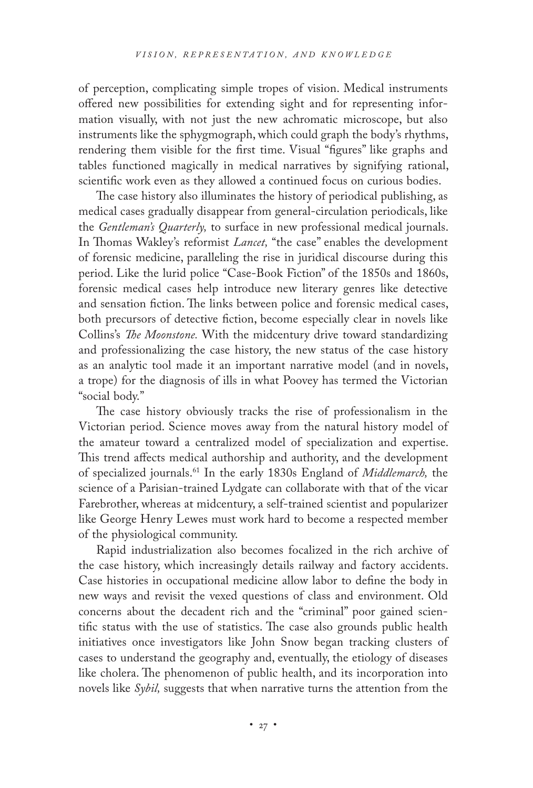of perception, complicating simple tropes of vision. Medical instruments offered new possibilities for extending sight and for representing information visually, with not just the new achromatic microscope, but also instruments like the sphygmograph, which could graph the body's rhythms, rendering them visible for the first time. Visual "figures" like graphs and tables functioned magically in medical narratives by signifying rational, scientific work even as they allowed a continued focus on curious bodies.

The case history also illuminates the history of periodical publishing, as medical cases gradually disappear from general-circulation periodicals, like the *Gentleman's Quarterly,* to surface in new professional medical journals. In Thomas Wakley's reformist *Lancet,* "the case" enables the development of forensic medicine, paralleling the rise in juridical discourse during this period. Like the lurid police "Case-Book Fiction" of the 1850s and 1860s, forensic medical cases help introduce new literary genres like detective and sensation fiction. The links between police and forensic medical cases, both precursors of detective fiction, become especially clear in novels like Collins's *The Moonstone.* With the midcentury drive toward standardizing and professionalizing the case history, the new status of the case history as an analytic tool made it an important narrative model (and in novels, a trope) for the diagnosis of ills in what Poovey has termed the Victorian "social body."

The case history obviously tracks the rise of professionalism in the Victorian period. Science moves away from the natural history model of the amateur toward a centralized model of specialization and expertise. This trend affects medical authorship and authority, and the development of specialized journals.61 In the early 1830s England of *Middlemarch,* the science of a Parisian-trained Lydgate can collaborate with that of the vicar Farebrother, whereas at midcentury, a self-trained scientist and popularizer like George Henry Lewes must work hard to become a respected member of the physiological community.

Rapid industrialization also becomes focalized in the rich archive of the case history, which increasingly details railway and factory accidents. Case histories in occupational medicine allow labor to define the body in new ways and revisit the vexed questions of class and environment. Old concerns about the decadent rich and the "criminal" poor gained scientific status with the use of statistics. The case also grounds public health initiatives once investigators like John Snow began tracking clusters of cases to understand the geography and, eventually, the etiology of diseases like cholera. The phenomenon of public health, and its incorporation into novels like *Sybil,* suggests that when narrative turns the attention from the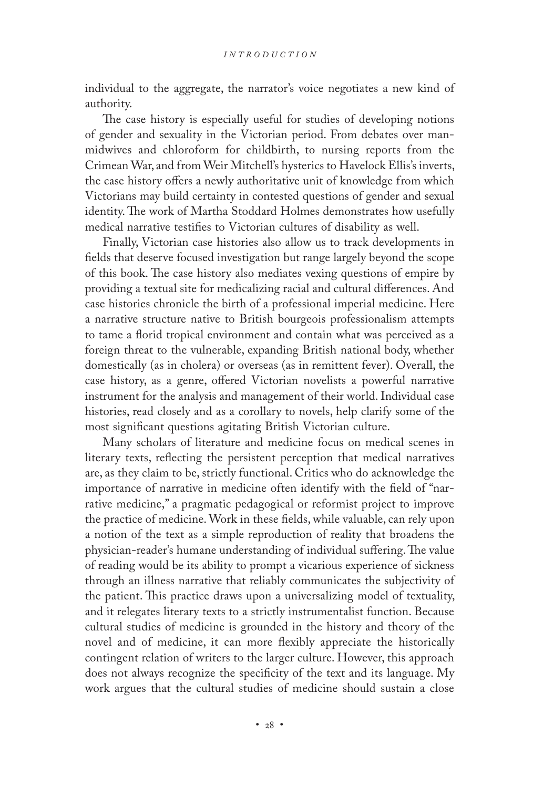individual to the aggregate, the narrator's voice negotiates a new kind of authority.

The case history is especially useful for studies of developing notions of gender and sexuality in the Victorian period. From debates over manmidwives and chloroform for childbirth, to nursing reports from the Crimean War, and from Weir Mitchell's hysterics to Havelock Ellis's inverts, the case history offers a newly authoritative unit of knowledge from which Victorians may build certainty in contested questions of gender and sexual identity. The work of Martha Stoddard Holmes demonstrates how usefully medical narrative testifies to Victorian cultures of disability as well.

Finally, Victorian case histories also allow us to track developments in fields that deserve focused investigation but range largely beyond the scope of this book. The case history also mediates vexing questions of empire by providing a textual site for medicalizing racial and cultural differences. And case histories chronicle the birth of a professional imperial medicine. Here a narrative structure native to British bourgeois professionalism attempts to tame a florid tropical environment and contain what was perceived as a foreign threat to the vulnerable, expanding British national body, whether domestically (as in cholera) or overseas (as in remittent fever). Overall, the case history, as a genre, offered Victorian novelists a powerful narrative instrument for the analysis and management of their world. Individual case histories, read closely and as a corollary to novels, help clarify some of the most significant questions agitating British Victorian culture.

Many scholars of literature and medicine focus on medical scenes in literary texts, reflecting the persistent perception that medical narratives are, as they claim to be, strictly functional. Critics who do acknowledge the importance of narrative in medicine often identify with the field of "narrative medicine," a pragmatic pedagogical or reformist project to improve the practice of medicine. Work in these fields, while valuable, can rely upon a notion of the text as a simple reproduction of reality that broadens the physician-reader's humane understanding of individual suffering. The value of reading would be its ability to prompt a vicarious experience of sickness through an illness narrative that reliably communicates the subjectivity of the patient. This practice draws upon a universalizing model of textuality, and it relegates literary texts to a strictly instrumentalist function. Because cultural studies of medicine is grounded in the history and theory of the novel and of medicine, it can more flexibly appreciate the historically contingent relation of writers to the larger culture. However, this approach does not always recognize the specificity of the text and its language. My work argues that the cultural studies of medicine should sustain a close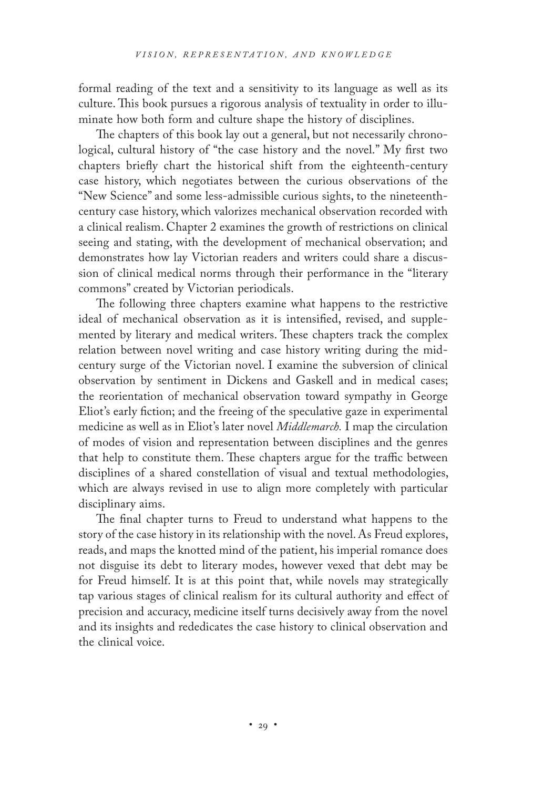formal reading of the text and a sensitivity to its language as well as its culture. This book pursues a rigorous analysis of textuality in order to illuminate how both form and culture shape the history of disciplines.

The chapters of this book lay out a general, but not necessarily chronological, cultural history of "the case history and the novel." My first two chapters briefly chart the historical shift from the eighteenth-century case history, which negotiates between the curious observations of the "New Science" and some less-admissible curious sights, to the nineteenthcentury case history, which valorizes mechanical observation recorded with a clinical realism. Chapter 2 examines the growth of restrictions on clinical seeing and stating, with the development of mechanical observation; and demonstrates how lay Victorian readers and writers could share a discussion of clinical medical norms through their performance in the "literary commons" created by Victorian periodicals.

The following three chapters examine what happens to the restrictive ideal of mechanical observation as it is intensified, revised, and supplemented by literary and medical writers. These chapters track the complex relation between novel writing and case history writing during the midcentury surge of the Victorian novel. I examine the subversion of clinical observation by sentiment in Dickens and Gaskell and in medical cases; the reorientation of mechanical observation toward sympathy in George Eliot's early fiction; and the freeing of the speculative gaze in experimental medicine as well as in Eliot's later novel *Middlemarch.* I map the circulation of modes of vision and representation between disciplines and the genres that help to constitute them. These chapters argue for the traffic between disciplines of a shared constellation of visual and textual methodologies, which are always revised in use to align more completely with particular disciplinary aims.

The final chapter turns to Freud to understand what happens to the story of the case history in its relationship with the novel. As Freud explores, reads, and maps the knotted mind of the patient, his imperial romance does not disguise its debt to literary modes, however vexed that debt may be for Freud himself. It is at this point that, while novels may strategically tap various stages of clinical realism for its cultural authority and effect of precision and accuracy, medicine itself turns decisively away from the novel and its insights and rededicates the case history to clinical observation and the clinical voice.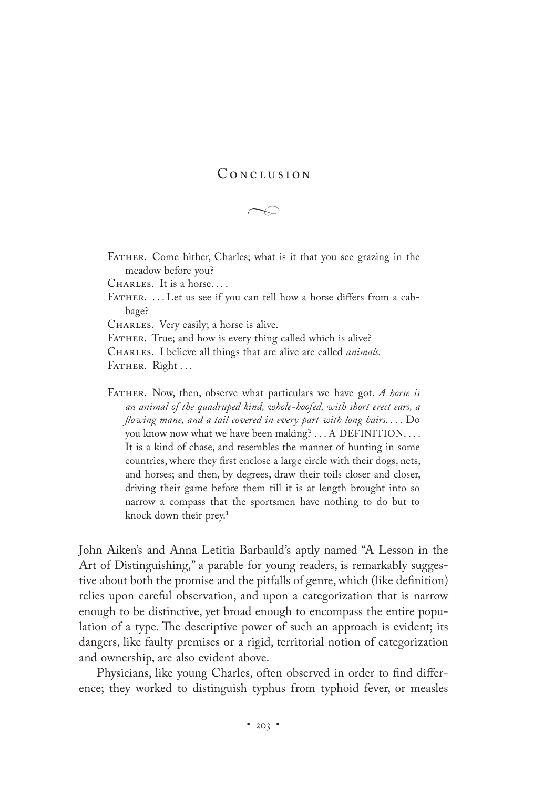# CONCLUSION

 $\rightarrow$ 

FATHER. Come hither, Charles; what is it that you see grazing in the meadow before you?

CHARLES. It is a horse....

FATHER. ... Let us see if you can tell how a horse differs from a cabbage?

CHARLES. Very easily; a horse is alive.

FATHER. True; and how is every thing called which is alive?

Charles. I believe all things that are alive are called *animals.*

FATHER. Right ...

Father. Now, then, observe what particulars we have got. *A horse is an animal of the quadruped kind, whole-hoofed, with short erect ears, a flowing mane, and a tail covered in every part with long hairs. . . .* Do you know now what we have been making? . . . A DEFINITION. . . . It is a kind of chase, and resembles the manner of hunting in some countries, where they first enclose a large circle with their dogs, nets, and horses; and then, by degrees, draw their toils closer and closer, driving their game before them till it is at length brought into so narrow a compass that the sportsmen have nothing to do but to knock down their prey.1

John Aiken's and Anna Letitia Barbauld's aptly named "A Lesson in the Art of Distinguishing," a parable for young readers, is remarkably suggestive about both the promise and the pitfalls of genre, which (like definition) relies upon careful observation, and upon a categorization that is narrow enough to be distinctive, yet broad enough to encompass the entire population of a type. The descriptive power of such an approach is evident; its dangers, like faulty premises or a rigid, territorial notion of categorization and ownership, are also evident above.

Physicians, like young Charles, often observed in order to find difference; they worked to distinguish typhus from typhoid fever, or measles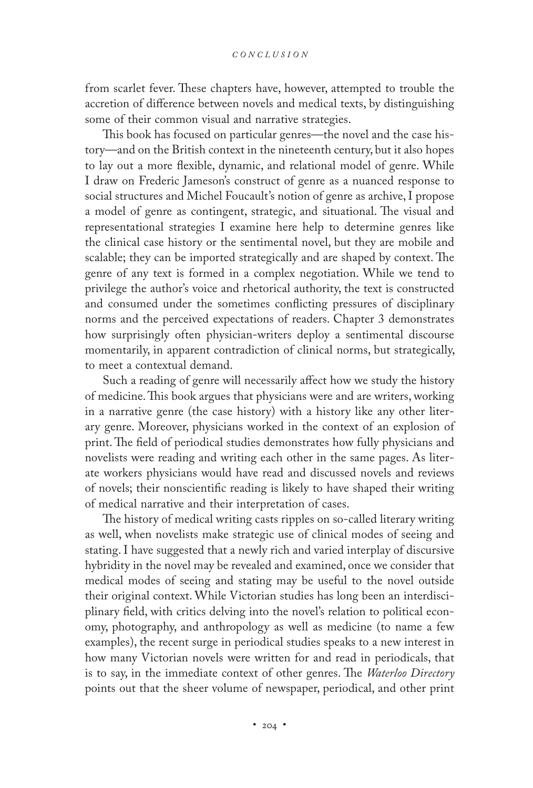from scarlet fever. These chapters have, however, attempted to trouble the accretion of difference between novels and medical texts, by distinguishing some of their common visual and narrative strategies.

This book has focused on particular genres—the novel and the case history—and on the British context in the nineteenth century, but it also hopes to lay out a more flexible, dynamic, and relational model of genre. While I draw on Frederic Jameson's construct of genre as a nuanced response to social structures and Michel Foucault's notion of genre as archive, I propose a model of genre as contingent, strategic, and situational. The visual and representational strategies I examine here help to determine genres like the clinical case history or the sentimental novel, but they are mobile and scalable; they can be imported strategically and are shaped by context. The genre of any text is formed in a complex negotiation. While we tend to privilege the author's voice and rhetorical authority, the text is constructed and consumed under the sometimes conflicting pressures of disciplinary norms and the perceived expectations of readers. Chapter 3 demonstrates how surprisingly often physician-writers deploy a sentimental discourse momentarily, in apparent contradiction of clinical norms, but strategically, to meet a contextual demand.

Such a reading of genre will necessarily affect how we study the history of medicine. This book argues that physicians were and are writers, working in a narrative genre (the case history) with a history like any other literary genre. Moreover, physicians worked in the context of an explosion of print. The field of periodical studies demonstrates how fully physicians and novelists were reading and writing each other in the same pages. As literate workers physicians would have read and discussed novels and reviews of novels; their nonscientific reading is likely to have shaped their writing of medical narrative and their interpretation of cases.

The history of medical writing casts ripples on so-called literary writing as well, when novelists make strategic use of clinical modes of seeing and stating. I have suggested that a newly rich and varied interplay of discursive hybridity in the novel may be revealed and examined, once we consider that medical modes of seeing and stating may be useful to the novel outside their original context. While Victorian studies has long been an interdisciplinary field, with critics delving into the novel's relation to political economy, photography, and anthropology as well as medicine (to name a few examples), the recent surge in periodical studies speaks to a new interest in how many Victorian novels were written for and read in periodicals, that is to say, in the immediate context of other genres. The *Waterloo Directory* points out that the sheer volume of newspaper, periodical, and other print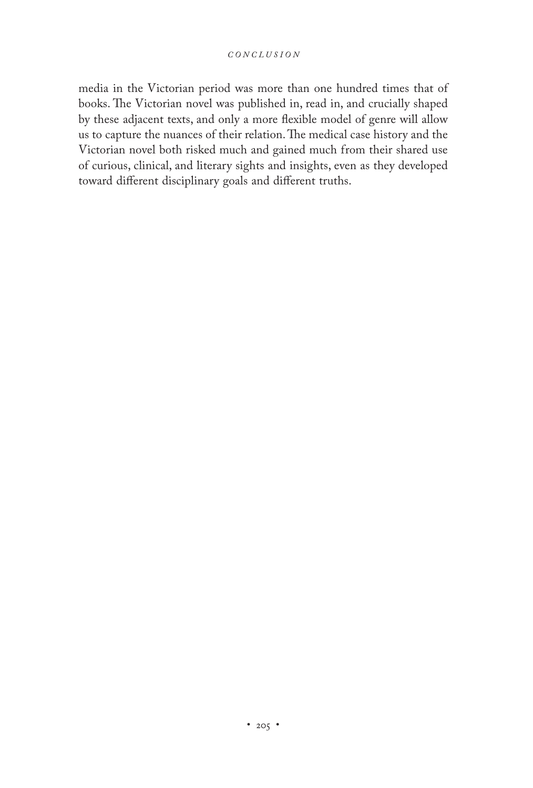media in the Victorian period was more than one hundred times that of books. The Victorian novel was published in, read in, and crucially shaped by these adjacent texts, and only a more flexible model of genre will allow us to capture the nuances of their relation. The medical case history and the Victorian novel both risked much and gained much from their shared use of curious, clinical, and literary sights and insights, even as they developed toward different disciplinary goals and different truths.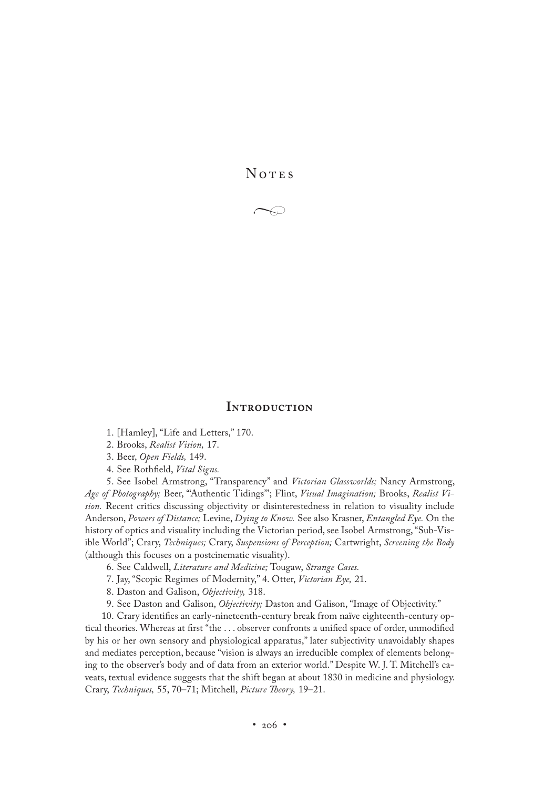**NOTES** 

 $\rightarrow$ 

#### **Introduction**

1. [Hamley], "Life and Letters," 170.

2. Brooks, *Realist Vision,* 17.

3. Beer, *Open Fields,* 149.

4. See Rothfield, *Vital Signs.*

5. See Isobel Armstrong, "Transparency" and *Victorian Glassworlds;* Nancy Armstrong, *Age of Photography;* Beer, "'Authentic Tidings'"; Flint, *Visual Imagination;* Brooks, *Realist Vision.* Recent critics discussing objectivity or disinterestedness in relation to visuality include Anderson, *Powers of Distance;* Levine, *Dying to Know.* See also Krasner, *Entangled Eye.* On the history of optics and visuality including the Victorian period, see Isobel Armstrong, "Sub-Visible World"; Crary, *Techniques;* Crary, *Suspensions of Perception;* Cartwright, *Screening the Body* (although this focuses on a postcinematic visuality).

6. See Caldwell, *Literature and Medicine;* Tougaw, *Strange Cases.*

7. Jay, "Scopic Regimes of Modernity," 4. Otter, *Victorian Eye,* 21.

8. Daston and Galison, *Objectivity,* 318.

9. See Daston and Galison, *Objectivity;* Daston and Galison, "Image of Objectivity."

10. Crary identifies an early-nineteenth-century break from naïve eighteenth-century optical theories. Whereas at first "the . . . observer confronts a unified space of order, unmodified by his or her own sensory and physiological apparatus," later subjectivity unavoidably shapes and mediates perception, because "vision is always an irreducible complex of elements belonging to the observer's body and of data from an exterior world." Despite W. J. T. Mitchell's caveats, textual evidence suggests that the shift began at about 1830 in medicine and physiology. Crary, *Techniques,* 55, 70–71; Mitchell, *Picture Theory,* 19–21.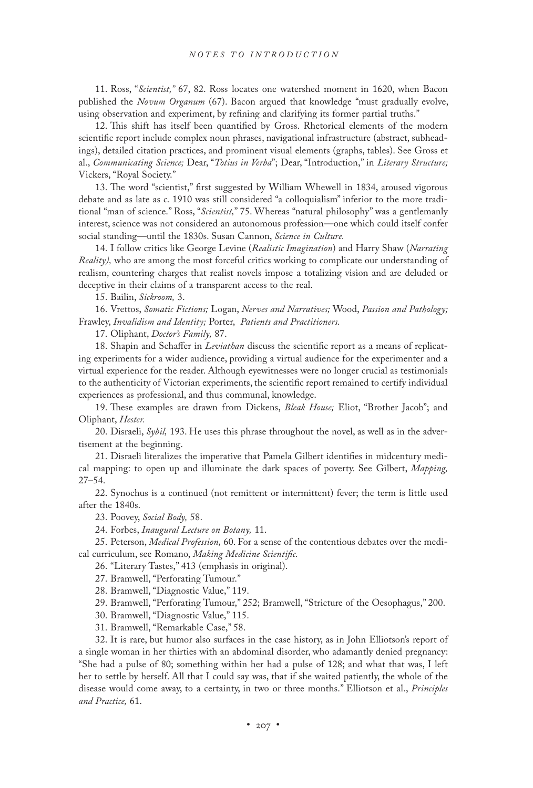11. Ross, "*Scientist,"* 67, 82. Ross locates one watershed moment in 1620, when Bacon published the *Novum Organum* (67). Bacon argued that knowledge "must gradually evolve, using observation and experiment, by refining and clarifying its former partial truths."

12. This shift has itself been quantified by Gross. Rhetorical elements of the modern scientific report include complex noun phrases, navigational infrastructure (abstract, subheadings), detailed citation practices, and prominent visual elements (graphs, tables). See Gross et al., *Communicating Science;* Dear, "*Totius in Verba*"; Dear, "Introduction," in *Literary Structure;* Vickers, "Royal Society."

13. The word "scientist," first suggested by William Whewell in 1834, aroused vigorous debate and as late as c. 1910 was still considered "a colloquialism" inferior to the more traditional "man of science." Ross, "*Scientist,*" 75. Whereas "natural philosophy" was a gentlemanly interest, science was not considered an autonomous profession—one which could itself confer social standing—until the 1830s. Susan Cannon, *Science in Culture.*

14. I follow critics like George Levine (*Realistic Imagination*) and Harry Shaw (*Narrating Reality),* who are among the most forceful critics working to complicate our understanding of realism, countering charges that realist novels impose a totalizing vision and are deluded or deceptive in their claims of a transparent access to the real.

15. Bailin, *Sickroom,* 3.

16. Vrettos, *Somatic Fictions;* Logan, *Nerves and Narratives;* Wood, *Passion and Pathology;* Frawley, *Invalidism and Identity;* Porter, *Patients and Practitioners.*

17. Oliphant, *Doctor's Family,* 87.

18. Shapin and Schaffer in *Leviathan* discuss the scientific report as a means of replicating experiments for a wider audience, providing a virtual audience for the experimenter and a virtual experience for the reader. Although eyewitnesses were no longer crucial as testimonials to the authenticity of Victorian experiments, the scientific report remained to certify individual experiences as professional, and thus communal, knowledge.

19. These examples are drawn from Dickens, *Bleak House;* Eliot, "Brother Jacob"; and Oliphant, *Hester.*

20. Disraeli, *Sybil,* 193. He uses this phrase throughout the novel, as well as in the advertisement at the beginning.

21. Disraeli literalizes the imperative that Pamela Gilbert identifies in midcentury medical mapping: to open up and illuminate the dark spaces of poverty. See Gilbert, *Mapping,* 27–54.

22. Synochus is a continued (not remittent or intermittent) fever; the term is little used after the 1840s.

23. Poovey, *Social Body,* 58.

24. Forbes, *Inaugural Lecture on Botany,* 11.

25. Peterson, *Medical Profession,* 60. For a sense of the contentious debates over the medical curriculum, see Romano, *Making Medicine Scientific.*

26. "Literary Tastes," 413 (emphasis in original).

27. Bramwell, "Perforating Tumour."

28. Bramwell, "Diagnostic Value," 119.

29. Bramwell, "Perforating Tumour," 252; Bramwell, "Stricture of the Oesophagus," 200.

30. Bramwell, "Diagnostic Value," 115.

31. Bramwell, "Remarkable Case," 58.

32. It is rare, but humor also surfaces in the case history, as in John Elliotson's report of a single woman in her thirties with an abdominal disorder, who adamantly denied pregnancy: "She had a pulse of 80; something within her had a pulse of 128; and what that was, I left her to settle by herself. All that I could say was, that if she waited patiently, the whole of the disease would come away, to a certainty, in two or three months." Elliotson et al., *Principles and Practice,* 61.

•  $207$  •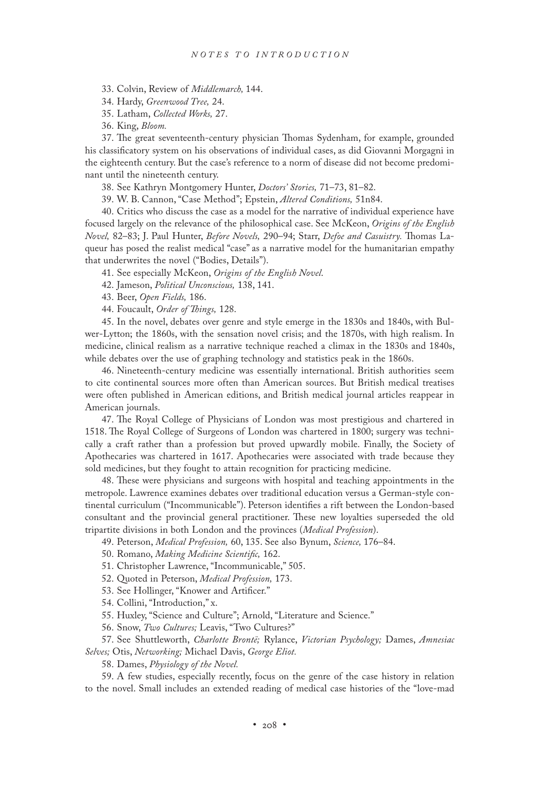33. Colvin, Review of *Middlemarch,* 144.

34. Hardy, *Greenwood Tree,* 24.

35. Latham, *Collected Works,* 27.

36. King, *Bloom.*

37. The great seventeenth-century physician Thomas Sydenham, for example, grounded his classificatory system on his observations of individual cases, as did Giovanni Morgagni in the eighteenth century. But the case's reference to a norm of disease did not become predominant until the nineteenth century.

38. See Kathryn Montgomery Hunter, *Doctors' Stories,* 71–73, 81–82.

39. W. B. Cannon, "Case Method"; Epstein, *Altered Conditions,* 51n84.

40. Critics who discuss the case as a model for the narrative of individual experience have focused largely on the relevance of the philosophical case. See McKeon, *Origins of the English Novel,* 82–83; J. Paul Hunter, *Before Novels,* 290–94; Starr, *Defoe and Casuistry.* Thomas Laqueur has posed the realist medical "case" as a narrative model for the humanitarian empathy that underwrites the novel ("Bodies, Details").

41. See especially McKeon, *Origins of the English Novel*.

42. Jameson, *Political Unconscious,* 138, 141.

43. Beer, *Open Fields,* 186.

44. Foucault, *Order of Things,* 128.

45. In the novel, debates over genre and style emerge in the 1830s and 1840s, with Bulwer-Lytton; the 1860s, with the sensation novel crisis; and the 1870s, with high realism. In medicine, clinical realism as a narrative technique reached a climax in the 1830s and 1840s, while debates over the use of graphing technology and statistics peak in the 1860s.

46. Nineteenth-century medicine was essentially international. British authorities seem to cite continental sources more often than American sources. But British medical treatises were often published in American editions, and British medical journal articles reappear in American journals.

47. The Royal College of Physicians of London was most prestigious and chartered in 1518. The Royal College of Surgeons of London was chartered in 1800; surgery was technically a craft rather than a profession but proved upwardly mobile. Finally, the Society of Apothecaries was chartered in 1617. Apothecaries were associated with trade because they sold medicines, but they fought to attain recognition for practicing medicine.

48. These were physicians and surgeons with hospital and teaching appointments in the metropole. Lawrence examines debates over traditional education versus a German-style continental curriculum ("Incommunicable"). Peterson identifies a rift between the London-based consultant and the provincial general practitioner. These new loyalties superseded the old tripartite divisions in both London and the provinces (*Medical Profession*).

49. Peterson, *Medical Profession,* 60, 135. See also Bynum, *Science,* 176–84.

50. Romano, *Making Medicine Scientific,* 162.

51. Christopher Lawrence, "Incommunicable," 505.

52. Quoted in Peterson, *Medical Profession,* 173.

53. See Hollinger, "Knower and Artificer."

54. Collini, "Introduction," x.

55. Huxley, "Science and Culture"; Arnold, "Literature and Science."

56. Snow, *Two Cultures;* Leavis, "Two Cultures?"

57. See Shuttleworth, *Charlotte Brontë;* Rylance, *Victorian Psychology;* Dames, *Amnesiac Selves;* Otis, *Networking;* Michael Davis, *George Eliot.*

58. Dames, *Physiology of the Novel.*

59. A few studies, especially recently, focus on the genre of the case history in relation to the novel. Small includes an extended reading of medical case histories of the "love-mad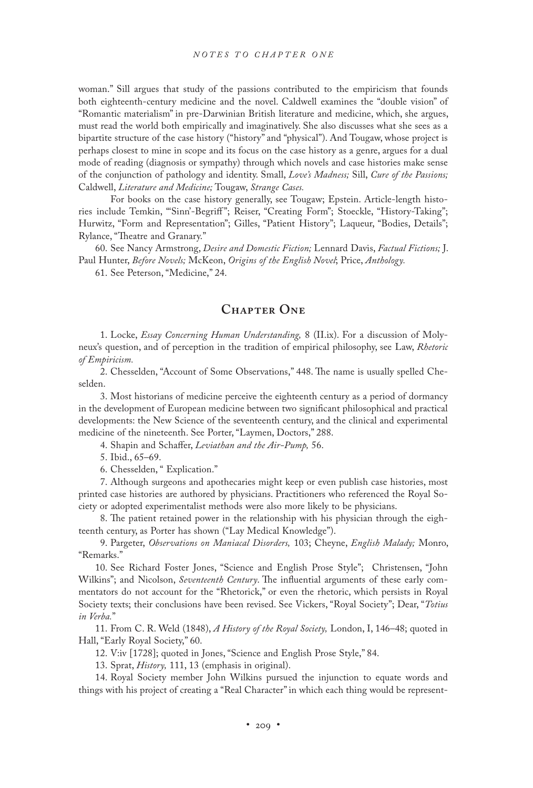woman." Sill argues that study of the passions contributed to the empiricism that founds both eighteenth-century medicine and the novel. Caldwell examines the "double vision" of "Romantic materialism" in pre-Darwinian British literature and medicine, which, she argues, must read the world both empirically and imaginatively. She also discusses what she sees as a bipartite structure of the case history ("history" and "physical"). And Tougaw, whose project is perhaps closest to mine in scope and its focus on the case history as a genre, argues for a dual mode of reading (diagnosis or sympathy) through which novels and case histories make sense of the conjunction of pathology and identity. Small, *Love's Madness;* Sill, *Cure of the Passions;* Caldwell, *Literature and Medicine;* Tougaw, *Strange Cases.*

 For books on the case history generally, see Tougaw; Epstein. Article-length histories include Temkin, "'Sinn'-Begriff "; Reiser, "Creating Form"; Stoeckle, "History-Taking"; Hurwitz, "Form and Representation"; Gilles, "Patient History"; Laqueur, "Bodies, Details"; Rylance, "Theatre and Granary."

60. See Nancy Armstrong, *Desire and Domestic Fiction;* Lennard Davis, *Factual Fictions;* J. Paul Hunter, *Before Novels;* McKeon, *Origins of the English Novel*; Price, *Anthology.*

61. See Peterson, "Medicine," 24.

## **Chapter One**

1. Locke, *Essay Concerning Human Understanding,* 8 (II.ix). For a discussion of Molyneux's question, and of perception in the tradition of empirical philosophy, see Law, *Rhetoric of Empiricism.*

2. Chesselden, "Account of Some Observations," 448. The name is usually spelled Cheselden.

3. Most historians of medicine perceive the eighteenth century as a period of dormancy in the development of European medicine between two significant philosophical and practical developments: the New Science of the seventeenth century, and the clinical and experimental medicine of the nineteenth. See Porter, "Laymen, Doctors," 288.

4. Shapin and Schaffer, *Leviathan and the Air-Pump,* 56.

5. Ibid., 65–69.

6. Chesselden, " Explication."

7. Although surgeons and apothecaries might keep or even publish case histories, most printed case histories are authored by physicians. Practitioners who referenced the Royal Society or adopted experimentalist methods were also more likely to be physicians.

8. The patient retained power in the relationship with his physician through the eighteenth century, as Porter has shown ("Lay Medical Knowledge").

9. Pargeter, *Observations on Maniacal Disorders,* 103; Cheyne, *English Malady;* Monro, "Remarks."

10. See Richard Foster Jones, "Science and English Prose Style"; Christensen, "John Wilkins"; and Nicolson, *Seventeenth Century*. The influential arguments of these early commentators do not account for the "Rhetorick," or even the rhetoric, which persists in Royal Society texts; their conclusions have been revised. See Vickers, "Royal Society"; Dear, "*Totius in Verba.*"

11. From C. R. Weld (1848), *A History of the Royal Society,* London, I, 146–48; quoted in Hall, "Early Royal Society," 60.

12. V:iv [1728]; quoted in Jones, "Science and English Prose Style," 84.

13. Sprat, *History,* 111, 13 (emphasis in original).

14. Royal Society member John Wilkins pursued the injunction to equate words and things with his project of creating a "Real Character" in which each thing would be represent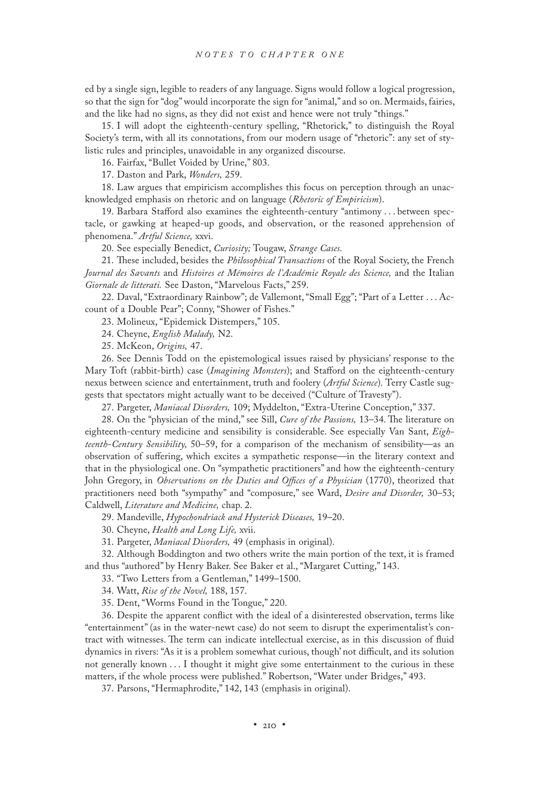ed by a single sign, legible to readers of any language. Signs would follow a logical progression, so that the sign for "dog" would incorporate the sign for "animal," and so on. Mermaids, fairies, and the like had no signs, as they did not exist and hence were not truly "things."

15. I will adopt the eighteenth-century spelling, "Rhetorick," to distinguish the Royal Society's term, with all its connotations, from our modern usage of "rhetoric": any set of stylistic rules and principles, unavoidable in any organized discourse.

16. Fairfax, "Bullet Voided by Urine," 803.

17. Daston and Park, *Wonders,* 259.

18. Law argues that empiricism accomplishes this focus on perception through an unacknowledged emphasis on rhetoric and on language (*Rhetoric of Empiricism*).

19. Barbara Stafford also examines the eighteenth-century "antimony . . . between spectacle, or gawking at heaped-up goods, and observation, or the reasoned apprehension of phenomena." *Artful Science,* xxvi.

20. See especially Benedict, *Curiosity;* Tougaw, *Strange Cases.*

21. These included, besides the *Philosophical Transactions* of the Royal Society, the French *Journal des Savants* and *Histoires et Mémoires de l'Académie Royale des Science,* and the Italian *Giornale de litterati.* See Daston, "Marvelous Facts," 259.

22. Daval, "Extraordinary Rainbow"; de Vallemont, "Small Egg"; "Part of a Letter . . . Account of a Double Pear"; Conny, "Shower of Fishes."

23. Molineux, "Epidemick Distempers," 105.

24. Cheyne, *English Malady,* N2.

25. McKeon, *Origins,* 47.

26. See Dennis Todd on the epistemological issues raised by physicians' response to the Mary Toft (rabbit-birth) case (*Imagining Monsters*); and Stafford on the eighteenth-century nexus between science and entertainment, truth and foolery (*Artful Science*)*.* Terry Castle suggests that spectators might actually want to be deceived ("Culture of Travesty").

27. Pargeter, *Maniacal Disorders,* 109; Myddelton, "Extra-Uterine Conception," 337.

28. On the "physician of the mind," see Sill, *Cure of the Passions,* 13–34. The literature on eighteenth-century medicine and sensibility is considerable. See especially Van Sant, *Eighteenth-Century Sensibility,* 50–59, for a comparison of the mechanism of sensibility—as an observation of suffering, which excites a sympathetic response—in the literary context and that in the physiological one. On "sympathetic practitioners" and how the eighteenth-century John Gregory, in *Observations on the Duties and Offices of a Physician* (1770), theorized that practitioners need both "sympathy" and "composure," see Ward, *Desire and Disorder,* 30–53; Caldwell, *Literature and Medicine,* chap. 2.

29. Mandeville, *Hypochondriack and Hysterick Diseases,* 19–20.

30. Cheyne, *Health and Long Life,* xvii.

31. Pargeter, *Maniacal Disorders,* 49 (emphasis in original).

32. Although Boddington and two others write the main portion of the text, it is framed and thus "authored" by Henry Baker. See Baker et al., "Margaret Cutting," 143.

33. "Two Letters from a Gentleman," 1499–1500.

34. Watt, *Rise of the Novel,* 188, 157.

35. Dent, "Worms Found in the Tongue," 220.

36. Despite the apparent conflict with the ideal of a disinterested observation, terms like "entertainment" (as in the water-newt case) do not seem to disrupt the experimentalist's contract with witnesses. The term can indicate intellectual exercise, as in this discussion of fluid dynamics in rivers: "As it is a problem somewhat curious, though' not difficult, and its solution not generally known . . . I thought it might give some entertainment to the curious in these matters, if the whole process were published." Robertson, "Water under Bridges," 493.

37. Parsons, "Hermaphrodite," 142, 143 (emphasis in original).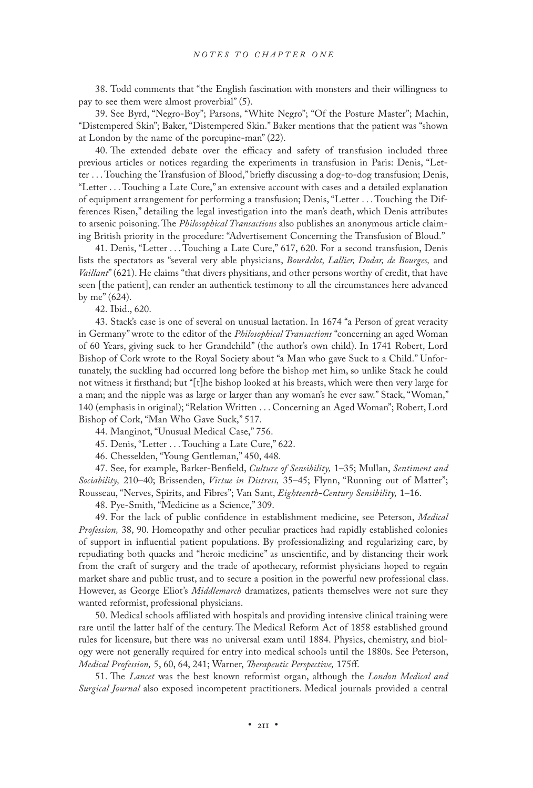38. Todd comments that "the English fascination with monsters and their willingness to pay to see them were almost proverbial" (5).

39. See Byrd, "Negro-Boy"; Parsons, "White Negro"; "Of the Posture Master"; Machin, "Distempered Skin"; Baker, "Distempered Skin." Baker mentions that the patient was "shown at London by the name of the porcupine-man" (22).

40. The extended debate over the efficacy and safety of transfusion included three previous articles or notices regarding the experiments in transfusion in Paris: Denis, "Letter . . . Touching the Transfusion of Blood," briefly discussing a dog-to-dog transfusion; Denis, "Letter . . . Touching a Late Cure," an extensive account with cases and a detailed explanation of equipment arrangement for performing a transfusion; Denis, "Letter . . . Touching the Differences Risen," detailing the legal investigation into the man's death, which Denis attributes to arsenic poisoning. The *Philosophical Transactions* also publishes an anonymous article claiming British priority in the procedure: "Advertisement Concerning the Transfusion of Bloud."

41. Denis, "Letter . . . Touching a Late Cure," 617, 620. For a second transfusion, Denis lists the spectators as "several very able physicians, *Bourdelot, Lallier, Dodar, de Bourges,* and *Vaillant*" (621). He claims "that divers physitians, and other persons worthy of credit, that have seen [the patient], can render an authentick testimony to all the circumstances here advanced by me" (624).

42. Ibid., 620.

43. Stack's case is one of several on unusual lactation. In 1674 "a Person of great veracity in Germany" wrote to the editor of the *Philosophical Transactions* "concerning an aged Woman of 60 Years, giving suck to her Grandchild" (the author's own child). In 1741 Robert, Lord Bishop of Cork wrote to the Royal Society about "a Man who gave Suck to a Child." Unfortunately, the suckling had occurred long before the bishop met him, so unlike Stack he could not witness it firsthand; but "[t]he bishop looked at his breasts, which were then very large for a man; and the nipple was as large or larger than any woman's he ever saw." Stack, "Woman," 140 (emphasis in original); "Relation Written . . . Concerning an Aged Woman"; Robert, Lord Bishop of Cork, "Man Who Gave Suck," 517.

44. Manginot, "Unusual Medical Case," 756.

45. Denis, "Letter . . . Touching a Late Cure," 622.

46. Chesselden, "Young Gentleman," 450, 448.

47. See, for example, Barker-Benfield, *Culture of Sensibility,* 1–35; Mullan, *Sentiment and Sociability,* 210–40; Brissenden, *Virtue in Distress,* 35–45; Flynn, "Running out of Matter"; Rousseau, "Nerves, Spirits, and Fibres"; Van Sant, *Eighteenth-Century Sensibility,* 1–16.

48. Pye-Smith, "Medicine as a Science," 309.

49. For the lack of public confidence in establishment medicine, see Peterson, *Medical Profession,* 38, 90. Homeopathy and other peculiar practices had rapidly established colonies of support in influential patient populations. By professionalizing and regularizing care, by repudiating both quacks and "heroic medicine" as unscientific, and by distancing their work from the craft of surgery and the trade of apothecary, reformist physicians hoped to regain market share and public trust, and to secure a position in the powerful new professional class. However, as George Eliot's *Middlemarch* dramatizes, patients themselves were not sure they wanted reformist, professional physicians.

50. Medical schools affiliated with hospitals and providing intensive clinical training were rare until the latter half of the century. The Medical Reform Act of 1858 established ground rules for licensure, but there was no universal exam until 1884. Physics, chemistry, and biology were not generally required for entry into medical schools until the 1880s. See Peterson, *Medical Profession,* 5, 60, 64, 241; Warner, *Therapeutic Perspective,* 175ff.

51. The *Lancet* was the best known reformist organ, although the *London Medical and Surgical Journal* also exposed incompetent practitioners. Medical journals provided a central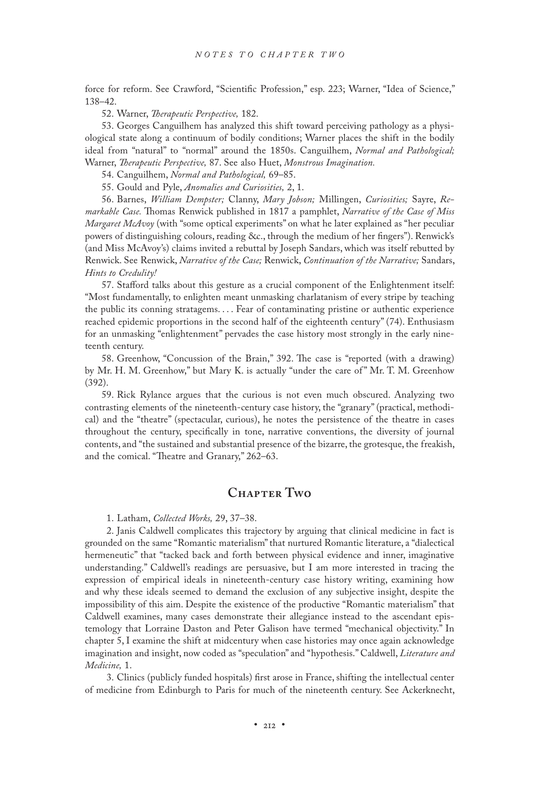force for reform. See Crawford, "Scientific Profession," esp. 223; Warner, "Idea of Science," 138–42.

52. Warner, *Therapeutic Perspective,* 182.

53. Georges Canguilhem has analyzed this shift toward perceiving pathology as a physiological state along a continuum of bodily conditions; Warner places the shift in the bodily ideal from "natural" to "normal" around the 1850s. Canguilhem, *Normal and Pathological;* Warner, *Therapeutic Perspective,* 87. See also Huet, *Monstrous Imagination.*

54. Canguilhem, *Normal and Pathological,* 69–85.

55. Gould and Pyle, *Anomalies and Curiosities,* 2, 1.

56. Barnes, *William Dempster;* Clanny, *Mary Jobson;* Millingen, *Curiosities;* Sayre, *Remarkable Case.* Thomas Renwick published in 1817 a pamphlet, *Narrative of the Case of Miss Margaret McAvoy* (with "some optical experiments" on what he later explained as "her peculiar powers of distinguishing colours, reading &c., through the medium of her fingers"). Renwick's (and Miss McAvoy's) claims invited a rebuttal by Joseph Sandars, which was itself rebutted by Renwick. See Renwick, *Narrative of the Case;* Renwick, *Continuation of the Narrative;* Sandars, *Hints to Credulity!*

57. Stafford talks about this gesture as a crucial component of the Enlightenment itself: "Most fundamentally, to enlighten meant unmasking charlatanism of every stripe by teaching the public its conning stratagems. . . . Fear of contaminating pristine or authentic experience reached epidemic proportions in the second half of the eighteenth century" (74). Enthusiasm for an unmasking "enlightenment" pervades the case history most strongly in the early nineteenth century.

58. Greenhow, "Concussion of the Brain," 392. The case is "reported (with a drawing) by Mr. H. M. Greenhow," but Mary K. is actually "under the care of " Mr. T. M. Greenhow (392).

59. Rick Rylance argues that the curious is not even much obscured. Analyzing two contrasting elements of the nineteenth-century case history, the "granary" (practical, methodical) and the "theatre" (spectacular, curious), he notes the persistence of the theatre in cases throughout the century, specifically in tone, narrative conventions, the diversity of journal contents, and "the sustained and substantial presence of the bizarre, the grotesque, the freakish, and the comical. "Theatre and Granary," 262–63.

### **Chapter Two**

1. Latham, *Collected Works,* 29, 37–38.

2. Janis Caldwell complicates this trajectory by arguing that clinical medicine in fact is grounded on the same "Romantic materialism" that nurtured Romantic literature, a "dialectical hermeneutic" that "tacked back and forth between physical evidence and inner, imaginative understanding." Caldwell's readings are persuasive, but I am more interested in tracing the expression of empirical ideals in nineteenth-century case history writing, examining how and why these ideals seemed to demand the exclusion of any subjective insight, despite the impossibility of this aim. Despite the existence of the productive "Romantic materialism" that Caldwell examines, many cases demonstrate their allegiance instead to the ascendant epistemology that Lorraine Daston and Peter Galison have termed "mechanical objectivity." In chapter 5, I examine the shift at midcentury when case histories may once again acknowledge imagination and insight, now coded as "speculation" and "hypothesis." Caldwell, *Literature and Medicine,* 1.

3. Clinics (publicly funded hospitals) first arose in France, shifting the intellectual center of medicine from Edinburgh to Paris for much of the nineteenth century. See Ackerknecht,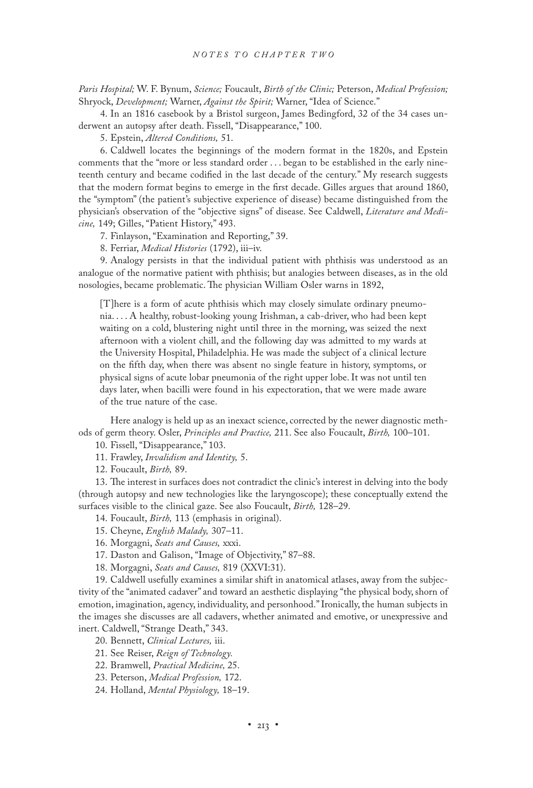*Paris Hospital;* W. F. Bynum, *Science;* Foucault, *Birth of the Clinic;* Peterson, *Medical Profession;* Shryock, *Development;* Warner, *Against the Spirit;* Warner, "Idea of Science."

4. In an 1816 casebook by a Bristol surgeon, James Bedingford, 32 of the 34 cases underwent an autopsy after death. Fissell, "Disappearance," 100.

5. Epstein, *Altered Conditions,* 51.

6. Caldwell locates the beginnings of the modern format in the 1820s, and Epstein comments that the "more or less standard order . . . began to be established in the early nineteenth century and became codified in the last decade of the century." My research suggests that the modern format begins to emerge in the first decade. Gilles argues that around 1860, the "symptom" (the patient's subjective experience of disease) became distinguished from the physician's observation of the "objective signs" of disease. See Caldwell, *Literature and Medicine,* 149; Gilles, "Patient History," 493.

7. Finlayson, "Examination and Reporting," 39.

8. Ferriar, *Medical Histories* (1792), iii–iv.

9. Analogy persists in that the individual patient with phthisis was understood as an analogue of the normative patient with phthisis; but analogies between diseases, as in the old nosologies, became problematic. The physician William Osler warns in 1892,

[T]here is a form of acute phthisis which may closely simulate ordinary pneumonia. . . . A healthy, robust-looking young Irishman, a cab-driver, who had been kept waiting on a cold, blustering night until three in the morning, was seized the next afternoon with a violent chill, and the following day was admitted to my wards at the University Hospital, Philadelphia. He was made the subject of a clinical lecture on the fifth day, when there was absent no single feature in history, symptoms, or physical signs of acute lobar pneumonia of the right upper lobe. It was not until ten days later, when bacilli were found in his expectoration, that we were made aware of the true nature of the case.

 Here analogy is held up as an inexact science, corrected by the newer diagnostic methods of germ theory. Osler, *Principles and Practice,* 211. See also Foucault, *Birth,* 100–101.

10. Fissell, "Disappearance," 103.

11. Frawley, *Invalidism and Identity,* 5.

12. Foucault, *Birth,* 89.

13. The interest in surfaces does not contradict the clinic's interest in delving into the body (through autopsy and new technologies like the laryngoscope); these conceptually extend the surfaces visible to the clinical gaze. See also Foucault, *Birth,* 128–29.

14. Foucault, *Birth,* 113 (emphasis in original).

- 15. Cheyne, *English Malady,* 307–11.
- 16. Morgagni, *Seats and Causes,* xxxi.

17. Daston and Galison, "Image of Objectivity," 87–88.

18. Morgagni, *Seats and Causes,* 819 (XXVI:31).

19. Caldwell usefully examines a similar shift in anatomical atlases, away from the subjectivity of the "animated cadaver" and toward an aesthetic displaying "the physical body, shorn of emotion, imagination, agency, individuality, and personhood." Ironically, the human subjects in the images she discusses are all cadavers, whether animated and emotive, or unexpressive and inert. Caldwell, "Strange Death," 343.

20. Bennett, *Clinical Lectures,* iii.

- 21. See Reiser, *Reign of Technology.*
- 22. Bramwell, *Practical Medicine,* 25.
- 23. Peterson, *Medical Profession,* 172.

24. Holland, *Mental Physiology,* 18–19.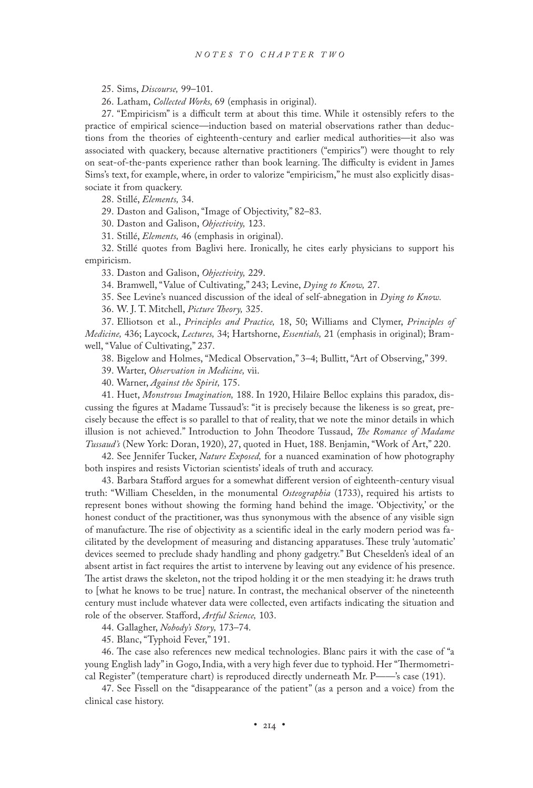25. Sims, *Discourse,* 99–101.

26. Latham, *Collected Works,* 69 (emphasis in original).

27. "Empiricism" is a difficult term at about this time. While it ostensibly refers to the practice of empirical science—induction based on material observations rather than deductions from the theories of eighteenth-century and earlier medical authorities—it also was associated with quackery, because alternative practitioners ("empirics") were thought to rely on seat-of-the-pants experience rather than book learning. The difficulty is evident in James Sims's text, for example, where, in order to valorize "empiricism," he must also explicitly disassociate it from quackery.

28. Stillé, *Elements,* 34.

29. Daston and Galison, "Image of Objectivity," 82–83.

30. Daston and Galison, *Objectivity,* 123.

31. Stillé, *Elements,* 46 (emphasis in original).

32. Stillé quotes from Baglivi here. Ironically, he cites early physicians to support his empiricism.

33. Daston and Galison, *Objectivity,* 229.

34. Bramwell, "Value of Cultivating," 243; Levine, *Dying to Know,* 27.

35. See Levine's nuanced discussion of the ideal of self-abnegation in *Dying to Know.*

36. W. J. T. Mitchell, *Picture Theory,* 325.

37. Elliotson et al., *Principles and Practice,* 18, 50; Williams and Clymer, *Principles of Medicine,* 436; Laycock, *Lectures,* 34; Hartshorne, *Essentials,* 21 (emphasis in original); Bramwell, "Value of Cultivating," 237.

38. Bigelow and Holmes, "Medical Observation," 3–4; Bullitt, "Art of Observing," 399.

39. Warter, *Observation in Medicine,* vii.

40. Warner, *Against the Spirit,* 175.

41. Huet, *Monstrous Imagination,* 188. In 1920, Hilaire Belloc explains this paradox, discussing the figures at Madame Tussaud's: "it is precisely because the likeness is so great, precisely because the effect is so parallel to that of reality, that we note the minor details in which illusion is not achieved." Introduction to John Theodore Tussaud, *The Romance of Madame Tussaud's* (New York: Doran, 1920), 27, quoted in Huet, 188. Benjamin, "Work of Art," 220.

42. See Jennifer Tucker, *Nature Exposed,* for a nuanced examination of how photography both inspires and resists Victorian scientists' ideals of truth and accuracy.

43. Barbara Stafford argues for a somewhat different version of eighteenth-century visual truth: "William Cheselden, in the monumental *Osteographia* (1733), required his artists to represent bones without showing the forming hand behind the image. 'Objectivity,' or the honest conduct of the practitioner, was thus synonymous with the absence of any visible sign of manufacture. The rise of objectivity as a scientific ideal in the early modern period was facilitated by the development of measuring and distancing apparatuses. These truly 'automatic' devices seemed to preclude shady handling and phony gadgetry." But Cheselden's ideal of an absent artist in fact requires the artist to intervene by leaving out any evidence of his presence. The artist draws the skeleton, not the tripod holding it or the men steadying it: he draws truth to [what he knows to be true] nature. In contrast, the mechanical observer of the nineteenth century must include whatever data were collected, even artifacts indicating the situation and role of the observer. Stafford, *Artful Science,* 103.

44. Gallagher, *Nobody's Story,* 173–74.

45. Blanc, "Typhoid Fever," 191.

46. The case also references new medical technologies. Blanc pairs it with the case of "a young English lady" in Gogo, India, with a very high fever due to typhoid. Her "Thermometrical Register" (temperature chart) is reproduced directly underneath Mr. P——'s case (191).

47. See Fissell on the "disappearance of the patient" (as a person and a voice) from the clinical case history.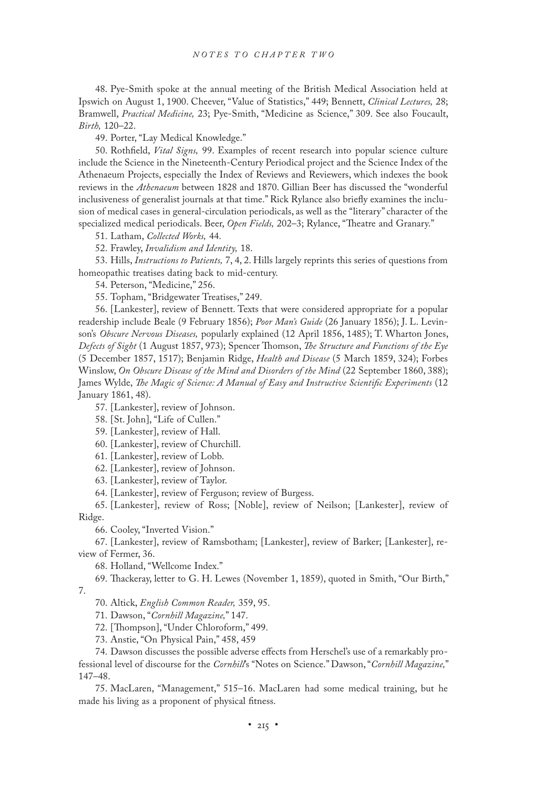48. Pye-Smith spoke at the annual meeting of the British Medical Association held at Ipswich on August 1, 1900. Cheever, "Value of Statistics," 449; Bennett, *Clinical Lectures,* 28; Bramwell, *Practical Medicine,* 23; Pye-Smith, "Medicine as Science," 309. See also Foucault, *Birth,* 120–22.

49. Porter, "Lay Medical Knowledge."

50. Rothfield, *Vital Signs,* 99. Examples of recent research into popular science culture include the Science in the Nineteenth-Century Periodical project and the Science Index of the Athenaeum Projects, especially the Index of Reviews and Reviewers, which indexes the book reviews in the *Athenaeum* between 1828 and 1870. Gillian Beer has discussed the "wonderful inclusiveness of generalist journals at that time." Rick Rylance also briefly examines the inclusion of medical cases in general-circulation periodicals, as well as the "literary" character of the specialized medical periodicals. Beer, *Open Fields,* 202–3; Rylance, "Theatre and Granary."

51. Latham, *Collected Works,* 44.

52. Frawley, *Invalidism and Identity,* 18.

53. Hills, *Instructions to Patients,* 7, 4, 2. Hills largely reprints this series of questions from homeopathic treatises dating back to mid-century.

54. Peterson, "Medicine," 256.

55. Topham, "Bridgewater Treatises," 249.

56. [Lankester], review of Bennett. Texts that were considered appropriate for a popular readership include Beale (9 February 1856); *Poor Man's Guide* (26 January 1856); J. L. Levinson's *Obscure Nervous Diseases,* popularly explained (12 April 1856, 1485); T. Wharton Jones, *Defects of Sight* (1 August 1857, 973); Spencer Thomson, *The Structure and Functions of the Eye* (5 December 1857, 1517); Benjamin Ridge, *Health and Disease* (5 March 1859, 324); Forbes Winslow, *On Obscure Disease of the Mind and Disorders of the Mind* (22 September 1860, 388); James Wylde, *The Magic of Science: A Manual of Easy and Instructive Scientific Experiments* (12 January 1861, 48).

57. [Lankester], review of Johnson.

58. [St. John], "Life of Cullen."

59. [Lankester], review of Hall.

60. [Lankester], review of Churchill.

61. [Lankester], review of Lobb.

62. [Lankester], review of Johnson.

63. [Lankester], review of Taylor.

64. [Lankester], review of Ferguson; review of Burgess.

65. [Lankester], review of Ross; [Noble], review of Neilson; [Lankester], review of Ridge.

66. Cooley, "Inverted Vision."

67. [Lankester], review of Ramsbotham; [Lankester], review of Barker; [Lankester], review of Fermer, 36.

68. Holland, "Wellcome Index."

69. Thackeray, letter to G. H. Lewes (November 1, 1859), quoted in Smith, "Our Birth," 7.

70. Altick, *English Common Reader,* 359, 95.

71. Dawson, "*Cornhill Magazine,*" 147.

72. [Thompson], "Under Chloroform," 499.

73. Anstie, "On Physical Pain," 458, 459

74. Dawson discusses the possible adverse effects from Herschel's use of a remarkably professional level of discourse for the *Cornhill*'s "Notes on Science." Dawson, "*Cornhill Magazine,*" 147–48.

75. MacLaren, "Management," 515–16. MacLaren had some medical training, but he made his living as a proponent of physical fitness.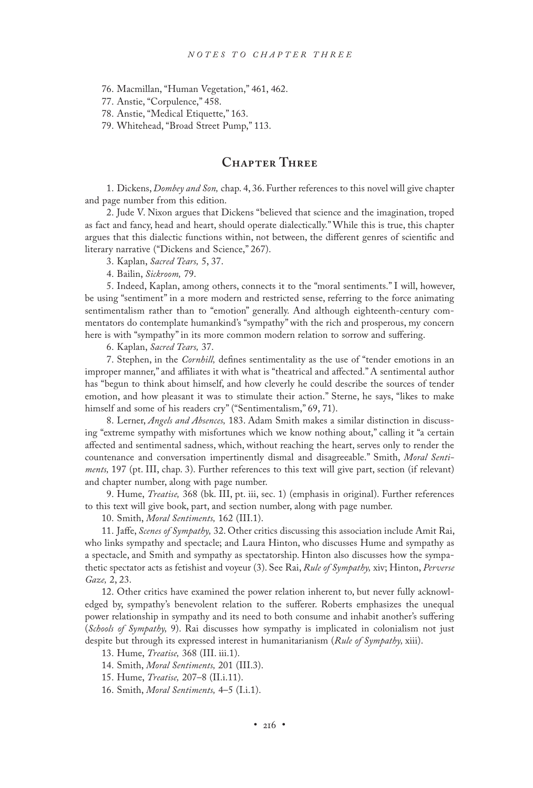76. Macmillan, "Human Vegetation," 461, 462.

77. Anstie, "Corpulence," 458.

78. Anstie, "Medical Etiquette," 163.

79. Whitehead, "Broad Street Pump," 113.

# **Chapter Three**

1. Dickens, *Dombey and Son,* chap. 4, 36. Further references to this novel will give chapter and page number from this edition.

2. Jude V. Nixon argues that Dickens "believed that science and the imagination, troped as fact and fancy, head and heart, should operate dialectically." While this is true, this chapter argues that this dialectic functions within, not between, the different genres of scientific and literary narrative ("Dickens and Science," 267).

3. Kaplan, *Sacred Tears,* 5, 37.

4. Bailin, *Sickroom,* 79.

5. Indeed, Kaplan, among others, connects it to the "moral sentiments." I will, however, be using "sentiment" in a more modern and restricted sense, referring to the force animating sentimentalism rather than to "emotion" generally. And although eighteenth-century commentators do contemplate humankind's "sympathy" with the rich and prosperous, my concern here is with "sympathy" in its more common modern relation to sorrow and suffering.

6. Kaplan, *Sacred Tears,* 37.

7. Stephen, in the *Cornhill,* defines sentimentality as the use of "tender emotions in an improper manner," and affiliates it with what is "theatrical and affected." A sentimental author has "begun to think about himself, and how cleverly he could describe the sources of tender emotion, and how pleasant it was to stimulate their action." Sterne, he says, "likes to make himself and some of his readers cry" ("Sentimentalism," 69, 71).

8. Lerner, *Angels and Absences,* 183. Adam Smith makes a similar distinction in discussing "extreme sympathy with misfortunes which we know nothing about," calling it "a certain affected and sentimental sadness, which, without reaching the heart, serves only to render the countenance and conversation impertinently dismal and disagreeable." Smith, *Moral Sentiments,* 197 (pt. III, chap. 3). Further references to this text will give part, section (if relevant) and chapter number, along with page number.

9. Hume, *Treatise,* 368 (bk. III, pt. iii, sec. 1) (emphasis in original). Further references to this text will give book, part, and section number, along with page number.

10. Smith, *Moral Sentiments,* 162 (III.1).

11. Jaffe, *Scenes of Sympathy,* 32. Other critics discussing this association include Amit Rai, who links sympathy and spectacle; and Laura Hinton, who discusses Hume and sympathy as a spectacle, and Smith and sympathy as spectatorship. Hinton also discusses how the sympathetic spectator acts as fetishist and voyeur (3). See Rai, *Rule of Sympathy,* xiv; Hinton, *Perverse Gaze,* 2, 23.

12. Other critics have examined the power relation inherent to, but never fully acknowledged by, sympathy's benevolent relation to the sufferer. Roberts emphasizes the unequal power relationship in sympathy and its need to both consume and inhabit another's suffering (*Schools of Sympathy,* 9). Rai discusses how sympathy is implicated in colonialism not just despite but through its expressed interest in humanitarianism (*Rule of Sympathy,* xiii).

13. Hume, *Treatise,* 368 (III. iii.1).

14. Smith, *Moral Sentiments,* 201 (III.3).

15. Hume, *Treatise,* 207–8 (II.i.11).

16. Smith, *Moral Sentiments,* 4–5 (I.i.1).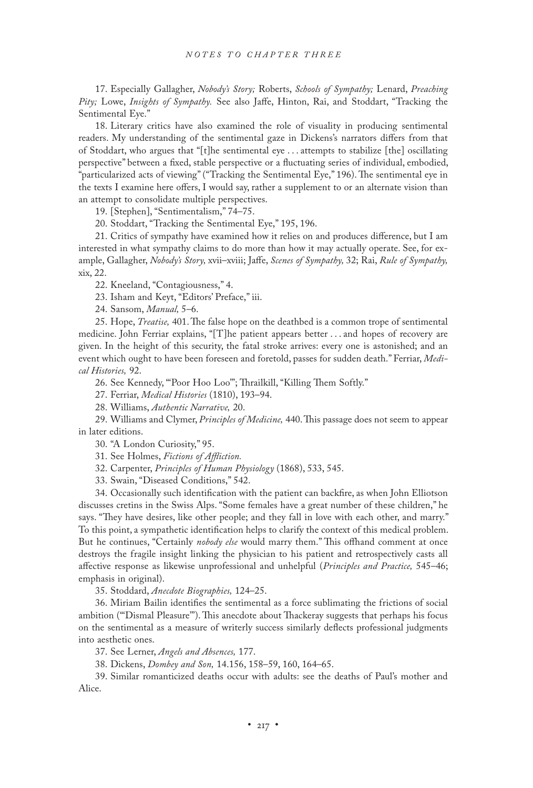17. Especially Gallagher, *Nobody's Story;* Roberts, *Schools of Sympathy;* Lenard, *Preaching Pity;* Lowe, *Insights of Sympathy.* See also Jaffe, Hinton, Rai, and Stoddart, "Tracking the Sentimental Eye."

18. Literary critics have also examined the role of visuality in producing sentimental readers. My understanding of the sentimental gaze in Dickens's narrators differs from that of Stoddart, who argues that "[t]he sentimental eye . . . attempts to stabilize [the] oscillating perspective" between a fixed, stable perspective or a fluctuating series of individual, embodied, "particularized acts of viewing" ("Tracking the Sentimental Eye," 196). The sentimental eye in the texts I examine here offers, I would say, rather a supplement to or an alternate vision than an attempt to consolidate multiple perspectives.

19. [Stephen], "Sentimentalism," 74–75.

20. Stoddart, "Tracking the Sentimental Eye," 195, 196.

21. Critics of sympathy have examined how it relies on and produces difference, but I am interested in what sympathy claims to do more than how it may actually operate. See, for example, Gallagher, *Nobody's Story,* xvii–xviii; Jaffe, *Scenes of Sympathy,* 32; Rai, *Rule of Sympathy,* xix, 22.

22. Kneeland, "Contagiousness," 4.

23. Isham and Keyt, "Editors' Preface," iii.

24. Sansom, *Manual,* 5–6.

25. Hope, *Treatise,* 401. The false hope on the deathbed is a common trope of sentimental medicine. John Ferriar explains, "[T]he patient appears better . . . and hopes of recovery are given. In the height of this security, the fatal stroke arrives: every one is astonished; and an event which ought to have been foreseen and foretold, passes for sudden death." Ferriar, *Medical Histories,* 92.

26. See Kennedy, "'Poor Hoo Loo'"; Thrailkill, "Killing Them Softly."

27. Ferriar, *Medical Histories* (1810), 193–94.

28. Williams, *Authentic Narrative,* 20.

29. Williams and Clymer, *Principles of Medicine,* 440. This passage does not seem to appear in later editions.

30. "A London Curiosity," 95.

31. See Holmes, *Fictions of Affliction.*

32. Carpenter, *Principles of Human Physiology* (1868), 533, 545.

33. Swain, "Diseased Conditions," 542.

34. Occasionally such identification with the patient can backfire, as when John Elliotson discusses cretins in the Swiss Alps. "Some females have a great number of these children," he says. "They have desires, like other people; and they fall in love with each other, and marry." To this point, a sympathetic identification helps to clarify the context of this medical problem. But he continues, "Certainly *nobody else* would marry them." This offhand comment at once destroys the fragile insight linking the physician to his patient and retrospectively casts all affective response as likewise unprofessional and unhelpful (*Principles and Practice,* 545–46; emphasis in original).

35. Stoddard, *Anecdote Biographies,* 124–25.

36. Miriam Bailin identifies the sentimental as a force sublimating the frictions of social ambition ("'Dismal Pleasure'"). This anecdote about Thackeray suggests that perhaps his focus on the sentimental as a measure of writerly success similarly deflects professional judgments into aesthetic ones.

37. See Lerner, *Angels and Absences,* 177.

38. Dickens, *Dombey and Son,* 14.156, 158–59, 160, 164–65.

39. Similar romanticized deaths occur with adults: see the deaths of Paul's mother and Alice.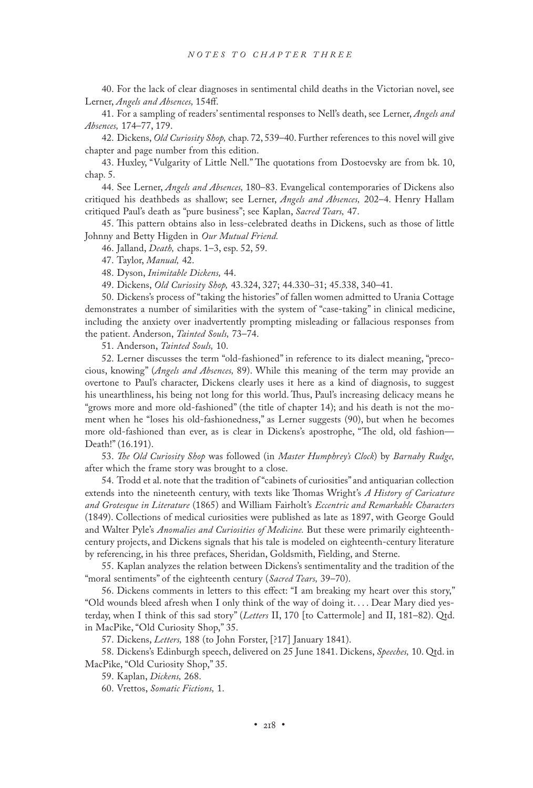40. For the lack of clear diagnoses in sentimental child deaths in the Victorian novel, see Lerner, *Angels and Absences,* 154ff.

41. For a sampling of readers' sentimental responses to Nell's death, see Lerner, *Angels and Absences,* 174–77, 179.

42. Dickens, *Old Curiosity Shop,* chap. 72, 539–40. Further references to this novel will give chapter and page number from this edition.

43. Huxley, "Vulgarity of Little Nell." The quotations from Dostoevsky are from bk. 10, chap. 5.

44. See Lerner, *Angels and Absences,* 180–83. Evangelical contemporaries of Dickens also critiqued his deathbeds as shallow; see Lerner, *Angels and Absences,* 202–4. Henry Hallam critiqued Paul's death as "pure business"; see Kaplan, *Sacred Tears,* 47.

45. This pattern obtains also in less-celebrated deaths in Dickens, such as those of little Johnny and Betty Higden in *Our Mutual Friend.*

46. Jalland, *Death,* chaps. 1–3, esp. 52, 59.

47. Taylor, *Manual,* 42.

48. Dyson, *Inimitable Dickens,* 44.

49. Dickens, *Old Curiosity Shop,* 43.324, 327; 44.330–31; 45.338, 340–41.

50. Dickens's process of "taking the histories" of fallen women admitted to Urania Cottage demonstrates a number of similarities with the system of "case-taking" in clinical medicine, including the anxiety over inadvertently prompting misleading or fallacious responses from the patient. Anderson, *Tainted Souls,* 73–74.

51. Anderson, *Tainted Souls,* 10.

52. Lerner discusses the term "old-fashioned" in reference to its dialect meaning, "precocious, knowing" (*Angels and Absences,* 89). While this meaning of the term may provide an overtone to Paul's character, Dickens clearly uses it here as a kind of diagnosis, to suggest his unearthliness, his being not long for this world. Thus, Paul's increasing delicacy means he "grows more and more old-fashioned" (the title of chapter 14); and his death is not the moment when he "loses his old-fashionedness," as Lerner suggests (90), but when he becomes more old-fashioned than ever, as is clear in Dickens's apostrophe, "The old, old fashion— Death!" (16.191).

53. *The Old Curiosity Shop* was followed (in *Master Humphrey's Clock*) by *Barnaby Rudge,* after which the frame story was brought to a close.

54. Trodd et al. note that the tradition of "cabinets of curiosities" and antiquarian collection extends into the nineteenth century, with texts like Thomas Wright's *A History of Caricature and Grotesque in Literature* (1865) and William Fairholt's *Eccentric and Remarkable Characters* (1849). Collections of medical curiosities were published as late as 1897, with George Gould and Walter Pyle's *Anomalies and Curiosities of Medicine.* But these were primarily eighteenthcentury projects, and Dickens signals that his tale is modeled on eighteenth-century literature by referencing, in his three prefaces, Sheridan, Goldsmith, Fielding, and Sterne.

55. Kaplan analyzes the relation between Dickens's sentimentality and the tradition of the "moral sentiments" of the eighteenth century (*Sacred Tears,* 39–70).

56. Dickens comments in letters to this effect: "I am breaking my heart over this story," "Old wounds bleed afresh when I only think of the way of doing it. . . . Dear Mary died yesterday, when I think of this sad story" (*Letters* II, 170 [to Cattermole] and II, 181–82). Qtd. in MacPike, "Old Curiosity Shop," 35.

57. Dickens, *Letters,* 188 (to John Forster, [?17] January 1841).

58. Dickens's Edinburgh speech, delivered on 25 June 1841. Dickens, *Speeches,* 10. Qtd. in MacPike, "Old Curiosity Shop," 35.

59. Kaplan, *Dickens,* 268.

60. Vrettos, *Somatic Fictions,* 1.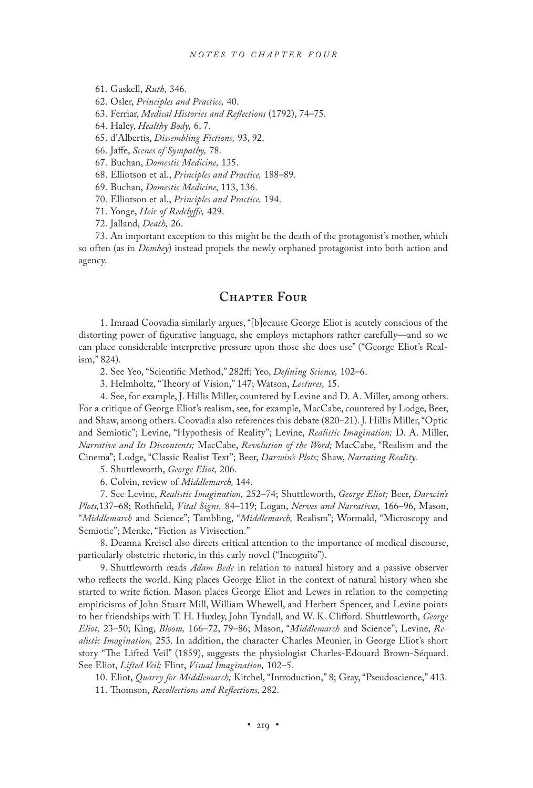61. Gaskell, *Ruth,* 346.

62. Osler, *Principles and Practice,* 40.

63. Ferriar, *Medical Histories and Reflections* (1792), 74–75.

64. Haley, *Healthy Body,* 6, 7.

65. d'Albertis, *Dissembling Fictions,* 93, 92.

66. Jaffe, *Scenes of Sympathy,* 78.

67. Buchan, *Domestic Medicine,* 135.

68. Elliotson et al., *Principles and Practice,* 188–89.

69. Buchan, *Domestic Medicine,* 113, 136.

70. Elliotson et al., *Principles and Practice,* 194.

71. Yonge, *Heir of Redclyffe,* 429.

72. Jalland, *Death,* 26.

73. An important exception to this might be the death of the protagonist's mother, which so often (as in *Dombey*) instead propels the newly orphaned protagonist into both action and agency.

#### **Chapter Four**

1. Imraad Coovadia similarly argues, "[b]ecause George Eliot is acutely conscious of the distorting power of figurative language, she employs metaphors rather carefully—and so we can place considerable interpretive pressure upon those she does use" ("George Eliot's Realism," 824).

2. See Yeo, "Scientific Method," 282ff; Yeo, *Defining Science,* 102–6.

3. Helmholtz, "Theory of Vision," 147; Watson, *Lectures,* 15.

4. See, for example, J. Hillis Miller, countered by Levine and D. A. Miller, among others. For a critique of George Eliot's realism, see, for example, MacCabe, countered by Lodge, Beer, and Shaw, among others. Coovadia also references this debate (820–21). J. Hillis Miller, "Optic and Semiotic"; Levine, "Hypothesis of Reality"; Levine, *Realistic Imagination;* D. A. Miller, *Narrative and Its Discontents;* MacCabe, *Revolution of the Word;* MacCabe, "Realism and the Cinema"; Lodge, "Classic Realist Text"; Beer, *Darwin's Plots;* Shaw, *Narrating Reality.*

5. Shuttleworth, *George Eliot,* 206.

6. Colvin, review of *Middlemarch,* 144.

7. See Levine, *Realistic Imagination,* 252–74; Shuttleworth, *George Eliot;* Beer, *Darwin's Plots,*137–68; Rothfield, *Vital Signs,* 84–119; Logan, *Nerves and Narratives,* 166–96, Mason, "*Middlemarch* and Science"; Tambling, "*Middlemarch,* Realism"; Wormald, "Microscopy and Semiotic"; Menke, "Fiction as Vivisection."

8. Deanna Kreisel also directs critical attention to the importance of medical discourse, particularly obstetric rhetoric, in this early novel ("Incognito").

9. Shuttleworth reads *Adam Bede* in relation to natural history and a passive observer who reflects the world. King places George Eliot in the context of natural history when she started to write fiction. Mason places George Eliot and Lewes in relation to the competing empiricisms of John Stuart Mill, William Whewell, and Herbert Spencer, and Levine points to her friendships with T. H. Huxley, John Tyndall, and W. K. Clifford. Shuttleworth, *George Eliot,* 23–50; King, *Bloom,* 166–72, 79–86; Mason, "*Middlemarch* and Science"; Levine, *Realistic Imagination,* 253. In addition, the character Charles Meunier, in George Eliot's short story "The Lifted Veil" (1859), suggests the physiologist Charles-Edouard Brown-Séquard. See Eliot, *Lifted Veil;* Flint, *Visual Imagination,* 102–5.

10. Eliot, *Quarry for Middlemarch;* Kitchel, "Introduction," 8; Gray, "Pseudoscience," 413.

11. Thomson, *Recollections and Reflections,* 282.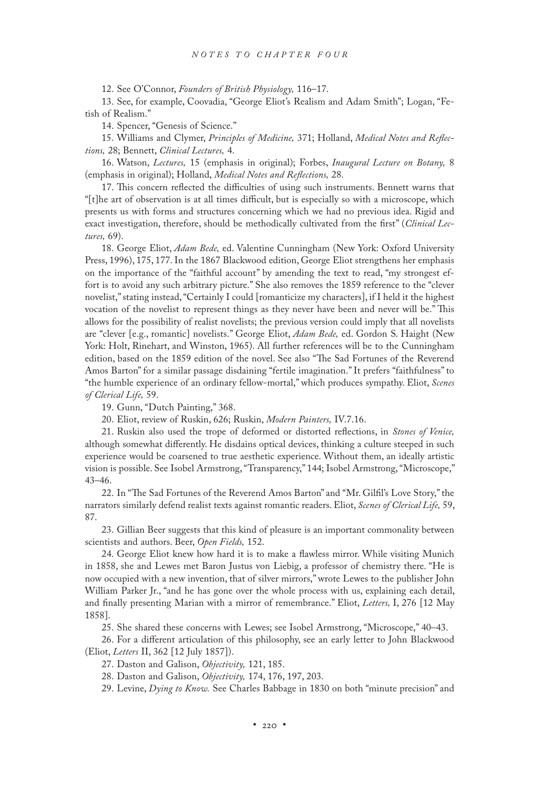12. See O'Connor, *Founders of British Physiology,* 116–17.

13. See, for example, Coovadia, "George Eliot's Realism and Adam Smith"; Logan, "Fetish of Realism."

14. Spencer, "Genesis of Science."

15. Williams and Clymer, *Principles of Medicine,* 371; Holland, *Medical Notes and Reflections,* 28; Bennett, *Clinical Lectures,* 4.

16. Watson, *Lectures,* 15 (emphasis in original); Forbes, *Inaugural Lecture on Botany,* 8 (emphasis in original); Holland, *Medical Notes and Reflections,* 28.

17. This concern reflected the difficulties of using such instruments. Bennett warns that "[t]he art of observation is at all times difficult, but is especially so with a microscope, which presents us with forms and structures concerning which we had no previous idea. Rigid and exact investigation, therefore, should be methodically cultivated from the first" (*Clinical Lectures,* 69).

18. George Eliot, *Adam Bede,* ed. Valentine Cunningham (New York: Oxford University Press, 1996), 175, 177. In the 1867 Blackwood edition, George Eliot strengthens her emphasis on the importance of the "faithful account" by amending the text to read, "my strongest effort is to avoid any such arbitrary picture." She also removes the 1859 reference to the "clever novelist," stating instead, "Certainly I could [romanticize my characters], if I held it the highest vocation of the novelist to represent things as they never have been and never will be." This allows for the possibility of realist novelists; the previous version could imply that all novelists are "clever [e.g., romantic] novelists." George Eliot, *Adam Bede,* ed. Gordon S. Haight (New York: Holt, Rinehart, and Winston, 1965). All further references will be to the Cunningham edition, based on the 1859 edition of the novel. See also "The Sad Fortunes of the Reverend Amos Barton" for a similar passage disdaining "fertile imagination." It prefers "faithfulness" to "the humble experience of an ordinary fellow-mortal," which produces sympathy. Eliot, *Scenes of Clerical Life,* 59.

19. Gunn, "Dutch Painting," 368.

20. Eliot, review of Ruskin, 626; Ruskin, *Modern Painters,* IV.7.16.

21. Ruskin also used the trope of deformed or distorted reflections, in *Stones of Venice,* although somewhat differently. He disdains optical devices, thinking a culture steeped in such experience would be coarsened to true aesthetic experience. Without them, an ideally artistic vision is possible. See Isobel Armstrong, "Transparency," 144; Isobel Armstrong, "Microscope," 43–46.

22. In "The Sad Fortunes of the Reverend Amos Barton" and "Mr. Gilfil's Love Story," the narrators similarly defend realist texts against romantic readers. Eliot, *Scenes of Clerical Life,* 59, 87.

23. Gillian Beer suggests that this kind of pleasure is an important commonality between scientists and authors. Beer, *Open Fields,* 152.

24. George Eliot knew how hard it is to make a flawless mirror. While visiting Munich in 1858, she and Lewes met Baron Justus von Liebig, a professor of chemistry there. "He is now occupied with a new invention, that of silver mirrors," wrote Lewes to the publisher John William Parker Jr., "and he has gone over the whole process with us, explaining each detail, and finally presenting Marian with a mirror of remembrance." Eliot, *Letters,* I, 276 [12 May 1858].

25. She shared these concerns with Lewes; see Isobel Armstrong, "Microscope," 40–43.

26. For a different articulation of this philosophy, see an early letter to John Blackwood (Eliot, *Letters* II, 362 [12 July 1857]).

27. Daston and Galison, *Objectivity,* 121, 185.

28. Daston and Galison, *Objectivity,* 174, 176, 197, 203.

29. Levine, *Dying to Know.* See Charles Babbage in 1830 on both "minute precision" and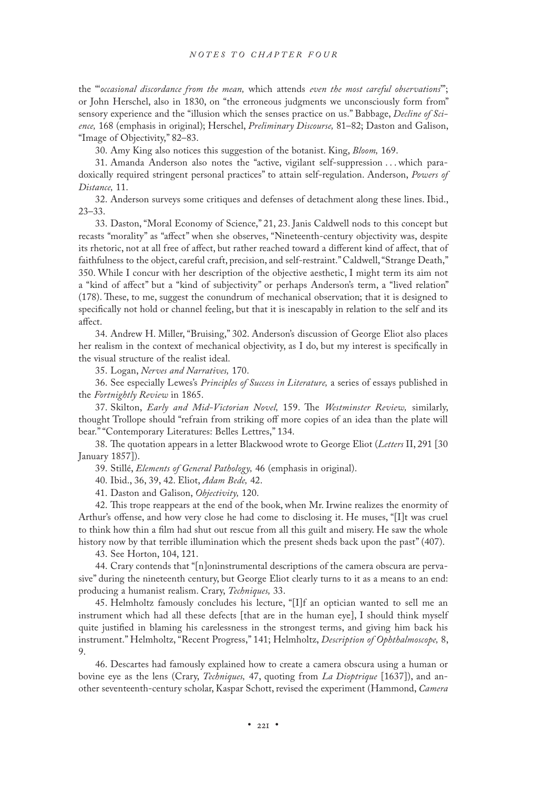the "'*occasional discordance from the mean,* which attends *even the most careful observations*'"; or John Herschel, also in 1830, on "the erroneous judgments we unconsciously form from" sensory experience and the "illusion which the senses practice on us." Babbage, *Decline of Science,* 168 (emphasis in original); Herschel, *Preliminary Discourse,* 81–82; Daston and Galison, "Image of Objectivity," 82–83.

30. Amy King also notices this suggestion of the botanist. King, *Bloom,* 169.

31. Amanda Anderson also notes the "active, vigilant self-suppression . . . which paradoxically required stringent personal practices" to attain self-regulation. Anderson, *Powers of Distance,* 11.

32. Anderson surveys some critiques and defenses of detachment along these lines. Ibid., 23–33.

33. Daston, "Moral Economy of Science," 21, 23. Janis Caldwell nods to this concept but recasts "morality" as "affect" when she observes, "Nineteenth-century objectivity was, despite its rhetoric, not at all free of affect, but rather reached toward a different kind of affect, that of faithfulness to the object, careful craft, precision, and self-restraint." Caldwell, "Strange Death," 350. While I concur with her description of the objective aesthetic, I might term its aim not a "kind of affect" but a "kind of subjectivity" or perhaps Anderson's term, a "lived relation" (178). These, to me, suggest the conundrum of mechanical observation; that it is designed to specifically not hold or channel feeling, but that it is inescapably in relation to the self and its affect.

34. Andrew H. Miller, "Bruising," 302. Anderson's discussion of George Eliot also places her realism in the context of mechanical objectivity, as I do, but my interest is specifically in the visual structure of the realist ideal.

35. Logan, *Nerves and Narratives,* 170.

36. See especially Lewes's *Principles of Success in Literature,* a series of essays published in the *Fortnightly Review* in 1865.

37. Skilton, *Early and Mid-Victorian Novel,* 159. The *Westminster Review,* similarly, thought Trollope should "refrain from striking off more copies of an idea than the plate will bear." "Contemporary Literatures: Belles Lettres," 134.

38. The quotation appears in a letter Blackwood wrote to George Eliot (*Letters* II, 291 [30 January 1857]).

39. Stillé, *Elements of General Pathology,* 46 (emphasis in original).

40. Ibid., 36, 39, 42. Eliot, *Adam Bede,* 42.

41. Daston and Galison, *Objectivity,* 120.

42. This trope reappears at the end of the book, when Mr. Irwine realizes the enormity of Arthur's offense, and how very close he had come to disclosing it. He muses, "[I]t was cruel to think how thin a film had shut out rescue from all this guilt and misery. He saw the whole history now by that terrible illumination which the present sheds back upon the past" (407).

43. See Horton, 104, 121.

44. Crary contends that "[n]oninstrumental descriptions of the camera obscura are pervasive" during the nineteenth century, but George Eliot clearly turns to it as a means to an end: producing a humanist realism. Crary, *Techniques,* 33.

45. Helmholtz famously concludes his lecture, "[I]f an optician wanted to sell me an instrument which had all these defects [that are in the human eye], I should think myself quite justified in blaming his carelessness in the strongest terms, and giving him back his instrument." Helmholtz, "Recent Progress," 141; Helmholtz, *Description of Ophthalmoscope,* 8, 9.

46. Descartes had famously explained how to create a camera obscura using a human or bovine eye as the lens (Crary, *Techniques,* 47, quoting from *La Dioptrique* [1637]), and another seventeenth-century scholar, Kaspar Schott, revised the experiment (Hammond, *Camera*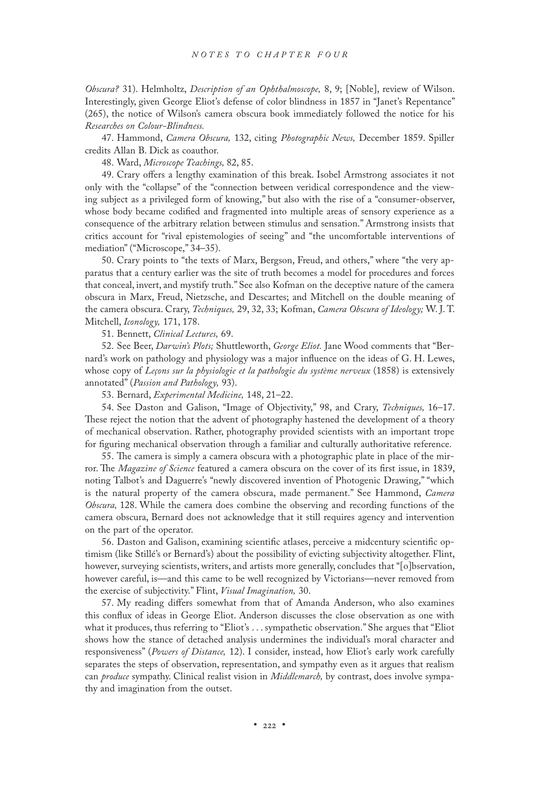*Obscura?* 31). Helmholtz, *Description of an Ophthalmoscope,* 8, 9; [Noble], review of Wilson. Interestingly, given George Eliot's defense of color blindness in 1857 in "Janet's Repentance" (265), the notice of Wilson's camera obscura book immediately followed the notice for his *Researches on Colour-Blindness.*

47. Hammond, *Camera Obscura,* 132, citing *Photographic News,* December 1859. Spiller credits Allan B. Dick as coauthor.

48. Ward, *Microscope Teachings,* 82, 85.

49. Crary offers a lengthy examination of this break. Isobel Armstrong associates it not only with the "collapse" of the "connection between veridical correspondence and the viewing subject as a privileged form of knowing," but also with the rise of a "consumer-observer, whose body became codified and fragmented into multiple areas of sensory experience as a consequence of the arbitrary relation between stimulus and sensation." Armstrong insists that critics account for "rival epistemologies of seeing" and "the uncomfortable interventions of mediation" ("Microscope," 34–35).

50. Crary points to "the texts of Marx, Bergson, Freud, and others," where "the very apparatus that a century earlier was the site of truth becomes a model for procedures and forces that conceal, invert, and mystify truth." See also Kofman on the deceptive nature of the camera obscura in Marx, Freud, Nietzsche, and Descartes; and Mitchell on the double meaning of the camera obscura. Crary, *Techniques,* 29, 32, 33; Kofman, *Camera Obscura of Ideology;* W. J. T. Mitchell, *Iconology,* 171, 178.

51. Bennett, *Clinical Lectures,* 69.

52. See Beer, *Darwin's Plots;* Shuttleworth, *George Eliot.* Jane Wood comments that "Bernard's work on pathology and physiology was a major influence on the ideas of G. H. Lewes, whose copy of *Leçons sur la physiologie et la pathologie du système nerveux* (1858) is extensively annotated" (*Passion and Pathology,* 93).

53. Bernard, *Experimental Medicine,* 148, 21–22.

54. See Daston and Galison, "Image of Objectivity," 98, and Crary, *Techniques,* 16–17. These reject the notion that the advent of photography hastened the development of a theory of mechanical observation. Rather, photography provided scientists with an important trope for figuring mechanical observation through a familiar and culturally authoritative reference.

55. The camera is simply a camera obscura with a photographic plate in place of the mirror. The *Magazine of Science* featured a camera obscura on the cover of its first issue, in 1839, noting Talbot's and Daguerre's "newly discovered invention of Photogenic Drawing," "which is the natural property of the camera obscura, made permanent." See Hammond, *Camera Obscura,* 128. While the camera does combine the observing and recording functions of the camera obscura, Bernard does not acknowledge that it still requires agency and intervention on the part of the operator.

56. Daston and Galison, examining scientific atlases, perceive a midcentury scientific optimism (like Stillé's or Bernard's) about the possibility of evicting subjectivity altogether. Flint, however, surveying scientists, writers, and artists more generally, concludes that "[o]bservation, however careful, is—and this came to be well recognized by Victorians—never removed from the exercise of subjectivity." Flint, *Visual Imagination,* 30.

57. My reading differs somewhat from that of Amanda Anderson, who also examines this conflux of ideas in George Eliot. Anderson discusses the close observation as one with what it produces, thus referring to "Eliot's . . . sympathetic observation." She argues that "Eliot shows how the stance of detached analysis undermines the individual's moral character and responsiveness" (*Powers of Distance,* 12). I consider, instead, how Eliot's early work carefully separates the steps of observation, representation, and sympathy even as it argues that realism can *produce* sympathy. Clinical realist vision in *Middlemarch,* by contrast, does involve sympathy and imagination from the outset.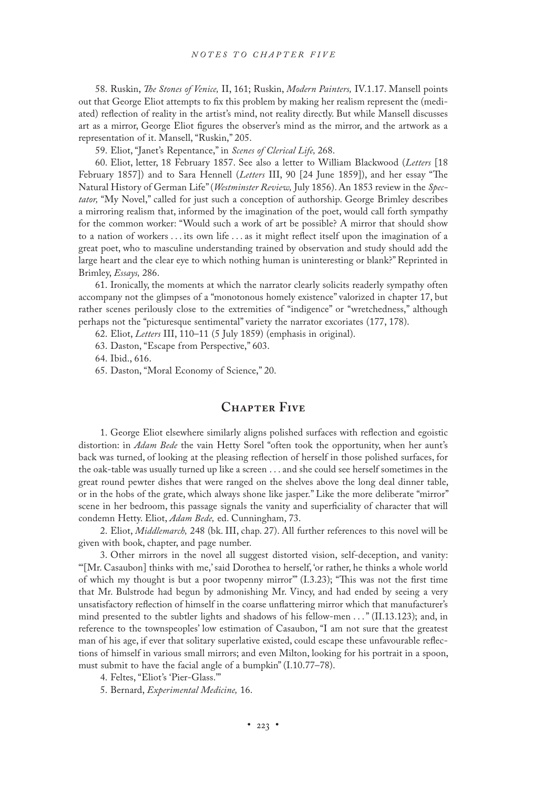58. Ruskin, *The Stones of Venice,* II, 161; Ruskin, *Modern Painters,* IV.1.17. Mansell points out that George Eliot attempts to fix this problem by making her realism represent the (mediated) reflection of reality in the artist's mind, not reality directly. But while Mansell discusses art as a mirror, George Eliot figures the observer's mind as the mirror, and the artwork as a representation of it. Mansell, "Ruskin," 205.

59. Eliot, "Janet's Repentance," in *Scenes of Clerical Life,* 268.

60. Eliot, letter, 18 February 1857. See also a letter to William Blackwood (*Letters* [18 February 1857]) and to Sara Hennell (*Letters* III, 90 [24 June 1859]), and her essay "The Natural History of German Life" (*Westminster Review,* July 1856). An 1853 review in the *Spectator,* "My Novel," called for just such a conception of authorship. George Brimley describes a mirroring realism that, informed by the imagination of the poet, would call forth sympathy for the common worker: "Would such a work of art be possible? A mirror that should show to a nation of workers . . . its own life . . . as it might reflect itself upon the imagination of a great poet, who to masculine understanding trained by observation and study should add the large heart and the clear eye to which nothing human is uninteresting or blank?" Reprinted in Brimley, *Essays,* 286.

61. Ironically, the moments at which the narrator clearly solicits readerly sympathy often accompany not the glimpses of a "monotonous homely existence" valorized in chapter 17, but rather scenes perilously close to the extremities of "indigence" or "wretchedness," although perhaps not the "picturesque sentimental" variety the narrator excoriates (177, 178).

62. Eliot, *Letters* III, 110–11 (5 July 1859) (emphasis in original).

63. Daston, "Escape from Perspective," 603.

64. Ibid., 616.

65. Daston, "Moral Economy of Science," 20.

## **Chapter Five**

1. George Eliot elsewhere similarly aligns polished surfaces with reflection and egoistic distortion: in *Adam Bede* the vain Hetty Sorel "often took the opportunity, when her aunt's back was turned, of looking at the pleasing reflection of herself in those polished surfaces, for the oak-table was usually turned up like a screen . . . and she could see herself sometimes in the great round pewter dishes that were ranged on the shelves above the long deal dinner table, or in the hobs of the grate, which always shone like jasper." Like the more deliberate "mirror" scene in her bedroom, this passage signals the vanity and superficiality of character that will condemn Hetty. Eliot, *Adam Bede,* ed. Cunningham, 73.

2. Eliot, *Middlemarch,* 248 (bk. III, chap. 27). All further references to this novel will be given with book, chapter, and page number.

3. Other mirrors in the novel all suggest distorted vision, self-deception, and vanity: "'[Mr. Casaubon] thinks with me,' said Dorothea to herself, 'or rather, he thinks a whole world of which my thought is but a poor twopenny mirror'" (I.3.23); "This was not the first time that Mr. Bulstrode had begun by admonishing Mr. Vincy, and had ended by seeing a very unsatisfactory reflection of himself in the coarse unflattering mirror which that manufacturer's mind presented to the subtler lights and shadows of his fellow-men . . ." (II.13.123); and, in reference to the townspeoples' low estimation of Casaubon, "I am not sure that the greatest man of his age, if ever that solitary superlative existed, could escape these unfavourable reflections of himself in various small mirrors; and even Milton, looking for his portrait in a spoon, must submit to have the facial angle of a bumpkin" (I.10.77–78).

4. Feltes, "Eliot's 'Pier-Glass.'"

5. Bernard, *Experimental Medicine,* 16.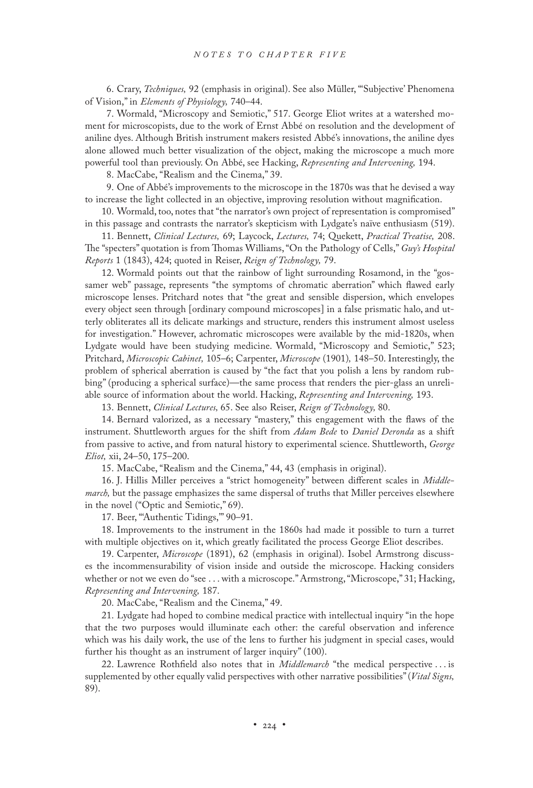6. Crary, *Techniques,* 92 (emphasis in original). See also Müller, "'Subjective' Phenomena of Vision," in *Elements of Physiology,* 740–44.

7. Wormald, "Microscopy and Semiotic," 517. George Eliot writes at a watershed moment for microscopists, due to the work of Ernst Abbé on resolution and the development of aniline dyes. Although British instrument makers resisted Abbé's innovations, the aniline dyes alone allowed much better visualization of the object, making the microscope a much more powerful tool than previously. On Abbé, see Hacking, *Representing and Intervening,* 194.

8. MacCabe, "Realism and the Cinema," 39.

9. One of Abbé's improvements to the microscope in the 1870s was that he devised a way to increase the light collected in an objective, improving resolution without magnification.

10. Wormald, too, notes that "the narrator's own project of representation is compromised" in this passage and contrasts the narrator's skepticism with Lydgate's naïve enthusiasm (519).

11. Bennett, *Clinical Lectures,* 69; Laycock, *Lectures,* 74; Quekett, *Practical Treatise,* 208. The "specters" quotation is from Thomas Williams, "On the Pathology of Cells," *Guy's Hospital Reports* 1 (1843), 424; quoted in Reiser, *Reign of Technology,* 79.

12. Wormald points out that the rainbow of light surrounding Rosamond, in the "gossamer web" passage, represents "the symptoms of chromatic aberration" which flawed early microscope lenses. Pritchard notes that "the great and sensible dispersion, which envelopes every object seen through [ordinary compound microscopes] in a false prismatic halo, and utterly obliterates all its delicate markings and structure, renders this instrument almost useless for investigation." However, achromatic microscopes were available by the mid-1820s, when Lydgate would have been studying medicine. Wormald, "Microscopy and Semiotic," 523; Pritchard, *Microscopic Cabinet,* 105–6; Carpenter, *Microscope* (1901)*,* 148–50. Interestingly, the problem of spherical aberration is caused by "the fact that you polish a lens by random rubbing" (producing a spherical surface)—the same process that renders the pier-glass an unreliable source of information about the world. Hacking, *Representing and Intervening,* 193.

13. Bennett, *Clinical Lectures,* 65. See also Reiser, *Reign of Technology,* 80.

14. Bernard valorized, as a necessary "mastery," this engagement with the flaws of the instrument. Shuttleworth argues for the shift from *Adam Bede* to *Daniel Deronda* as a shift from passive to active, and from natural history to experimental science. Shuttleworth, *George Eliot,* xii, 24–50, 175–200.

15. MacCabe, "Realism and the Cinema," 44, 43 (emphasis in original).

16. J. Hillis Miller perceives a "strict homogeneity" between different scales in *Middlemarch,* but the passage emphasizes the same dispersal of truths that Miller perceives elsewhere in the novel ("Optic and Semiotic," 69).

17. Beer, "Authentic Tidings," 90-91.

18. Improvements to the instrument in the 1860s had made it possible to turn a turret with multiple objectives on it, which greatly facilitated the process George Eliot describes.

19. Carpenter, *Microscope* (1891), 62 (emphasis in original). Isobel Armstrong discusses the incommensurability of vision inside and outside the microscope. Hacking considers whether or not we even do "see . . . with a microscope." Armstrong, "Microscope," 31; Hacking, *Representing and Intervening,* 187.

20. MacCabe, "Realism and the Cinema," 49.

21. Lydgate had hoped to combine medical practice with intellectual inquiry "in the hope that the two purposes would illuminate each other: the careful observation and inference which was his daily work, the use of the lens to further his judgment in special cases, would further his thought as an instrument of larger inquiry" (100).

22. Lawrence Rothfield also notes that in *Middlemarch* "the medical perspective . . . is supplemented by other equally valid perspectives with other narrative possibilities" (*Vital Signs,* 89).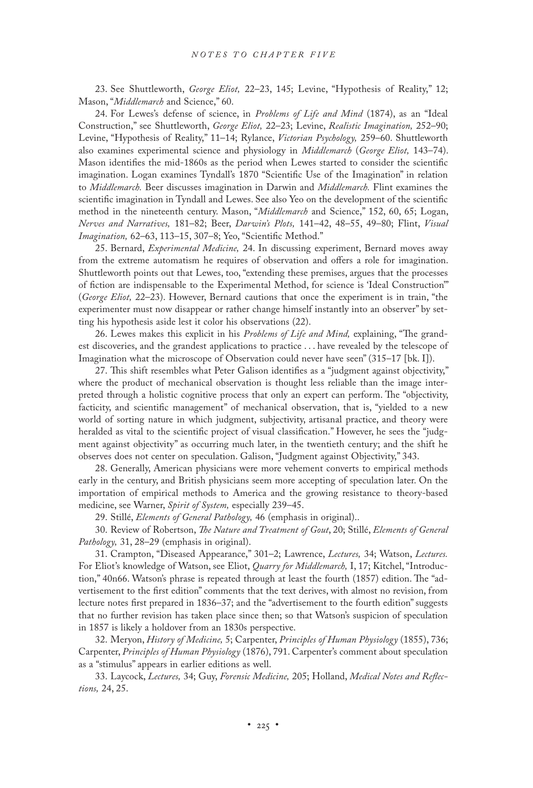23. See Shuttleworth, *George Eliot,* 22–23, 145; Levine, "Hypothesis of Reality," 12; Mason, "*Middlemarch* and Science," 60.

24. For Lewes's defense of science, in *Problems of Life and Mind* (1874), as an "Ideal Construction," see Shuttleworth, *George Eliot,* 22–23; Levine, *Realistic Imagination,* 252–90; Levine, "Hypothesis of Reality," 11–14; Rylance, *Victorian Psychology,* 259–60. Shuttleworth also examines experimental science and physiology in *Middlemarch* (*George Eliot,* 143–74). Mason identifies the mid-1860s as the period when Lewes started to consider the scientific imagination. Logan examines Tyndall's 1870 "Scientific Use of the Imagination" in relation to *Middlemarch.* Beer discusses imagination in Darwin and *Middlemarch.* Flint examines the scientific imagination in Tyndall and Lewes. See also Yeo on the development of the scientific method in the nineteenth century. Mason, "*Middlemarch* and Science," 152, 60, 65; Logan, *Nerves and Narratives,* 181–82; Beer, *Darwin's Plots,* 141–42, 48–55, 49–80; Flint, *Visual Imagination,* 62–63, 113–15, 307–8; Yeo, "Scientific Method."

25. Bernard, *Experimental Medicine,* 24. In discussing experiment, Bernard moves away from the extreme automatism he requires of observation and offers a role for imagination. Shuttleworth points out that Lewes, too, "extending these premises, argues that the processes of fiction are indispensable to the Experimental Method, for science is 'Ideal Construction'" (*George Eliot,* 22–23). However, Bernard cautions that once the experiment is in train, "the experimenter must now disappear or rather change himself instantly into an observer" by setting his hypothesis aside lest it color his observations (22).

26. Lewes makes this explicit in his *Problems of Life and Mind,* explaining, "The grandest discoveries, and the grandest applications to practice . . . have revealed by the telescope of Imagination what the microscope of Observation could never have seen" (315–17 [bk. I]).

27. This shift resembles what Peter Galison identifies as a "judgment against objectivity," where the product of mechanical observation is thought less reliable than the image interpreted through a holistic cognitive process that only an expert can perform. The "objectivity, facticity, and scientific management" of mechanical observation, that is, "yielded to a new world of sorting nature in which judgment, subjectivity, artisanal practice, and theory were heralded as vital to the scientific project of visual classification." However, he sees the "judgment against objectivity" as occurring much later, in the twentieth century; and the shift he observes does not center on speculation. Galison, "Judgment against Objectivity," 343.

28. Generally, American physicians were more vehement converts to empirical methods early in the century, and British physicians seem more accepting of speculation later. On the importation of empirical methods to America and the growing resistance to theory-based medicine, see Warner, *Spirit of System,* especially 239–45.

29. Stillé, *Elements of General Pathology,* 46 (emphasis in original)..

30. Review of Robertson, *The Nature and Treatment of Gout*, 20; Stillé, *Elements of General Pathology,* 31, 28–29 (emphasis in original).

31. Crampton, "Diseased Appearance," 301–2; Lawrence, *Lectures,* 34; Watson, *Lectures.* For Eliot's knowledge of Watson, see Eliot, *Quarry for Middlemarch,* I, 17; Kitchel, "Introduction," 40n66. Watson's phrase is repeated through at least the fourth (1857) edition. The "advertisement to the first edition" comments that the text derives, with almost no revision, from lecture notes first prepared in 1836–37; and the "advertisement to the fourth edition" suggests that no further revision has taken place since then; so that Watson's suspicion of speculation in 1857 is likely a holdover from an 1830s perspective.

32. Meryon, *History of Medicine,* 5; Carpenter, *Principles of Human Physiology* (1855), 736; Carpenter, *Principles of Human Physiology* (1876), 791. Carpenter's comment about speculation as a "stimulus" appears in earlier editions as well.

33. Laycock, *Lectures,* 34; Guy, *Forensic Medicine,* 205; Holland, *Medical Notes and Reflections,* 24, 25.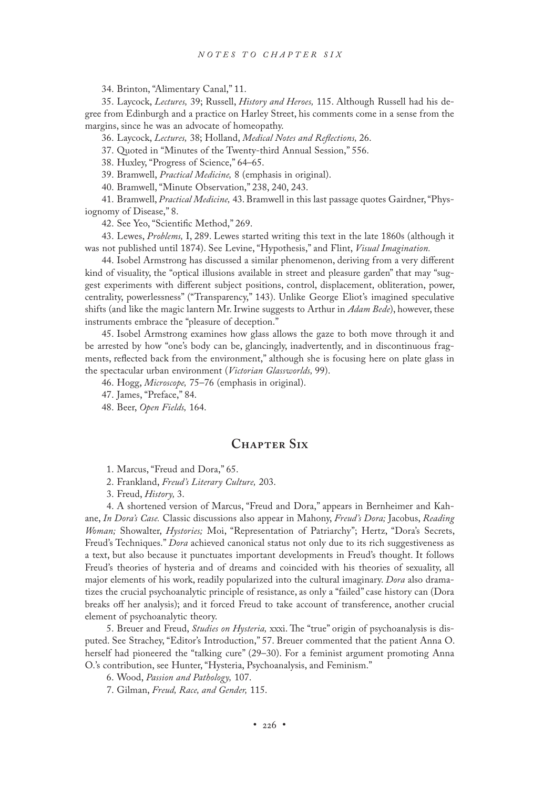34. Brinton, "Alimentary Canal," 11.

35. Laycock, *Lectures,* 39; Russell, *History and Heroes,* 115. Although Russell had his degree from Edinburgh and a practice on Harley Street, his comments come in a sense from the margins, since he was an advocate of homeopathy.

36. Laycock, *Lectures,* 38; Holland, *Medical Notes and Reflections,* 26.

37. Quoted in "Minutes of the Twenty-third Annual Session," 556.

38. Huxley, "Progress of Science," 64–65.

39. Bramwell, *Practical Medicine,* 8 (emphasis in original).

40. Bramwell, "Minute Observation," 238, 240, 243.

41. Bramwell, *Practical Medicine,* 43. Bramwell in this last passage quotes Gairdner, "Physiognomy of Disease," 8.

42. See Yeo, "Scientific Method," 269.

43. Lewes, *Problems,* I, 289. Lewes started writing this text in the late 1860s (although it was not published until 1874). See Levine, "Hypothesis," and Flint, *Visual Imagination.*

44. Isobel Armstrong has discussed a similar phenomenon, deriving from a very different kind of visuality, the "optical illusions available in street and pleasure garden" that may "suggest experiments with different subject positions, control, displacement, obliteration, power, centrality, powerlessness" ("Transparency," 143). Unlike George Eliot's imagined speculative shifts (and like the magic lantern Mr. Irwine suggests to Arthur in *Adam Bede*), however, these instruments embrace the "pleasure of deception."

45. Isobel Armstrong examines how glass allows the gaze to both move through it and be arrested by how "one's body can be, glancingly, inadvertently, and in discontinuous fragments, reflected back from the environment," although she is focusing here on plate glass in the spectacular urban environment (*Victorian Glassworlds,* 99).

46. Hogg, *Microscope,* 75–76 (emphasis in original).

47. James, "Preface," 84.

48. Beer, *Open Fields,* 164.

#### **Chapter Six**

1. Marcus, "Freud and Dora," 65.

2. Frankland, *Freud's Literary Culture,* 203.

3. Freud, *History,* 3.

4. A shortened version of Marcus, "Freud and Dora," appears in Bernheimer and Kahane, *In Dora's Case.* Classic discussions also appear in Mahony, *Freud's Dora;* Jacobus, *Reading Woman;* Showalter, *Hystories;* Moi, "Representation of Patriarchy"; Hertz, "Dora's Secrets, Freud's Techniques." *Dora* achieved canonical status not only due to its rich suggestiveness as a text, but also because it punctuates important developments in Freud's thought. It follows Freud's theories of hysteria and of dreams and coincided with his theories of sexuality, all major elements of his work, readily popularized into the cultural imaginary. *Dora* also dramatizes the crucial psychoanalytic principle of resistance, as only a "failed" case history can (Dora breaks off her analysis); and it forced Freud to take account of transference, another crucial element of psychoanalytic theory.

5. Breuer and Freud, *Studies on Hysteria,* xxxi. The "true" origin of psychoanalysis is disputed. See Strachey, "Editor's Introduction," 57. Breuer commented that the patient Anna O. herself had pioneered the "talking cure" (29–30). For a feminist argument promoting Anna O.'s contribution, see Hunter, "Hysteria, Psychoanalysis, and Feminism."

6. Wood, *Passion and Pathology,* 107.

7. Gilman, *Freud, Race, and Gender,* 115.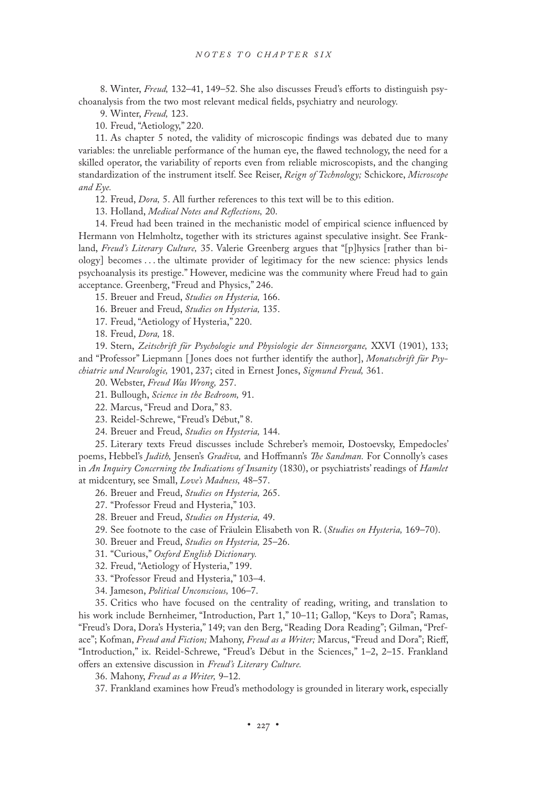8. Winter, *Freud,* 132–41, 149–52. She also discusses Freud's efforts to distinguish psychoanalysis from the two most relevant medical fields, psychiatry and neurology.

9. Winter, *Freud,* 123.

10. Freud, "Aetiology," 220.

11. As chapter 5 noted, the validity of microscopic findings was debated due to many variables: the unreliable performance of the human eye, the flawed technology, the need for a skilled operator, the variability of reports even from reliable microscopists, and the changing standardization of the instrument itself. See Reiser, *Reign of Technology;* Schickore, *Microscope and Eye.*

12. Freud, *Dora,* 5. All further references to this text will be to this edition.

13. Holland, *Medical Notes and Reflections,* 20.

14. Freud had been trained in the mechanistic model of empirical science influenced by Hermann von Helmholtz, together with its strictures against speculative insight. See Frankland, *Freud's Literary Culture,* 35. Valerie Greenberg argues that "[p]hysics [rather than biology] becomes . . . the ultimate provider of legitimacy for the new science: physics lends psychoanalysis its prestige." However, medicine was the community where Freud had to gain acceptance. Greenberg, "Freud and Physics," 246.

15. Breuer and Freud, *Studies on Hysteria,* 166.

16. Breuer and Freud, *Studies on Hysteria,* 135.

17. Freud, "Aetiology of Hysteria," 220.

18. Freud, *Dora,* 18.

19. Stern, *Zeitschrift für Psychologie und Physiologie der Sinnesorgane,* XXVI (1901), 133; and "Professor" Liepmann [ Jones does not further identify the author], *Monatschrift für Psychiatrie und Neurologie,* 1901, 237; cited in Ernest Jones, *Sigmund Freud,* 361.

20. Webster, *Freud Was Wrong,* 257.

21. Bullough, *Science in the Bedroom,* 91.

22. Marcus, "Freud and Dora," 83.

23. Reidel-Schrewe, "Freud's Début," 8.

24. Breuer and Freud, *Studies on Hysteria,* 144.

25. Literary texts Freud discusses include Schreber's memoir, Dostoevsky, Empedocles' poems, Hebbel's *Judith,* Jensen's *Gradiva,* and Hoffmann's *The Sandman.* For Connolly's cases in *An Inquiry Concerning the Indications of Insanity* (1830), or psychiatrists' readings of *Hamlet* at midcentury, see Small, *Love's Madness,* 48–57.

26. Breuer and Freud, *Studies on Hysteria,* 265.

27. "Professor Freud and Hysteria," 103.

28. Breuer and Freud, *Studies on Hysteria,* 49.

29. See footnote to the case of Fräulein Elisabeth von R. (*Studies on Hysteria,* 169–70).

30. Breuer and Freud, *Studies on Hysteria,* 25–26.

31. "Curious," *Oxford English Dictionary.*

32. Freud, "Aetiology of Hysteria," 199.

33. "Professor Freud and Hysteria," 103–4.

34. Jameson, *Political Unconscious,* 106–7.

35. Critics who have focused on the centrality of reading, writing, and translation to his work include Bernheimer, "Introduction, Part 1," 10-11; Gallop, "Keys to Dora"; Ramas, "Freud's Dora, Dora's Hysteria," 149; van den Berg, "Reading Dora Reading"; Gilman, "Preface"; Kofman, *Freud and Fiction;* Mahony, *Freud as a Writer;* Marcus, "Freud and Dora"; Rieff, "Introduction," ix. Reidel-Schrewe, "Freud's Début in the Sciences," 1–2, 2–15. Frankland offers an extensive discussion in *Freud's Literary Culture.*

36. Mahony, *Freud as a Writer,* 9–12.

37. Frankland examines how Freud's methodology is grounded in literary work, especially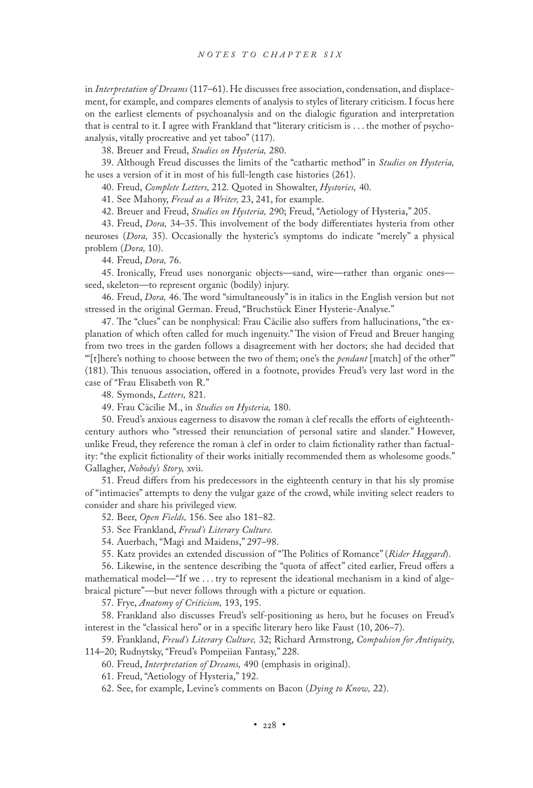in *Interpretation of Dreams* (117–61). He discusses free association, condensation, and displacement, for example, and compares elements of analysis to styles of literary criticism. I focus here on the earliest elements of psychoanalysis and on the dialogic figuration and interpretation that is central to it. I agree with Frankland that "literary criticism is . . . the mother of psychoanalysis, vitally procreative and yet taboo" (117).

38. Breuer and Freud, *Studies on Hysteria,* 280.

39. Although Freud discusses the limits of the "cathartic method" in *Studies on Hysteria,* he uses a version of it in most of his full-length case histories (261).

40. Freud, *Complete Letters,* 212. Quoted in Showalter, *Hystories,* 40.

41. See Mahony, *Freud as a Writer,* 23, 241, for example.

42. Breuer and Freud, *Studies on Hysteria,* 290; Freud, "Aetiology of Hysteria," 205.

43. Freud, *Dora,* 34–35. This involvement of the body differentiates hysteria from other neuroses (*Dora,* 35). Occasionally the hysteric's symptoms do indicate "merely" a physical problem (*Dora,* 10).

44. Freud, *Dora,* 76.

45. Ironically, Freud uses nonorganic objects—sand, wire—rather than organic ones seed, skeleton—to represent organic (bodily) injury.

46. Freud, *Dora,* 46. The word "simultaneously" is in italics in the English version but not stressed in the original German. Freud, "Bruchstück Einer Hysterie-Analyse."

47. The "clues" can be nonphysical: Frau Cäcilie also suffers from hallucinations, "the explanation of which often called for much ingenuity." The vision of Freud and Breuer hanging from two trees in the garden follows a disagreement with her doctors; she had decided that "'[t]here's nothing to choose between the two of them; one's the *pendant* [match] of the other'" (181). This tenuous association, offered in a footnote, provides Freud's very last word in the case of "Frau Elisabeth von R."

48. Symonds, *Letters,* 821.

49. Frau Cäcilie M., in *Studies on Hysteria,* 180.

50. Freud's anxious eagerness to disavow the roman à clef recalls the efforts of eighteenthcentury authors who "stressed their renunciation of personal satire and slander." However, unlike Freud, they reference the roman à clef in order to claim fictionality rather than factuality: "the explicit fictionality of their works initially recommended them as wholesome goods." Gallagher, *Nobody's Story,* xvii.

51. Freud differs from his predecessors in the eighteenth century in that his sly promise of "intimacies" attempts to deny the vulgar gaze of the crowd, while inviting select readers to consider and share his privileged view.

52. Beer, *Open Fields,* 156. See also 181–82.

53. See Frankland, *Freud's Literary Culture.*

54. Auerbach, "Magi and Maidens," 297–98.

55. Katz provides an extended discussion of "The Politics of Romance" (*Rider Haggard*).

56. Likewise, in the sentence describing the "quota of affect" cited earlier, Freud offers a mathematical model—"If we . . . try to represent the ideational mechanism in a kind of algebraical picture"—but never follows through with a picture or equation.

57. Frye, *Anatomy of Criticism,* 193, 195.

58. Frankland also discusses Freud's self-positioning as hero, but he focuses on Freud's interest in the "classical hero" or in a specific literary hero like Faust (10, 206–7).

59. Frankland, *Freud's Literary Culture,* 32; Richard Armstrong, *Compulsion for Antiquity,*  114–20; Rudnytsky, "Freud's Pompeiian Fantasy," 228.

60. Freud, *Interpretation of Dreams,* 490 (emphasis in original).

61. Freud, "Aetiology of Hysteria," 192.

62. See, for example, Levine's comments on Bacon (*Dying to Know,* 22).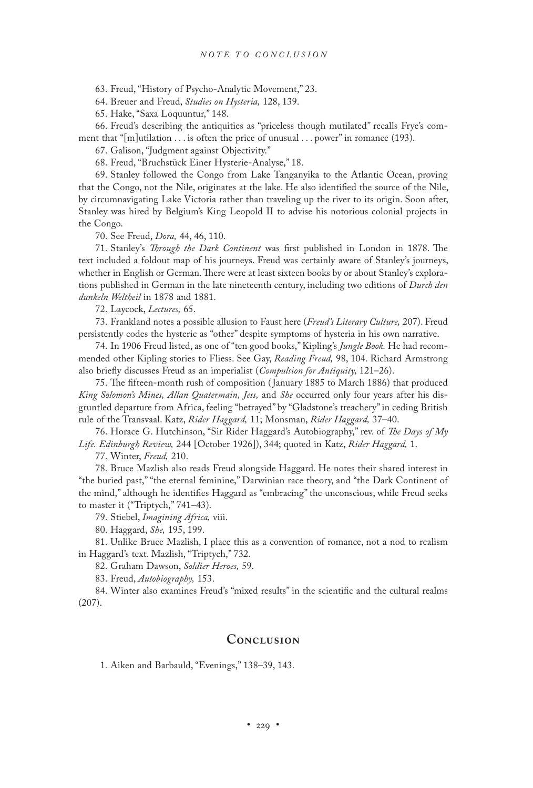63. Freud, "History of Psycho-Analytic Movement," 23.

64. Breuer and Freud, *Studies on Hysteria,* 128, 139.

65. Hake, "Saxa Loquuntur," 148.

66. Freud's describing the antiquities as "priceless though mutilated" recalls Frye's comment that "[m]utilation . . . is often the price of unusual . . . power" in romance (193).

67. Galison, "Judgment against Objectivity."

68. Freud, "Bruchstück Einer Hysterie-Analyse," 18.

69. Stanley followed the Congo from Lake Tanganyika to the Atlantic Ocean, proving that the Congo, not the Nile, originates at the lake. He also identified the source of the Nile, by circumnavigating Lake Victoria rather than traveling up the river to its origin. Soon after, Stanley was hired by Belgium's King Leopold II to advise his notorious colonial projects in the Congo.

70. See Freud, *Dora,* 44, 46, 110.

71. Stanley's *Through the Dark Continent* was first published in London in 1878. The text included a foldout map of his journeys. Freud was certainly aware of Stanley's journeys, whether in English or German. There were at least sixteen books by or about Stanley's explorations published in German in the late nineteenth century, including two editions of *Durch den dunkeln Weltheil* in 1878 and 1881.

72. Laycock, *Lectures,* 65.

73. Frankland notes a possible allusion to Faust here (*Freud's Literary Culture,* 207). Freud persistently codes the hysteric as "other" despite symptoms of hysteria in his own narrative.

74. In 1906 Freud listed, as one of "ten good books," Kipling's *Jungle Book.* He had recommended other Kipling stories to Fliess. See Gay, *Reading Freud,* 98, 104. Richard Armstrong also briefly discusses Freud as an imperialist (*Compulsion for Antiquity,* 121–26).

75. The fifteen-month rush of composition ( January 1885 to March 1886) that produced *King Solomon's Mines, Allan Quatermain, Jess,* and *She* occurred only four years after his disgruntled departure from Africa, feeling "betrayed" by "Gladstone's treachery" in ceding British rule of the Transvaal. Katz, *Rider Haggard,* 11; Monsman, *Rider Haggard,* 37–40.

76. Horace G. Hutchinson, "Sir Rider Haggard's Autobiography," rev. of *The Days of My Life. Edinburgh Review,* 244 [October 1926]), 344; quoted in Katz, *Rider Haggard,* 1.

77. Winter, *Freud,* 210.

78. Bruce Mazlish also reads Freud alongside Haggard. He notes their shared interest in "the buried past," "the eternal feminine," Darwinian race theory, and "the Dark Continent of the mind," although he identifies Haggard as "embracing" the unconscious, while Freud seeks to master it ("Triptych," 741–43).

79. Stiebel, *Imagining Africa,* viii.

80. Haggard, *She,* 195, 199.

81. Unlike Bruce Mazlish, I place this as a convention of romance, not a nod to realism in Haggard's text. Mazlish, "Triptych," 732.

82. Graham Dawson, *Soldier Heroes,* 59.

83. Freud, *Autobiography,* 153.

84. Winter also examines Freud's "mixed results" in the scientific and the cultural realms (207).

#### **Conclusion**

1. Aiken and Barbauld, "Evenings," 138–39, 143.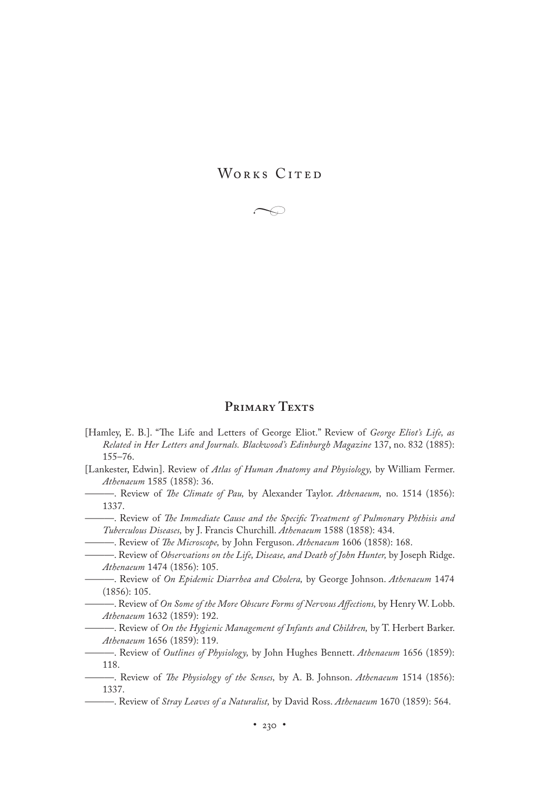WORKS CITED



## PRIMARY TEXTS

- [Hamley, E. B.]. "The Life and Letters of George Eliot." Review of *George Eliot's Life, as Related in Her Letters and Journals. Blackwood's Edinburgh Magazine* 137, no. 832 (1885): 155–76.
- [Lankester, Edwin]. Review of *Atlas of Human Anatomy and Physiology,* by William Fermer. *Athenaeum* 1585 (1858): 36.
- ———. Review of *The Climate of Pau,* by Alexander Taylor. *Athenaeum,* no. 1514 (1856): 1337.

———. Review of *The Immediate Cause and the Specific Treatment of Pulmonary Phthisis and Tuberculous Diseases,* by J. Francis Churchill. *Athenaeum* 1588 (1858): 434.

- ———. Review of *The Microscope,* by John Ferguson. *Athenaeum* 1606 (1858): 168.
- ———. Review of *Observations on the Life, Disease, and Death of John Hunter,* by Joseph Ridge. *Athenaeum* 1474 (1856): 105.
- ———. Review of *On Epidemic Diarrhea and Cholera,* by George Johnson. *Athenaeum* 1474 (1856): 105.
	- ———. Review of *On Some of the More Obscure Forms of Nervous Affections,* by Henry W. Lobb. *Athenaeum* 1632 (1859): 192.

———. Review of *On the Hygienic Management of Infants and Children,* by T. Herbert Barker. *Athenaeum* 1656 (1859): 119.

———. Review of *Outlines of Physiology,* by John Hughes Bennett. *Athenaeum* 1656 (1859): 118.

- ———. Review of *The Physiology of the Senses,* by A. B. Johnson. *Athenaeum* 1514 (1856): 1337.
	- ———. Review of *Stray Leaves of a Naturalist,* by David Ross. *Athenaeum* 1670 (1859): 564.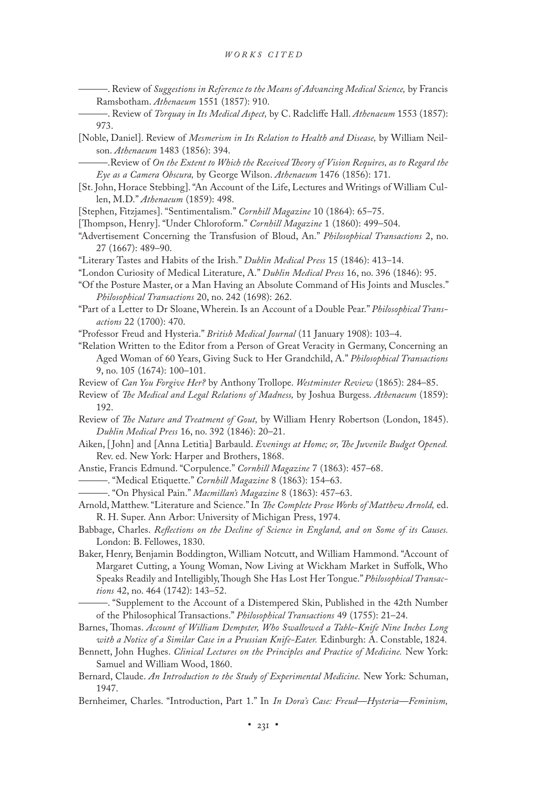- ———. Review of *Suggestions in Reference to the Means of Advancing Medical Science,* by Francis Ramsbotham. *Athenaeum* 1551 (1857): 910.
- ———. Review of *Torquay in Its Medical Aspect,* by C. Radcliffe Hall. *Athenaeum* 1553 (1857): 973.
- [Noble, Daniel]. Review of *Mesmerism in Its Relation to Health and Disease,* by William Neilson. *Athenaeum* 1483 (1856): 394.

———.Review of *On the Extent to Which the Received Theory of Vision Requires, as to Regard the Eye as a Camera Obscura,* by George Wilson. *Athenaeum* 1476 (1856): 171.

- [St. John, Horace Stebbing]. "An Account of the Life, Lectures and Writings of William Cullen, M.D." *Athenaeum* (1859): 498.
- [Stephen, Fitzjames]. "Sentimentalism." *Cornhill Magazine* 10 (1864): 65–75.

[Thompson, Henry]. "Under Chloroform." *Cornhill Magazine* 1 (1860): 499–504.

- "Advertisement Concerning the Transfusion of Bloud, An." *Philosophical Transactions* 2, no. 27 (1667): 489–90.
- "Literary Tastes and Habits of the Irish." *Dublin Medical Press* 15 (1846): 413–14.
- "London Curiosity of Medical Literature, A." *Dublin Medical Press* 16, no. 396 (1846): 95.
- "Of the Posture Master, or a Man Having an Absolute Command of His Joints and Muscles." *Philosophical Transactions* 20, no. 242 (1698): 262.
- "Part of a Letter to Dr Sloane, Wherein. Is an Account of a Double Pear." *Philosophical Transactions* 22 (1700): 470.
- "Professor Freud and Hysteria." *British Medical Journal* (11 January 1908): 103–4.
- "Relation Written to the Editor from a Person of Great Veracity in Germany, Concerning an Aged Woman of 60 Years, Giving Suck to Her Grandchild, A." *Philosophical Transactions* 9, no. 105 (1674): 100–101.
- Review of *Can You Forgive Her?* by Anthony Trollope. *Westminster Review* (1865): 284–85.
- Review of *The Medical and Legal Relations of Madness,* by Joshua Burgess. *Athenaeum* (1859): 192.
- Review of *The Nature and Treatment of Gout,* by William Henry Robertson (London, 1845). *Dublin Medical Press* 16, no. 392 (1846): 20–21.
- Aiken, [ John] and [Anna Letitia] Barbauld. *Evenings at Home; or, The Juvenile Budget Opened.* Rev. ed. New York: Harper and Brothers, 1868.
- Anstie, Francis Edmund. "Corpulence." *Cornhill Magazine* 7 (1863): 457–68.
- ———. "Medical Etiquette." *Cornhill Magazine* 8 (1863): 154–63.
- ———. "On Physical Pain." *Macmillan's Magazine* 8 (1863): 457–63.
- Arnold, Matthew. "Literature and Science." In *The Complete Prose Works of Matthew Arnold,* ed. R. H. Super. Ann Arbor: University of Michigan Press, 1974.
- Babbage, Charles. *Reflections on the Decline of Science in England, and on Some of its Causes.*  London: B. Fellowes, 1830.
- Baker, Henry, Benjamin Boddington, William Notcutt, and William Hammond. "Account of Margaret Cutting, a Young Woman, Now Living at Wickham Market in Suffolk, Who Speaks Readily and Intelligibly, Though She Has Lost Her Tongue." *Philosophical Transactions* 42, no. 464 (1742): 143–52.
	- ———. "Supplement to the Account of a Distempered Skin, Published in the 42th Number of the Philosophical Transactions." *Philosophical Transactions* 49 (1755): 21–24.
- Barnes, Thomas. *Account of William Dempster, Who Swallowed a Table-Knife Nine Inches Long with a Notice of a Similar Case in a Prussian Knife-Eater.* Edinburgh: A. Constable, 1824.
- Bennett, John Hughes. *Clinical Lectures on the Principles and Practice of Medicine.* New York: Samuel and William Wood, 1860.
- Bernard, Claude. *An Introduction to the Study of Experimental Medicine.* New York: Schuman, 1947.
- Bernheimer, Charles. "Introduction, Part 1." In *In Dora's Case: Freud—Hysteria—Feminism,*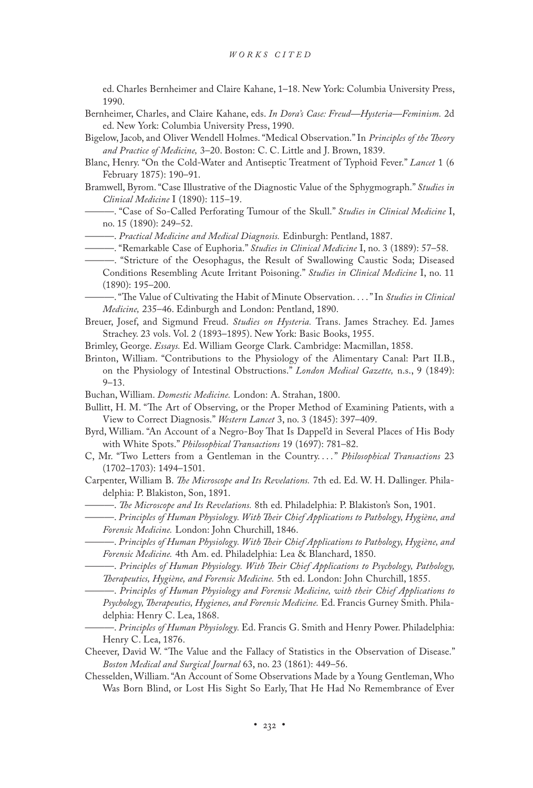ed. Charles Bernheimer and Claire Kahane, 1–18. New York: Columbia University Press, 1990.

- Bernheimer, Charles, and Claire Kahane, eds. *In Dora's Case: Freud—Hysteria—Feminism.* 2d ed. New York: Columbia University Press, 1990.
- Bigelow, Jacob, and Oliver Wendell Holmes. "Medical Observation." In *Principles of the Theory and Practice of Medicine,* 3–20. Boston: C. C. Little and J. Brown, 1839.
- Blanc, Henry. "On the Cold-Water and Antiseptic Treatment of Typhoid Fever." *Lancet* 1 (6 February 1875): 190–91.
- Bramwell, Byrom. "Case Illustrative of the Diagnostic Value of the Sphygmograph." *Studies in Clinical Medicine* I (1890): 115–19.
	- ———. "Case of So-Called Perforating Tumour of the Skull." *Studies in Clinical Medicine* I, no. 15 (1890): 249–52.
	- ———. *Practical Medicine and Medical Diagnosis.* Edinburgh: Pentland, 1887.
	- ———. "Remarkable Case of Euphoria." *Studies in Clinical Medicine* I, no. 3 (1889): 57–58.
	- ———. "Stricture of the Oesophagus, the Result of Swallowing Caustic Soda; Diseased Conditions Resembling Acute Irritant Poisoning." *Studies in Clinical Medicine* I, no. 11 (1890): 195–200.
	- ———. "The Value of Cultivating the Habit of Minute Observation. . . ." In *Studies in Clinical Medicine,* 235–46. Edinburgh and London: Pentland, 1890.
- Breuer, Josef, and Sigmund Freud. *Studies on Hysteria.* Trans. James Strachey. Ed. James Strachey. 23 vols. Vol. 2 (1893–1895). New York: Basic Books, 1955.
- Brimley, George. *Essays.* Ed. William George Clark. Cambridge: Macmillan, 1858.
- Brinton, William. "Contributions to the Physiology of the Alimentary Canal: Part II.B., on the Physiology of Intestinal Obstructions." *London Medical Gazette,* n.s., 9 (1849): 9–13.
- Buchan, William. *Domestic Medicine.* London: A. Strahan, 1800.
- Bullitt, H. M. "The Art of Observing, or the Proper Method of Examining Patients, with a View to Correct Diagnosis." *Western Lancet* 3, no. 3 (1845): 397–409.
- Byrd, William. "An Account of a Negro-Boy That Is Dappel'd in Several Places of His Body with White Spots." *Philosophical Transactions* 19 (1697): 781–82.
- C, Mr. "Two Letters from a Gentleman in the Country. . . ." *Philosophical Transactions* 23 (1702–1703): 1494–1501.
- Carpenter, William B. *The Microscope and Its Revelations.* 7th ed. Ed. W. H. Dallinger. Philadelphia: P. Blakiston, Son, 1891.
	- ———. *The Microscope and Its Revelations.* 8th ed. Philadelphia: P. Blakiston's Son, 1901.
	- ———. *Principles of Human Physiology. With Their Chief Applications to Pathology, Hygiène, and Forensic Medicine.* London: John Churchill, 1846.
	- ———. *Principles of Human Physiology. With Their Chief Applications to Pathology, Hygiène, and Forensic Medicine.* 4th Am. ed. Philadelphia: Lea & Blanchard, 1850.
	- ———. *Principles of Human Physiology. With Their Chief Applications to Psychology, Pathology, Therapeutics, Hygiène, and Forensic Medicine.* 5th ed. London: John Churchill, 1855.
	- ———. *Principles of Human Physiology and Forensic Medicine, with their Chief Applications to Psychology, Therapeutics, Hygienes, and Forensic Medicine.* Ed. Francis Gurney Smith. Philadelphia: Henry C. Lea, 1868.
- ———. *Principles of Human Physiology.* Ed. Francis G. Smith and Henry Power. Philadelphia: Henry C. Lea, 1876.
- Cheever, David W. "The Value and the Fallacy of Statistics in the Observation of Disease." *Boston Medical and Surgical Journal* 63, no. 23 (1861): 449–56.
- Chesselden, William. "An Account of Some Observations Made by a Young Gentleman, Who Was Born Blind, or Lost His Sight So Early, That He Had No Remembrance of Ever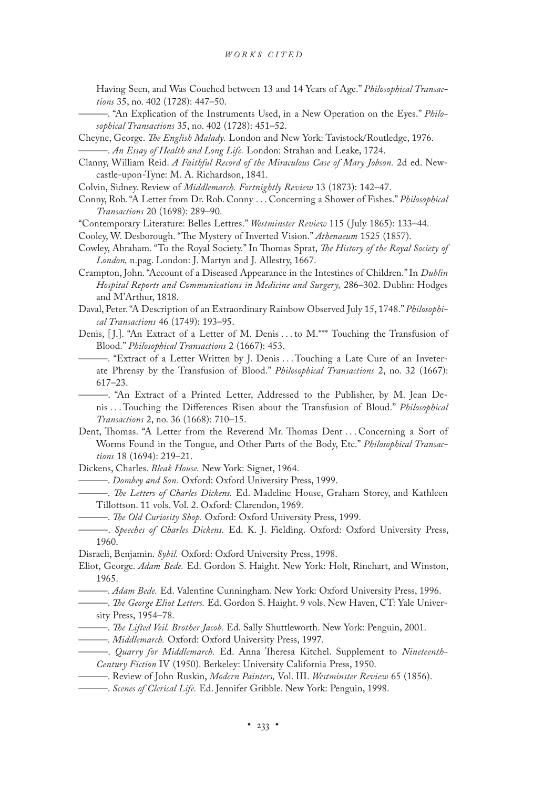Having Seen, and Was Couched between 13 and 14 Years of Age." *Philosophical Transactions* 35, no. 402 (1728): 447–50.

- ———. "An Explication of the Instruments Used, in a New Operation on the Eyes." *Philosophical Transactions* 35, no. 402 (1728): 451–52.
- Cheyne, George. *The English Malady.* London and New York: Tavistock/Routledge, 1976. ———. *An Essay of Health and Long Life.* London: Strahan and Leake, 1724.
- Clanny, William Reid. *A Faithful Record of the Miraculous Case of Mary Jobson.* 2d ed. Newcastle-upon-Tyne: M. A. Richardson, 1841.

Colvin, Sidney. Review of *Middlemarch. Fortnightly Review* 13 (1873): 142–47.

- Conny, Rob. "A Letter from Dr. Rob. Conny . . . Concerning a Shower of Fishes." *Philosophical Transactions* 20 (1698): 289–90.
- "Contemporary Literature: Belles Lettres." *Westminster Review* 115 ( July 1865): 133–44.
- Cooley, W. Desborough. "The Mystery of Inverted Vision." *Athenaeum* 1525 (1857).
- Cowley, Abraham. "To the Royal Society." In Thomas Sprat, *The History of the Royal Society of London,* n.pag. London: J. Martyn and J. Allestry, 1667.
- Crampton, John. "Account of a Diseased Appearance in the Intestines of Children." In *Dublin Hospital Reports and Communications in Medicine and Surgery,* 286–302. Dublin: Hodges and M'Arthur, 1818.
- Daval, Peter. "A Description of an Extraordinary Rainbow Observed July 15, 1748." *Philosophical Transactions* 46 (1749): 193–95.
- Denis, [J.]. "An Extract of a Letter of M. Denis ... to M. \*\*\* Touching the Transfusion of Blood." *Philosophical Transactions* 2 (1667): 453.
	- ———. "Extract of a Letter Written by J. Denis . . . Touching a Late Cure of an Inveterate Phrensy by the Transfusion of Blood." *Philosophical Transactions* 2, no. 32 (1667): 617–23.

———. "An Extract of a Printed Letter, Addressed to the Publisher, by M. Jean Denis . . . Touching the Differences Risen about the Transfusion of Bloud." *Philosophical Transactions* 2, no. 36 (1668): 710–15.

- Dent, Thomas. "A Letter from the Reverend Mr. Thomas Dent . . . Concerning a Sort of Worms Found in the Tongue, and Other Parts of the Body, Etc." *Philosophical Transactions* 18 (1694): 219–21.
- Dickens, Charles. *Bleak House.* New York: Signet, 1964.
	- ———. *Dombey and Son.* Oxford: Oxford University Press, 1999.
	- ———. *The Letters of Charles Dickens.* Ed. Madeline House, Graham Storey, and Kathleen Tillottson. 11 vols. Vol. 2. Oxford: Clarendon, 1969.
		- ———. *The Old Curiosity Shop.* Oxford: Oxford University Press, 1999.
- ———. *Speeches of Charles Dickens.* Ed. K. J. Fielding. Oxford: Oxford University Press, 1960.
- Disraeli, Benjamin. *Sybil.* Oxford: Oxford University Press, 1998.
- Eliot, George. *Adam Bede.* Ed. Gordon S. Haight. New York: Holt, Rinehart, and Winston, 1965.
- ———. *Adam Bede.* Ed. Valentine Cunningham. New York: Oxford University Press, 1996.
- ———. *The George Eliot Letters.* Ed. Gordon S. Haight. 9 vols. New Haven, CT: Yale University Press, 1954–78.
- ———. *The Lifted Veil. Brother Jacob.* Ed. Sally Shuttleworth. New York: Penguin, 2001.
- ———. *Middlemarch.* Oxford: Oxford University Press, 1997.
- ———. *Quarry for Middlemarch.* Ed. Anna Theresa Kitchel. Supplement to *Nineteenth-Century Fiction* IV (1950). Berkeley: University California Press, 1950.
- ———. Review of John Ruskin, *Modern Painters,* Vol. III. *Westminster Review* 65 (1856).
- ———. *Scenes of Clerical Life.* Ed. Jennifer Gribble. New York: Penguin, 1998.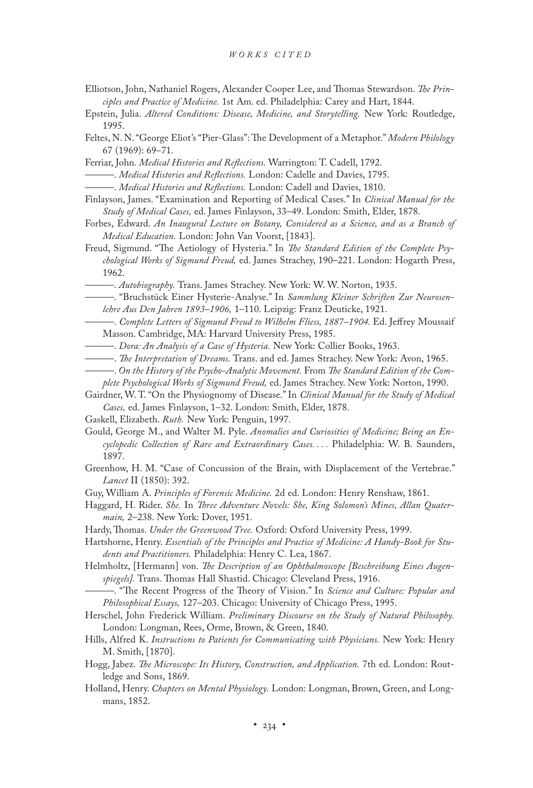- Elliotson, John, Nathaniel Rogers, Alexander Cooper Lee, and Thomas Stewardson. *The Principles and Practice of Medicine.* 1st Am. ed. Philadelphia: Carey and Hart, 1844.
- Epstein, Julia. *Altered Conditions: Disease, Medicine, and Storytelling.* New York: Routledge, 1995.
- Feltes, N. N. "George Eliot's "Pier-Glass": The Development of a Metaphor." *Modern Philology* 67 (1969): 69–71.

Ferriar, John. *Medical Histories and Reflections.* Warrington: T. Cadell, 1792.

———. *Medical Histories and Reflections.* London: Cadelle and Davies, 1795.

———. *Medical Histories and Reflections.* London: Cadell and Davies, 1810.

- Finlayson, James. "Examination and Reporting of Medical Cases." In *Clinical Manual for the Study of Medical Cases,* ed. James Finlayson, 33–49. London: Smith, Elder, 1878.
- Forbes, Edward. *An Inaugural Lecture on Botany, Considered as a Science, and as a Branch of Medical Education.* London: John Van Voorst, [1843].
- Freud, Sigmund. "The Aetiology of Hysteria." In *The Standard Edition of the Complete Psychological Works of Sigmund Freud,* ed. James Strachey, 190–221. London: Hogarth Press, 1962.
	- ———. *Autobiography.* Trans. James Strachey. New York: W. W. Norton, 1935.
- ———. "Bruchstück Einer Hysterie-Analyse." In *Sammlung Kleiner Schriften Zur Neurosenlehre Aus Den Jahren 1893–1906,* 1–110. Leipzig: Franz Deuticke, 1921.
- ———. *Complete Letters of Sigmund Freud to Wilhelm Fliess, 1887–1904.* Ed. Jeffrey Moussaif Masson. Cambridge, MA: Harvard University Press, 1985.
- ———. *Dora: An Analysis of a Case of Hysteria.* New York: Collier Books, 1963.
- ———. *The Interpretation of Dreams.* Trans. and ed. James Strachey. New York: Avon, 1965.
- ———. *On the History of the Psycho-Analytic Movement.* From *The Standard Edition of the Complete Psychological Works of Sigmund Freud,* ed. James Strachey. New York: Norton, 1990.
- Gairdner, W. T. "On the Physiognomy of Disease." In *Clinical Manual for the Study of Medical Cases,* ed. James Finlayson, 1–32. London: Smith, Elder, 1878.
- Gaskell, Elizabeth. *Ruth.* New York: Penguin, 1997.
- Gould, George M., and Walter M. Pyle. *Anomalies and Curiosities of Medicine; Being an Encyclopedic Collection of Rare and Extraordinary Cases. . . .* Philadelphia: W. B. Saunders, 1897.
- Greenhow, H. M. "Case of Concussion of the Brain, with Displacement of the Vertebrae." *Lancet* II (1850): 392.
- Guy, William A. *Principles of Forensic Medicine.* 2d ed. London: Henry Renshaw, 1861.
- Haggard, H. Rider. *She.* In *Three Adventure Novels: She, King Solomon's Mines, Allan Quatermain,* 2–238. New York: Dover, 1951.
- Hardy, Thomas. *Under the Greenwood Tree.* Oxford: Oxford University Press, 1999.
- Hartshorne, Henry. *Essentials of the Principles and Practice of Medicine: A Handy-Book for Students and Practitioners.* Philadelphia: Henry C. Lea, 1867.
- Helmholtz, [Hermann] von. *The Description of an Ophthalmoscope [Beschreibung Eines Augenspiegels].* Trans. Thomas Hall Shastid. Chicago: Cleveland Press, 1916.
- ———. "The Recent Progress of the Theory of Vision." In *Science and Culture: Popular and Philosophical Essays,* 127–203. Chicago: University of Chicago Press, 1995.
- Herschel, John Frederick William. *Preliminary Discourse on the Study of Natural Philosophy.* London: Longman, Rees, Orme, Brown, & Green, 1840.
- Hills, Alfred K. *Instructions to Patients for Communicating with Physicians.* New York: Henry M. Smith, [1870].
- Hogg, Jabez. *The Microscope: Its History, Construction, and Application.* 7th ed. London: Routledge and Sons, 1869.
- Holland, Henry. *Chapters on Mental Physiology.* London: Longman, Brown, Green, and Longmans, 1852.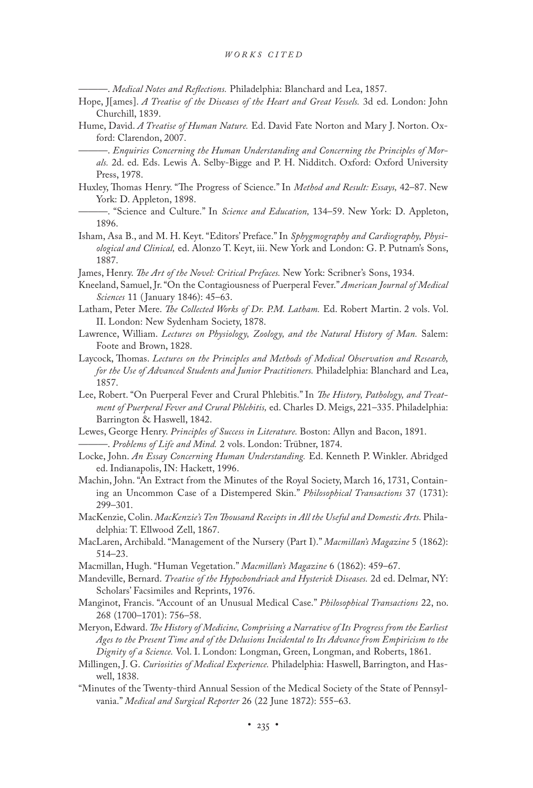———. *Medical Notes and Reflections.* Philadelphia: Blanchard and Lea, 1857.

- Hope, J[ames]. *A Treatise of the Diseases of the Heart and Great Vessels.* 3d ed. London: John Churchill, 1839.
- Hume, David. *A Treatise of Human Nature.* Ed. David Fate Norton and Mary J. Norton. Oxford: Clarendon, 2007.
	- -. *Enquiries Concerning the Human Understanding and Concerning the Principles of Morals.* 2d. ed. Eds. Lewis A. Selby-Bigge and P. H. Nidditch. Oxford: Oxford University Press, 1978.
- Huxley, Thomas Henry. "The Progress of Science." In *Method and Result: Essays,* 42–87. New York: D. Appleton, 1898.
	- ———. "Science and Culture." In *Science and Education,* 134–59. New York: D. Appleton, 1896.
- Isham, Asa B., and M. H. Keyt. "Editors' Preface." In *Sphygmography and Cardiography, Physiological and Clinical,* ed. Alonzo T. Keyt, iii. New York and London: G. P. Putnam's Sons, 1887.
- James, Henry. *The Art of the Novel: Critical Prefaces.* New York: Scribner's Sons, 1934.
- Kneeland, Samuel, Jr. "On the Contagiousness of Puerperal Fever." *American Journal of Medical Sciences* 11 ( January 1846): 45–63.
- Latham, Peter Mere. *The Collected Works of Dr. P.M. Latham.* Ed. Robert Martin. 2 vols. Vol. II. London: New Sydenham Society, 1878.
- Lawrence, William. *Lectures on Physiology, Zoology, and the Natural History of Man.* Salem: Foote and Brown, 1828.
- Laycock, Thomas. *Lectures on the Principles and Methods of Medical Observation and Research, for the Use of Advanced Students and Junior Practitioners.* Philadelphia: Blanchard and Lea, 1857.
- Lee, Robert. "On Puerperal Fever and Crural Phlebitis." In *The History, Pathology, and Treatment of Puerperal Fever and Crural Phlebitis,* ed. Charles D. Meigs, 221–335. Philadelphia: Barrington & Haswell, 1842.
- Lewes, George Henry. *Principles of Success in Literature.* Boston: Allyn and Bacon, 1891. ———. *Problems of Life and Mind.* 2 vols. London: Trübner, 1874.
- Locke, John. *An Essay Concerning Human Understanding.* Ed. Kenneth P. Winkler. Abridged ed. Indianapolis, IN: Hackett, 1996.
- Machin, John. "An Extract from the Minutes of the Royal Society, March 16, 1731, Containing an Uncommon Case of a Distempered Skin." *Philosophical Transactions* 37 (1731): 299–301.
- MacKenzie, Colin. *MacKenzie's Ten Thousand Receipts in All the Useful and Domestic Arts.* Philadelphia: T. Ellwood Zell, 1867.
- MacLaren, Archibald. "Management of the Nursery (Part I)." *Macmillan's Magazine* 5 (1862): 514–23.
- Macmillan, Hugh. "Human Vegetation." *Macmillan's Magazine* 6 (1862): 459–67.
- Mandeville, Bernard. *Treatise of the Hypochondriack and Hysterick Diseases.* 2d ed. Delmar, NY: Scholars' Facsimiles and Reprints, 1976.
- Manginot, Francis. "Account of an Unusual Medical Case." *Philosophical Transactions* 22, no. 268 (1700–1701): 756–58.
- Meryon, Edward. *The History of Medicine, Comprising a Narrative of Its Progress from the Earliest Ages to the Present Time and of the Delusions Incidental to Its Advance from Empiricism to the Dignity of a Science.* Vol. I. London: Longman, Green, Longman, and Roberts, 1861.
- Millingen, J. G. *Curiosities of Medical Experience.* Philadelphia: Haswell, Barrington, and Haswell, 1838.
- "Minutes of the Twenty-third Annual Session of the Medical Society of the State of Pennsylvania." *Medical and Surgical Reporter* 26 (22 June 1872): 555–63.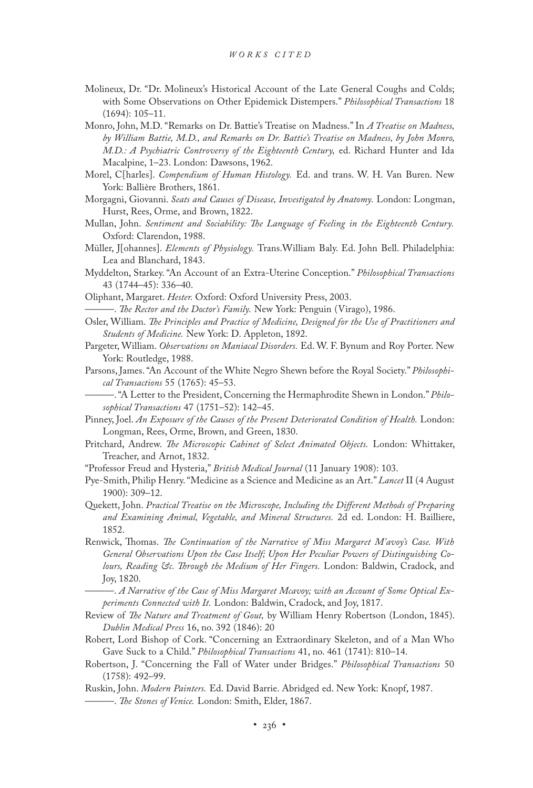- Molineux, Dr. "Dr. Molineux's Historical Account of the Late General Coughs and Colds; with Some Observations on Other Epidemick Distempers." *Philosophical Transactions* 18 (1694): 105–11.
- Monro, John, M.D. "Remarks on Dr. Battie's Treatise on Madness." In *A Treatise on Madness, by William Battie, M.D., and Remarks on Dr. Battie's Treatise on Madness, by John Monro, M.D.: A Psychiatric Controversy of the Eighteenth Century,* ed. Richard Hunter and Ida Macalpine, 1–23. London: Dawsons, 1962.
- Morel, C[harles]. *Compendium of Human Histology.* Ed. and trans. W. H. Van Buren. New York: Ballière Brothers, 1861.
- Morgagni, Giovanni. *Seats and Causes of Disease, Investigated by Anatomy.* London: Longman, Hurst, Rees, Orme, and Brown, 1822.
- Mullan, John. *Sentiment and Sociability: The Language of Feeling in the Eighteenth Century.* Oxford: Clarendon, 1988.
- Müller, J[ohannes]. *Elements of Physiology.* Trans.William Baly. Ed. John Bell. Philadelphia: Lea and Blanchard, 1843.
- Myddelton, Starkey. "An Account of an Extra-Uterine Conception." *Philosophical Transactions* 43 (1744–45): 336–40.
- Oliphant, Margaret. *Hester.* Oxford: Oxford University Press, 2003.
- ———. *The Rector and the Doctor's Family.* New York: Penguin (Virago), 1986.
- Osler, William. *The Principles and Practice of Medicine, Designed for the Use of Practitioners and Students of Medicine.* New York: D. Appleton, 1892.
- Pargeter, William. *Observations on Maniacal Disorders.* Ed. W. F. Bynum and Roy Porter. New York: Routledge, 1988.
- Parsons, James. "An Account of the White Negro Shewn before the Royal Society." *Philosophical Transactions* 55 (1765): 45–53.
	- ———. "A Letter to the President, Concerning the Hermaphrodite Shewn in London." *Philosophical Transactions* 47 (1751–52): 142–45.
- Pinney, Joel. *An Exposure of the Causes of the Present Deteriorated Condition of Health.* London: Longman, Rees, Orme, Brown, and Green, 1830.
- Pritchard, Andrew. *The Microscopic Cabinet of Select Animated Objects.* London: Whittaker, Treacher, and Arnot, 1832.
- "Professor Freud and Hysteria," *British Medical Journal* (11 January 1908): 103.
- Pye-Smith, Philip Henry. "Medicine as a Science and Medicine as an Art." *Lancet* II (4 August 1900): 309–12.
- Quekett, John. *Practical Treatise on the Microscope, Including the Different Methods of Preparing and Examining Animal, Vegetable, and Mineral Structures.* 2d ed. London: H. Bailliere, 1852.
- Renwick, Thomas. *The Continuation of the Narrative of Miss Margaret M'avoy's Case. With General Observations Upon the Case Itself; Upon Her Peculiar Powers of Distinguishing Colours, Reading &c. Through the Medium of Her Fingers.* London: Baldwin, Cradock, and Joy, 1820.
	- ———. *A Narrative of the Case of Miss Margaret Mcavoy; with an Account of Some Optical Experiments Connected with It.* London: Baldwin, Cradock, and Joy, 1817.
- Review of *The Nature and Treatment of Gout,* by William Henry Robertson (London, 1845). *Dublin Medical Press* 16, no. 392 (1846): 20
- Robert, Lord Bishop of Cork. "Concerning an Extraordinary Skeleton, and of a Man Who Gave Suck to a Child." *Philosophical Transactions* 41, no. 461 (1741): 810–14.
- Robertson, J. "Concerning the Fall of Water under Bridges." *Philosophical Transactions* 50 (1758): 492–99.
- Ruskin, John. *Modern Painters.* Ed. David Barrie. Abridged ed. New York: Knopf, 1987. ———. *The Stones of Venice.* London: Smith, Elder, 1867.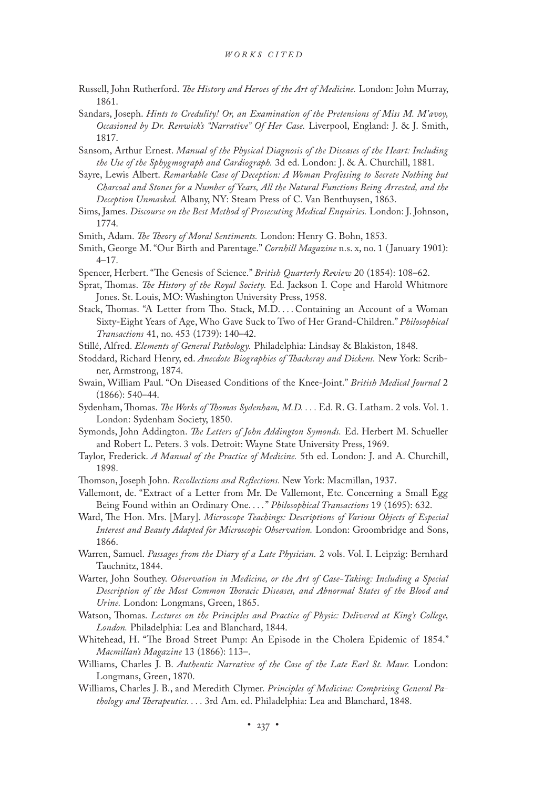- Russell, John Rutherford. *The History and Heroes of the Art of Medicine.* London: John Murray, 1861.
- Sandars, Joseph. *Hints to Credulity! Or, an Examination of the Pretensions of Miss M. M'avoy, Occasioned by Dr. Renwick's "Narrative" Of Her Case.* Liverpool, England: J. & J. Smith, 1817.
- Sansom, Arthur Ernest. *Manual of the Physical Diagnosis of the Diseases of the Heart: Including the Use of the Sphygmograph and Cardiograph.* 3d ed. London: J. & A. Churchill, 1881.
- Sayre, Lewis Albert. *Remarkable Case of Deception: A Woman Professing to Secrete Nothing but Charcoal and Stones for a Number of Years, All the Natural Functions Being Arrested, and the Deception Unmasked.* Albany, NY: Steam Press of C. Van Benthuysen, 1863.
- Sims, James. *Discourse on the Best Method of Prosecuting Medical Enquiries.* London: J. Johnson, 1774.
- Smith, Adam. *The Theory of Moral Sentiments.* London: Henry G. Bohn, 1853.
- Smith, George M. "Our Birth and Parentage." *Cornhill Magazine* n.s. x, no. 1 ( January 1901): 4–17.
- Spencer, Herbert. "The Genesis of Science." *British Quarterly Review* 20 (1854): 108–62.
- Sprat, Thomas. *The History of the Royal Society.* Ed. Jackson I. Cope and Harold Whitmore Jones. St. Louis, MO: Washington University Press, 1958.
- Stack, Thomas. "A Letter from Tho. Stack, M.D. . . . Containing an Account of a Woman Sixty-Eight Years of Age, Who Gave Suck to Two of Her Grand-Children." *Philosophical Transactions* 41, no. 453 (1739): 140–42.
- Stillé, Alfred. *Elements of General Pathology.* Philadelphia: Lindsay & Blakiston, 1848.
- Stoddard, Richard Henry, ed. *Anecdote Biographies of Thackeray and Dickens.* New York: Scribner, Armstrong, 1874.
- Swain, William Paul. "On Diseased Conditions of the Knee-Joint." *British Medical Journal* 2 (1866): 540–44.
- Sydenham, Thomas. *The Works of Thomas Sydenham, M.D. . . .* Ed. R. G. Latham. 2 vols. Vol. 1. London: Sydenham Society, 1850.
- Symonds, John Addington. *The Letters of John Addington Symonds.* Ed. Herbert M. Schueller and Robert L. Peters. 3 vols. Detroit: Wayne State University Press, 1969.
- Taylor, Frederick. *A Manual of the Practice of Medicine.* 5th ed. London: J. and A. Churchill, 1898.
- Thomson, Joseph John. *Recollections and Reflections.* New York: Macmillan, 1937.
- Vallemont, de. "Extract of a Letter from Mr. De Vallemont, Etc. Concerning a Small Egg Being Found within an Ordinary One. . . ." *Philosophical Transactions* 19 (1695): 632.
- Ward, The Hon. Mrs. [Mary]. *Microscope Teachings: Descriptions of Various Objects of Especial Interest and Beauty Adapted for Microscopic Observation.* London: Groombridge and Sons, 1866.
- Warren, Samuel. *Passages from the Diary of a Late Physician.* 2 vols. Vol. I. Leipzig: Bernhard Tauchnitz, 1844.
- Warter, John Southey. *Observation in Medicine, or the Art of Case-Taking: Including a Special Description of the Most Common Thoracic Diseases, and Abnormal States of the Blood and Urine.* London: Longmans, Green, 1865.
- Watson, Thomas. *Lectures on the Principles and Practice of Physic: Delivered at King's College, London.* Philadelphia: Lea and Blanchard, 1844.
- Whitehead, H. "The Broad Street Pump: An Episode in the Cholera Epidemic of 1854." *Macmillan's Magazine* 13 (1866): 113–.
- Williams, Charles J. B. *Authentic Narrative of the Case of the Late Earl St. Maur.* London: Longmans, Green, 1870.
- Williams, Charles J. B., and Meredith Clymer. *Principles of Medicine: Comprising General Pathology and Therapeutics. . . .* 3rd Am. ed. Philadelphia: Lea and Blanchard, 1848.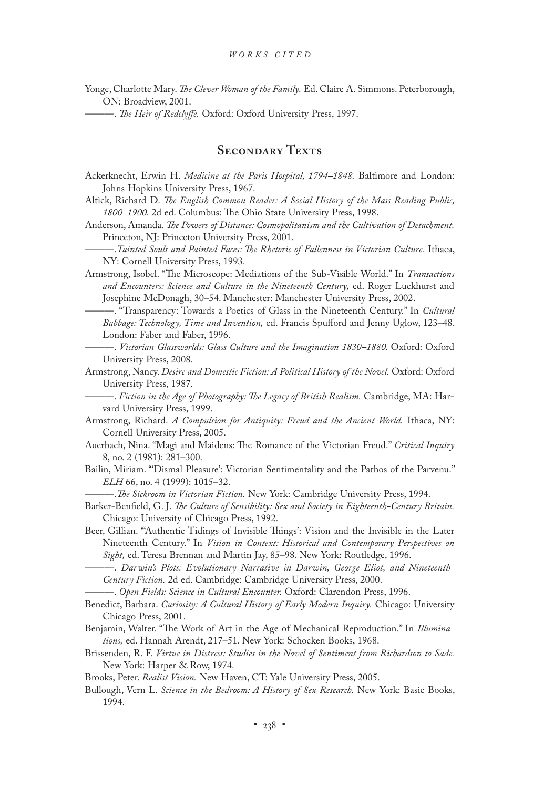Yonge, Charlotte Mary. *The Clever Woman of the Family.* Ed. Claire A. Simmons. Peterborough, ON: Broadview, 2001.

———. *The Heir of Redclyffe.* Oxford: Oxford University Press, 1997.

### SECONDARY TEXTS

- Ackerknecht, Erwin H. *Medicine at the Paris Hospital, 1794–1848.* Baltimore and London: Johns Hopkins University Press, 1967.
- Altick, Richard D. *The English Common Reader: A Social History of the Mass Reading Public, 1800–1900.* 2d ed. Columbus: The Ohio State University Press, 1998.
- Anderson, Amanda. *The Powers of Distance: Cosmopolitanism and the Cultivation of Detachment.* Princeton, NJ: Princeton University Press, 2001.
- ———.*Tainted Souls and Painted Faces: The Rhetoric of Fallenness in Victorian Culture.* Ithaca, NY: Cornell University Press, 1993.
- Armstrong, Isobel. "The Microscope: Mediations of the Sub-Visible World." In *Transactions and Encounters: Science and Culture in the Nineteenth Century,* ed. Roger Luckhurst and Josephine McDonagh, 30–54. Manchester: Manchester University Press, 2002.
	- ———. "Transparency: Towards a Poetics of Glass in the Nineteenth Century." In *Cultural Babbage: Technology, Time and Invention,* ed. Francis Spufford and Jenny Uglow, 123–48. London: Faber and Faber, 1996.
	- ———. *Victorian Glassworlds: Glass Culture and the Imagination 1830–1880.* Oxford: Oxford University Press, 2008.
- Armstrong, Nancy. *Desire and Domestic Fiction: A Political History of the Novel.* Oxford: Oxford University Press, 1987.
	- ———. *Fiction in the Age of Photography: The Legacy of British Realism.* Cambridge, MA: Harvard University Press, 1999.
- Armstrong, Richard. *A Compulsion for Antiquity: Freud and the Ancient World.* Ithaca, NY: Cornell University Press, 2005.
- Auerbach, Nina. "Magi and Maidens: The Romance of the Victorian Freud." *Critical Inquiry* 8, no. 2 (1981): 281–300.
- Bailin, Miriam. "'Dismal Pleasure': Victorian Sentimentality and the Pathos of the Parvenu." *ELH* 66, no. 4 (1999): 1015–32.

———.*The Sickroom in Victorian Fiction.* New York: Cambridge University Press, 1994.

- Barker-Benfield, G. J. *The Culture of Sensibility: Sex and Society in Eighteenth-Century Britain.* Chicago: University of Chicago Press, 1992.
- Beer, Gillian. "'Authentic Tidings of Invisible Things': Vision and the Invisible in the Later Nineteenth Century." In *Vision in Context: Historical and Contemporary Perspectives on Sight,* ed. Teresa Brennan and Martin Jay, 85–98. New York: Routledge, 1996.
	- -. Darwin's Plots: Evolutionary Narrative in Darwin, George Eliot, and Nineteenth-*Century Fiction.* 2d ed. Cambridge: Cambridge University Press, 2000.
- ———. *Open Fields: Science in Cultural Encounter.* Oxford: Clarendon Press, 1996.
- Benedict, Barbara. *Curiosity: A Cultural History of Early Modern Inquiry.* Chicago: University Chicago Press, 2001.
- Benjamin, Walter. "The Work of Art in the Age of Mechanical Reproduction." In *Illuminations,* ed. Hannah Arendt, 217–51. New York: Schocken Books, 1968.
- Brissenden, R. F. *Virtue in Distress: Studies in the Novel of Sentiment from Richardson to Sade.* New York: Harper & Row, 1974.
- Brooks, Peter. *Realist Vision.* New Haven, CT: Yale University Press, 2005.
- Bullough, Vern L. *Science in the Bedroom: A History of Sex Research.* New York: Basic Books, 1994.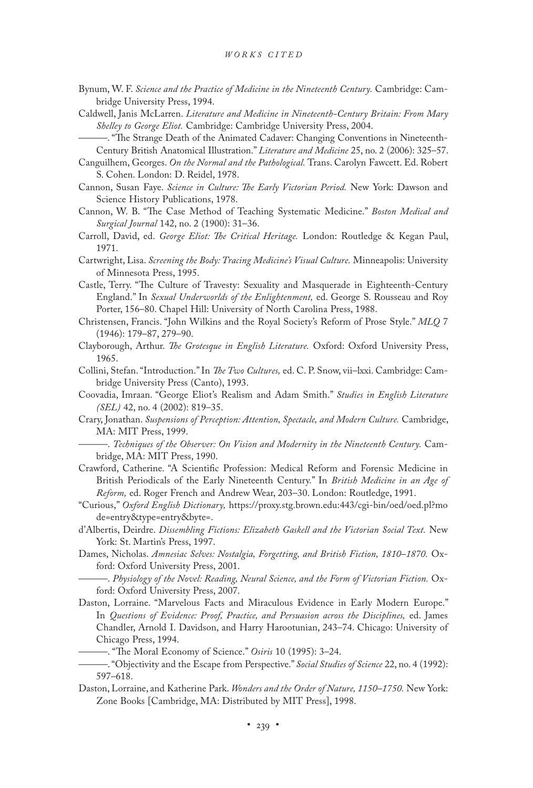- Bynum, W. F. *Science and the Practice of Medicine in the Nineteenth Century.* Cambridge: Cambridge University Press, 1994.
- Caldwell, Janis McLarren. *Literature and Medicine in Nineteenth-Century Britain: From Mary Shelley to George Eliot.* Cambridge: Cambridge University Press, 2004.
	- ———. "The Strange Death of the Animated Cadaver: Changing Conventions in Nineteenth-Century British Anatomical Illustration." *Literature and Medicine* 25, no. 2 (2006): 325–57.
- Canguilhem, Georges. *On the Normal and the Pathological.* Trans. Carolyn Fawcett. Ed. Robert S. Cohen. London: D. Reidel, 1978.
- Cannon, Susan Faye. *Science in Culture: The Early Victorian Period.* New York: Dawson and Science History Publications, 1978.
- Cannon, W. B. "The Case Method of Teaching Systematic Medicine." *Boston Medical and Surgical Journal* 142, no. 2 (1900): 31–36.
- Carroll, David, ed. *George Eliot: The Critical Heritage.* London: Routledge & Kegan Paul, 1971.
- Cartwright, Lisa. *Screening the Body: Tracing Medicine's Visual Culture.* Minneapolis: University of Minnesota Press, 1995.
- Castle, Terry. "The Culture of Travesty: Sexuality and Masquerade in Eighteenth-Century England." In *Sexual Underworlds of the Enlightenment,* ed. George S. Rousseau and Roy Porter, 156–80. Chapel Hill: University of North Carolina Press, 1988.
- Christensen, Francis. "John Wilkins and the Royal Society's Reform of Prose Style." *MLQ* 7 (1946): 179–87, 279–90.
- Clayborough, Arthur. *The Grotesque in English Literature.* Oxford: Oxford University Press, 1965.
- Collini, Stefan. "Introduction." In *The Two Cultures,* ed. C. P. Snow, vii–lxxi. Cambridge: Cambridge University Press (Canto), 1993.
- Coovadia, Imraan. "George Eliot's Realism and Adam Smith." *Studies in English Literature (SEL)* 42, no. 4 (2002): 819–35.
- Crary, Jonathan. *Suspensions of Perception: Attention, Spectacle, and Modern Culture.* Cambridge, MA: MIT Press, 1999.
- ———. *Techniques of the Observer: On Vision and Modernity in the Nineteenth Century.* Cambridge, MA: MIT Press, 1990.
- Crawford, Catherine. "A Scientific Profession: Medical Reform and Forensic Medicine in British Periodicals of the Early Nineteenth Century." In *British Medicine in an Age of Reform,* ed. Roger French and Andrew Wear, 203–30. London: Routledge, 1991.
- "Curious," *Oxford English Dictionary,* https://proxy.stg.brown.edu:443/cgi-bin/oed/oed.pl?mo de=entry&type=entry&byte=.
- d'Albertis, Deirdre. *Dissembling Fictions: Elizabeth Gaskell and the Victorian Social Text.* New York: St. Martin's Press, 1997.
- Dames, Nicholas. *Amnesiac Selves: Nostalgia, Forgetting, and British Fiction, 1810–1870.* Oxford: Oxford University Press, 2001.
- ———. *Physiology of the Novel: Reading, Neural Science, and the Form of Victorian Fiction.* Oxford: Oxford University Press, 2007.
- Daston, Lorraine. "Marvelous Facts and Miraculous Evidence in Early Modern Europe." In *Questions of Evidence: Proof, Practice, and Persuasion across the Disciplines,* ed. James Chandler, Arnold I. Davidson, and Harry Harootunian, 243–74. Chicago: University of Chicago Press, 1994.
	- ———. "The Moral Economy of Science." *Osiris* 10 (1995): 3–24.
- ———. "Objectivity and the Escape from Perspective." *Social Studies of Science* 22, no. 4 (1992): 597–618.
- Daston, Lorraine, and Katherine Park. *Wonders and the Order of Nature, 1150–1750.* New York: Zone Books [Cambridge, MA: Distributed by MIT Press], 1998.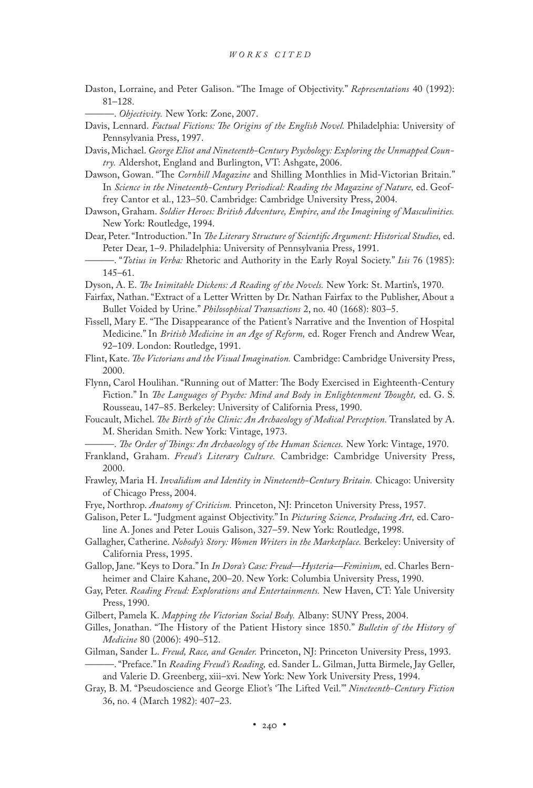Daston, Lorraine, and Peter Galison. "The Image of Objectivity." *Representations* 40 (1992): 81–128.

———. *Objectivity.* New York: Zone, 2007.

Davis, Lennard. *Factual Fictions: The Origins of the English Novel.* Philadelphia: University of Pennsylvania Press, 1997.

Davis, Michael. *George Eliot and Nineteenth-Century Psychology: Exploring the Unmapped Country.* Aldershot, England and Burlington, VT: Ashgate, 2006.

Dawson, Gowan. "The *Cornhill Magazine* and Shilling Monthlies in Mid-Victorian Britain." In *Science in the Nineteenth-Century Periodical: Reading the Magazine of Nature,* ed. Geoffrey Cantor et al., 123–50. Cambridge: Cambridge University Press, 2004.

Dawson, Graham. *Soldier Heroes: British Adventure, Empire, and the Imagining of Masculinities.* New York: Routledge, 1994.

Dear, Peter. "Introduction." In *The Literary Structure of Scientific Argument: Historical Studies,* ed. Peter Dear, 1–9. Philadelphia: University of Pennsylvania Press, 1991.

———. "*Totius in Verba:* Rhetoric and Authority in the Early Royal Society." *Isis* 76 (1985): 145–61.

Dyson, A. E. *The Inimitable Dickens: A Reading of the Novels.* New York: St. Martin's, 1970.

- Fairfax, Nathan. "Extract of a Letter Written by Dr. Nathan Fairfax to the Publisher, About a Bullet Voided by Urine." *Philosophical Transactions* 2, no. 40 (1668): 803–5.
- Fissell, Mary E. "The Disappearance of the Patient's Narrative and the Invention of Hospital Medicine." In *British Medicine in an Age of Reform,* ed. Roger French and Andrew Wear, 92–109. London: Routledge, 1991.
- Flint, Kate. *The Victorians and the Visual Imagination.* Cambridge: Cambridge University Press, 2000.
- Flynn, Carol Houlihan. "Running out of Matter: The Body Exercised in Eighteenth-Century Fiction." In *The Languages of Psyche: Mind and Body in Enlightenment Thought,* ed. G. S. Rousseau, 147–85. Berkeley: University of California Press, 1990.
- Foucault, Michel. *The Birth of the Clinic: An Archaeology of Medical Perception.* Translated by A. M. Sheridan Smith. New York: Vintage, 1973.

———. *The Order of Things: An Archaeology of the Human Sciences.* New York: Vintage, 1970.

- Frankland, Graham. *Freud's Literary Culture.* Cambridge: Cambridge University Press, 2000.
- Frawley, Maria H. *Invalidism and Identity in Nineteenth-Century Britain.* Chicago: University of Chicago Press, 2004.
- Frye, Northrop. *Anatomy of Criticism.* Princeton, NJ: Princeton University Press, 1957.
- Galison, Peter L. "Judgment against Objectivity." In *Picturing Science, Producing Art,* ed. Caroline A. Jones and Peter Louis Galison, 327–59. New York: Routledge, 1998.
- Gallagher, Catherine. *Nobody's Story: Women Writers in the Marketplace.* Berkeley: University of California Press, 1995.

Gallop, Jane. "Keys to Dora." In *In Dora's Case: Freud—Hysteria—Feminism,* ed. Charles Bernheimer and Claire Kahane, 200–20. New York: Columbia University Press, 1990.

Gay, Peter. *Reading Freud: Explorations and Entertainments.* New Haven, CT: Yale University Press, 1990.

Gilbert, Pamela K. *Mapping the Victorian Social Body.* Albany: SUNY Press, 2004.

- Gilles, Jonathan. "The History of the Patient History since 1850." *Bulletin of the History of Medicine* 80 (2006): 490–512.
- Gilman, Sander L. *Freud, Race, and Gender.* Princeton, NJ: Princeton University Press, 1993.
- ———. "Preface." In *Reading Freud's Reading,* ed. Sander L. Gilman, Jutta Birmele, Jay Geller, and Valerie D. Greenberg, xiii–xvi. New York: New York University Press, 1994.
- Gray, B. M. "Pseudoscience and George Eliot's 'The Lifted Veil.'" *Nineteenth-Century Fiction*  36, no. 4 (March 1982): 407–23.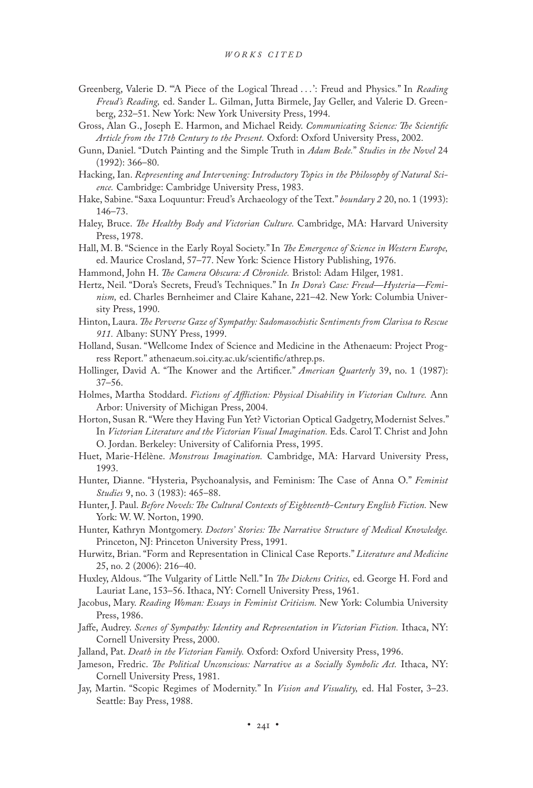- Greenberg, Valerie D. "'A Piece of the Logical Thread . . . ': Freud and Physics." In *Reading Freud's Reading,* ed. Sander L. Gilman, Jutta Birmele, Jay Geller, and Valerie D. Greenberg, 232–51. New York: New York University Press, 1994.
- Gross, Alan G., Joseph E. Harmon, and Michael Reidy. *Communicating Science: The Scientific Article from the 17th Century to the Present.* Oxford: Oxford University Press, 2002.
- Gunn, Daniel. "Dutch Painting and the Simple Truth in *Adam Bede.*" *Studies in the Novel* 24 (1992): 366–80.
- Hacking, Ian. *Representing and Intervening: Introductory Topics in the Philosophy of Natural Science.* Cambridge: Cambridge University Press, 1983.
- Hake, Sabine. "Saxa Loquuntur: Freud's Archaeology of the Text." *boundary 2* 20, no. 1 (1993): 146–73.
- Haley, Bruce. *The Healthy Body and Victorian Culture.* Cambridge, MA: Harvard University Press, 1978.
- Hall, M. B. "Science in the Early Royal Society." In *The Emergence of Science in Western Europe,* ed. Maurice Crosland, 57–77. New York: Science History Publishing, 1976.
- Hammond, John H. *The Camera Obscura: A Chronicle.* Bristol: Adam Hilger, 1981.
- Hertz, Neil. "Dora's Secrets, Freud's Techniques." In *In Dora's Case: Freud—Hysteria—Feminism,* ed. Charles Bernheimer and Claire Kahane, 221–42. New York: Columbia University Press, 1990.
- Hinton, Laura. *The Perverse Gaze of Sympathy: Sadomasochistic Sentiments from Clarissa to Rescue 911.* Albany: SUNY Press, 1999.
- Holland, Susan. "Wellcome Index of Science and Medicine in the Athenaeum: Project Progress Report." athenaeum.soi.city.ac.uk/scientific/athrep.ps.
- Hollinger, David A. "The Knower and the Artificer." *American Quarterly* 39, no. 1 (1987): 37–56.
- Holmes, Martha Stoddard. *Fictions of Affliction: Physical Disability in Victorian Culture.* Ann Arbor: University of Michigan Press, 2004.
- Horton, Susan R. "Were they Having Fun Yet? Victorian Optical Gadgetry, Modernist Selves." In Victorian Literature and the Victorian Visual Imagination. Eds. Carol T. Christ and John O. Jordan. Berkeley: University of California Press, 1995.
- Huet, Marie-Hélène. *Monstrous Imagination.* Cambridge, MA: Harvard University Press, 1993.
- Hunter, Dianne. "Hysteria, Psychoanalysis, and Feminism: The Case of Anna O." *Feminist Studies* 9, no. 3 (1983): 465–88.
- Hunter, J. Paul. *Before Novels: The Cultural Contexts of Eighteenth-Century English Fiction.* New York: W. W. Norton, 1990.
- Hunter, Kathryn Montgomery. *Doctors' Stories: The Narrative Structure of Medical Knowledge.* Princeton, NJ: Princeton University Press, 1991.
- Hurwitz, Brian. "Form and Representation in Clinical Case Reports." *Literature and Medicine* 25, no. 2 (2006): 216–40.
- Huxley, Aldous. "The Vulgarity of Little Nell." In *The Dickens Critics,* ed. George H. Ford and Lauriat Lane, 153–56. Ithaca, NY: Cornell University Press, 1961.
- Jacobus, Mary. *Reading Woman: Essays in Feminist Criticism.* New York: Columbia University Press, 1986.
- Jaffe, Audrey. *Scenes of Sympathy: Identity and Representation in Victorian Fiction.* Ithaca, NY: Cornell University Press, 2000.
- Jalland, Pat. *Death in the Victorian Family.* Oxford: Oxford University Press, 1996.
- Jameson, Fredric. *The Political Unconscious: Narrative as a Socially Symbolic Act.* Ithaca, NY: Cornell University Press, 1981.
- Jay, Martin. "Scopic Regimes of Modernity." In *Vision and Visuality,* ed. Hal Foster, 3–23. Seattle: Bay Press, 1988.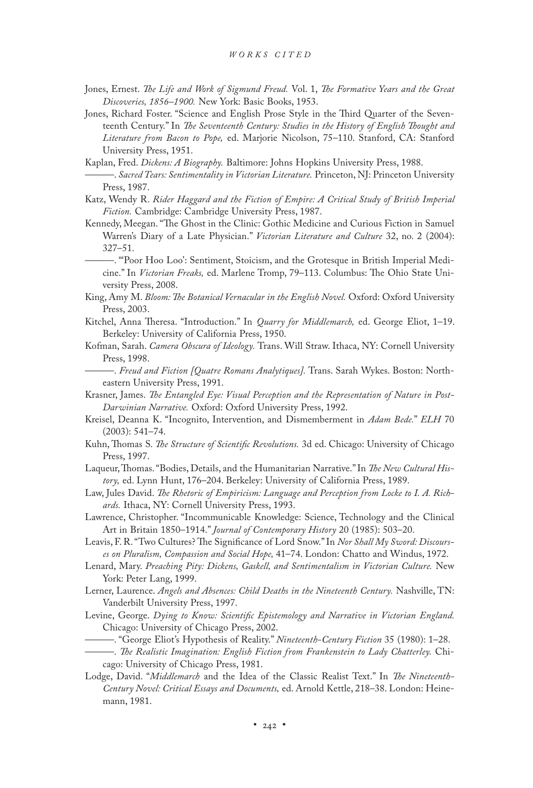- Jones, Ernest. *The Life and Work of Sigmund Freud.* Vol. 1, *The Formative Years and the Great Discoveries, 1856–1900.* New York: Basic Books, 1953.
- Jones, Richard Foster. "Science and English Prose Style in the Third Quarter of the Seventeenth Century." In *The Seventeenth Century: Studies in the History of English Thought and Literature from Bacon to Pope,* ed. Marjorie Nicolson, 75–110. Stanford, CA: Stanford University Press, 1951.
- Kaplan, Fred. *Dickens: A Biography.* Baltimore: Johns Hopkins University Press, 1988.
- ———. *Sacred Tears: Sentimentality in Victorian Literature.* Princeton, NJ: Princeton University Press, 1987.
- Katz, Wendy R. *Rider Haggard and the Fiction of Empire: A Critical Study of British Imperial Fiction.* Cambridge: Cambridge University Press, 1987.
- Kennedy, Meegan. "The Ghost in the Clinic: Gothic Medicine and Curious Fiction in Samuel Warren's Diary of a Late Physician." *Victorian Literature and Culture* 32, no. 2 (2004): 327–51.
	- ———. "'Poor Hoo Loo': Sentiment, Stoicism, and the Grotesque in British Imperial Medicine." In *Victorian Freaks,* ed. Marlene Tromp, 79–113. Columbus: The Ohio State University Press, 2008.
- King, Amy M. *Bloom: The Botanical Vernacular in the English Novel.* Oxford: Oxford University Press, 2003.
- Kitchel, Anna Theresa. "Introduction." In *Quarry for Middlemarch,* ed. George Eliot, 1–19. Berkeley: University of California Press, 1950.
- Kofman, Sarah. *Camera Obscura of Ideology.* Trans. Will Straw. Ithaca, NY: Cornell University Press, 1998.
- ———. *Freud and Fiction [Quatre Romans Analytiques].* Trans. Sarah Wykes. Boston: Northeastern University Press, 1991.
- Krasner, James. *The Entangled Eye: Visual Perception and the Representation of Nature in Post-Darwinian Narrative.* Oxford: Oxford University Press, 1992.
- Kreisel, Deanna K. "Incognito, Intervention, and Dismemberment in *Adam Bede.*" *ELH* 70 (2003): 541–74.
- Kuhn, Thomas S. *The Structure of Scientific Revolutions.* 3d ed. Chicago: University of Chicago Press, 1997.
- Laqueur, Thomas. "Bodies, Details, and the Humanitarian Narrative." In *The New Cultural History,* ed. Lynn Hunt, 176–204. Berkeley: University of California Press, 1989.
- Law, Jules David. *The Rhetoric of Empiricism: Language and Perception from Locke to I. A. Richards.* Ithaca, NY: Cornell University Press, 1993.
- Lawrence, Christopher. "Incommunicable Knowledge: Science, Technology and the Clinical Art in Britain 1850–1914." *Journal of Contemporary History* 20 (1985): 503–20.
- Leavis, F. R. "Two Cultures? The Significance of Lord Snow." In *Nor Shall My Sword: Discourses on Pluralism, Compassion and Social Hope,* 41–74. London: Chatto and Windus, 1972.
- Lenard, Mary. *Preaching Pity: Dickens, Gaskell, and Sentimentalism in Victorian Culture.* New York: Peter Lang, 1999.
- Lerner, Laurence. *Angels and Absences: Child Deaths in the Nineteenth Century.* Nashville, TN: Vanderbilt University Press, 1997.
- Levine, George. *Dying to Know: Scientific Epistemology and Narrative in Victorian England.* Chicago: University of Chicago Press, 2002.
	- ———. "George Eliot's Hypothesis of Reality." *Nineteenth-Century Fiction* 35 (1980): 1–28.
- ———. *The Realistic Imagination: English Fiction from Frankenstein to Lady Chatterley.* Chicago: University of Chicago Press, 1981.
- Lodge, David. "*Middlemarch* and the Idea of the Classic Realist Text." In *The Nineteenth-Century Novel: Critical Essays and Documents,* ed. Arnold Kettle, 218–38. London: Heinemann, 1981.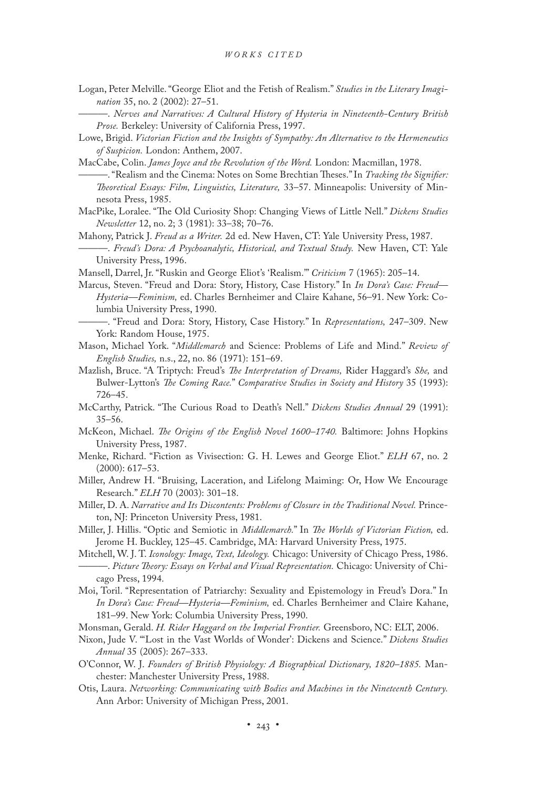- Logan, Peter Melville. "George Eliot and the Fetish of Realism." *Studies in the Literary Imagination* 35, no. 2 (2002): 27–51.
	- ———. *Nerves and Narratives: A Cultural History of Hysteria in Nineteenth-Century British Prose.* Berkeley: University of California Press, 1997.
- Lowe, Brigid. *Victorian Fiction and the Insights of Sympathy: An Alternative to the Hermeneutics of Suspicion.* London: Anthem, 2007.
- MacCabe, Colin. *James Joyce and the Revolution of the Word.* London: Macmillan, 1978. ———. "Realism and the Cinema: Notes on Some Brechtian Theses." In *Tracking the Signifier:*
- *Theoretical Essays: Film, Linguistics, Literature,* 33–57. Minneapolis: University of Minnesota Press, 1985.
- MacPike, Loralee. "The Old Curiosity Shop: Changing Views of Little Nell." *Dickens Studies Newsletter* 12, no. 2; 3 (1981): 33–38; 70–76.
- Mahony, Patrick J. *Freud as a Writer.* 2d ed. New Haven, CT: Yale University Press, 1987. ———. *Freud's Dora: A Psychoanalytic, Historical, and Textual Study.* New Haven, CT: Yale University Press, 1996.
- Mansell, Darrel, Jr. "Ruskin and George Eliot's 'Realism.'" *Criticism* 7 (1965): 205–14.
- Marcus, Steven. "Freud and Dora: Story, History, Case History." In *In Dora's Case: Freud— Hysteria—Feminism,* ed. Charles Bernheimer and Claire Kahane, 56–91. New York: Columbia University Press, 1990.
	- ———. "Freud and Dora: Story, History, Case History." In *Representations,* 247–309. New York: Random House, 1975.
- Mason, Michael York. "*Middlemarch* and Science: Problems of Life and Mind." *Review of English Studies,* n.s., 22, no. 86 (1971): 151–69.
- Mazlish, Bruce. "A Triptych: Freud's *The Interpretation of Dreams,* Rider Haggard's *She,* and Bulwer-Lytton's *The Coming Race.*" *Comparative Studies in Society and History* 35 (1993): 726–45.
- McCarthy, Patrick. "The Curious Road to Death's Nell." *Dickens Studies Annual* 29 (1991): 35–56.
- McKeon, Michael. *The Origins of the English Novel 1600–1740.* Baltimore: Johns Hopkins University Press, 1987.
- Menke, Richard. "Fiction as Vivisection: G. H. Lewes and George Eliot." *ELH* 67, no. 2 (2000): 617–53.
- Miller, Andrew H. "Bruising, Laceration, and Lifelong Maiming: Or, How We Encourage Research." *ELH* 70 (2003): 301–18.
- Miller, D. A. *Narrative and Its Discontents: Problems of Closure in the Traditional Novel.* Princeton, NJ: Princeton University Press, 1981.
- Miller, J. Hillis. "Optic and Semiotic in *Middlemarch.*" In *The Worlds of Victorian Fiction,* ed. Jerome H. Buckley, 125–45. Cambridge, MA: Harvard University Press, 1975.
- Mitchell, W. J. T. *Iconology: Image, Text, Ideology.* Chicago: University of Chicago Press, 1986. ———. *Picture Theory: Essays on Verbal and Visual Representation.* Chicago: University of Chicago Press, 1994.
- Moi, Toril. "Representation of Patriarchy: Sexuality and Epistemology in Freud's Dora." In *In Dora's Case: Freud—Hysteria—Feminism,* ed. Charles Bernheimer and Claire Kahane, 181–99. New York: Columbia University Press, 1990.
- Monsman, Gerald. *H. Rider Haggard on the Imperial Frontier.* Greensboro, NC: ELT, 2006.
- Nixon, Jude V. "'Lost in the Vast Worlds of Wonder': Dickens and Science." *Dickens Studies Annual* 35 (2005): 267–333.
- O'Connor, W. J. *Founders of British Physiology: A Biographical Dictionary, 1820–1885.* Manchester: Manchester University Press, 1988.
- Otis, Laura. *Networking: Communicating with Bodies and Machines in the Nineteenth Century.* Ann Arbor: University of Michigan Press, 2001.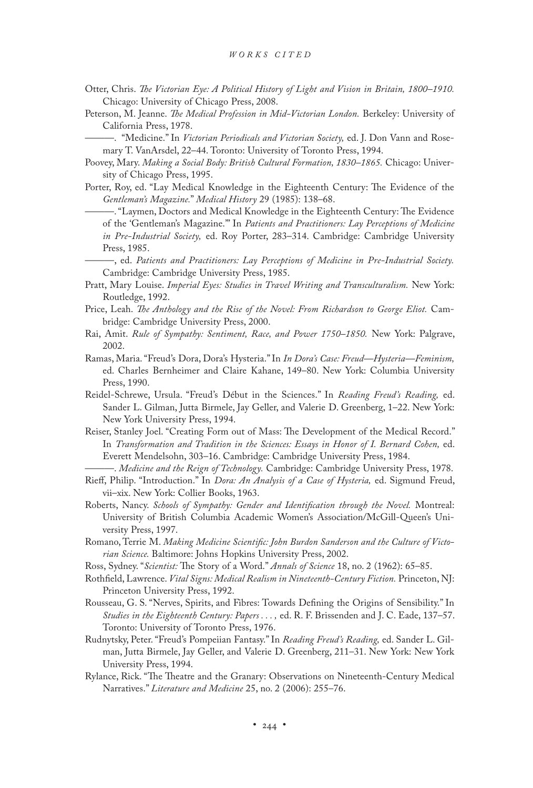- Otter, Chris. *The Victorian Eye: A Political History of Light and Vision in Britain, 1800–1910.* Chicago: University of Chicago Press, 2008.
- Peterson, M. Jeanne. *The Medical Profession in Mid-Victorian London.* Berkeley: University of California Press, 1978.
	- ———. "Medicine." In *Victorian Periodicals and Victorian Society,* ed. J. Don Vann and Rosemary T. VanArsdel, 22–44. Toronto: University of Toronto Press, 1994.
- Poovey, Mary. *Making a Social Body: British Cultural Formation, 1830–1865.* Chicago: University of Chicago Press, 1995.
- Porter, Roy, ed. "Lay Medical Knowledge in the Eighteenth Century: The Evidence of the *Gentleman's Magazine.*" *Medical History* 29 (1985): 138–68.
	- ———. "Laymen, Doctors and Medical Knowledge in the Eighteenth Century: The Evidence of the 'Gentleman's Magazine.'" In *Patients and Practitioners: Lay Perceptions of Medicine in Pre-Industrial Society,* ed. Roy Porter, 283–314. Cambridge: Cambridge University Press, 1985.
	- ———, ed. *Patients and Practitioners: Lay Perceptions of Medicine in Pre-Industrial Society.* Cambridge: Cambridge University Press, 1985.
- Pratt, Mary Louise. *Imperial Eyes: Studies in Travel Writing and Transculturalism.* New York: Routledge, 1992.
- Price, Leah. *The Anthology and the Rise of the Novel: From Richardson to George Eliot.* Cambridge: Cambridge University Press, 2000.
- Rai, Amit. *Rule of Sympathy: Sentiment, Race, and Power 1750–1850.* New York: Palgrave, 2002.
- Ramas, Maria. "Freud's Dora, Dora's Hysteria." In *In Dora's Case: Freud—Hysteria—Feminism,* ed. Charles Bernheimer and Claire Kahane, 149–80. New York: Columbia University Press, 1990.
- Reidel-Schrewe, Ursula. "Freud's Début in the Sciences." In *Reading Freud's Reading,* ed. Sander L. Gilman, Jutta Birmele, Jay Geller, and Valerie D. Greenberg, 1–22. New York: New York University Press, 1994.
- Reiser, Stanley Joel. "Creating Form out of Mass: The Development of the Medical Record." In *Transformation and Tradition in the Sciences: Essays in Honor of I. Bernard Cohen,* ed. Everett Mendelsohn, 303–16. Cambridge: Cambridge University Press, 1984.
	- -. *Medicine and the Reign of Technology*. Cambridge: Cambridge University Press, 1978.
- Rieff, Philip. "Introduction." In *Dora: An Analysis of a Case of Hysteria,* ed. Sigmund Freud, vii–xix. New York: Collier Books, 1963.
- Roberts, Nancy. *Schools of Sympathy: Gender and Identification through the Novel.* Montreal: University of British Columbia Academic Women's Association/McGill-Queen's University Press, 1997.
- Romano, Terrie M. *Making Medicine Scientific: John Burdon Sanderson and the Culture of Victorian Science.* Baltimore: Johns Hopkins University Press, 2002.
- Ross, Sydney. "*Scientist:* The Story of a Word." *Annals of Science* 18, no. 2 (1962): 65–85.
- Rothfield, Lawrence. *Vital Signs: Medical Realism in Nineteenth-Century Fiction.* Princeton, NJ: Princeton University Press, 1992.
- Rousseau, G. S. "Nerves, Spirits, and Fibres: Towards Defining the Origins of Sensibility." In *Studies in the Eighteenth Century: Papers . . . ,* ed. R. F. Brissenden and J. C. Eade, 137–57. Toronto: University of Toronto Press, 1976.
- Rudnytsky, Peter. "Freud's Pompeiian Fantasy." In *Reading Freud's Reading,* ed. Sander L. Gilman, Jutta Birmele, Jay Geller, and Valerie D. Greenberg, 211–31. New York: New York University Press, 1994.
- Rylance, Rick. "The Theatre and the Granary: Observations on Nineteenth-Century Medical Narratives." *Literature and Medicine* 25, no. 2 (2006): 255–76.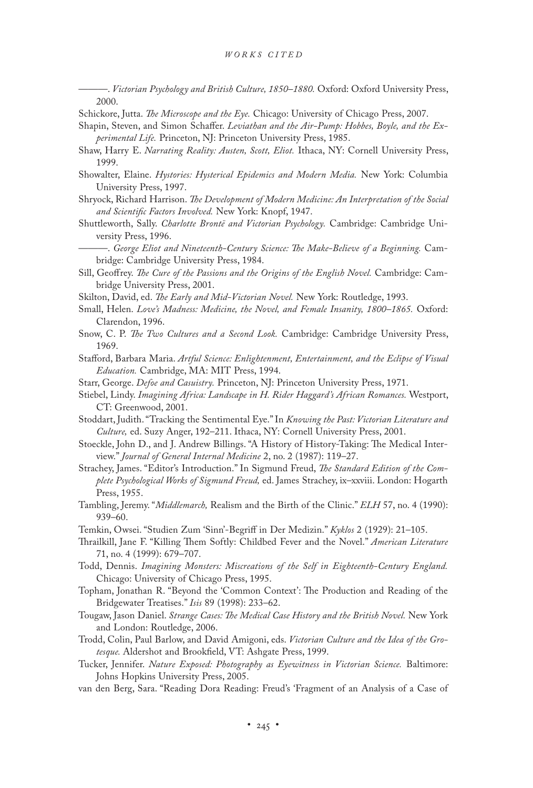———. *Victorian Psychology and British Culture, 1850–1880.* Oxford: Oxford University Press, 2000.

- Schickore, Jutta. *The Microscope and the Eye.* Chicago: University of Chicago Press, 2007.
- Shapin, Steven, and Simon Schaffer. *Leviathan and the Air-Pump: Hobbes, Boyle, and the Experimental Life.* Princeton, NJ: Princeton University Press, 1985.
- Shaw, Harry E. *Narrating Reality: Austen, Scott, Eliot.* Ithaca, NY: Cornell University Press, 1999.
- Showalter, Elaine. *Hystories: Hysterical Epidemics and Modern Media.* New York: Columbia University Press, 1997.
- Shryock, Richard Harrison. *The Development of Modern Medicine: An Interpretation of the Social and Scientific Factors Involved.* New York: Knopf, 1947.
- Shuttleworth, Sally. *Charlotte Brontë and Victorian Psychology.* Cambridge: Cambridge University Press, 1996.
- ———. *George Eliot and Nineteenth-Century Science: The Make-Believe of a Beginning.* Cambridge: Cambridge University Press, 1984.
- Sill, Geoffrey. *The Cure of the Passions and the Origins of the English Novel.* Cambridge: Cambridge University Press, 2001.
- Skilton, David, ed. *The Early and Mid-Victorian Novel.* New York: Routledge, 1993.
- Small, Helen. *Love's Madness: Medicine, the Novel, and Female Insanity, 1800–1865.* Oxford: Clarendon, 1996.
- Snow, C. P. *The Two Cultures and a Second Look.* Cambridge: Cambridge University Press, 1969.
- Stafford, Barbara Maria. *Artful Science: Enlightenment, Entertainment, and the Eclipse of Visual Education.* Cambridge, MA: MIT Press, 1994.
- Starr, George. *Defoe and Casuistry.* Princeton, NJ: Princeton University Press, 1971.
- Stiebel, Lindy. *Imagining Africa: Landscape in H. Rider Haggard's African Romances.* Westport, CT: Greenwood, 2001.
- Stoddart, Judith. "Tracking the Sentimental Eye." In *Knowing the Past: Victorian Literature and Culture,* ed. Suzy Anger, 192–211. Ithaca, NY: Cornell University Press, 2001.
- Stoeckle, John D., and J. Andrew Billings. "A History of History-Taking: The Medical Interview." *Journal of General Internal Medicine* 2, no. 2 (1987): 119–27.
- Strachey, James. "Editor's Introduction." In Sigmund Freud, *The Standard Edition of the Complete Psychological Works of Sigmund Freud,* ed. James Strachey, ix–xxviii. London: Hogarth Press, 1955.
- Tambling, Jeremy. "*Middlemarch,* Realism and the Birth of the Clinic." *ELH* 57, no. 4 (1990): 939–60.
- Temkin, Owsei. "Studien Zum 'Sinn'-Begriff in Der Medizin." *Kyklos* 2 (1929): 21–105.
- Thrailkill, Jane F. "Killing Them Softly: Childbed Fever and the Novel." *American Literature* 71, no. 4 (1999): 679–707.
- Todd, Dennis. *Imagining Monsters: Miscreations of the Self in Eighteenth-Century England.* Chicago: University of Chicago Press, 1995.
- Topham, Jonathan R. "Beyond the 'Common Context': The Production and Reading of the Bridgewater Treatises." *Isis* 89 (1998): 233–62.
- Tougaw, Jason Daniel. *Strange Cases: The Medical Case History and the British Novel.* New York and London: Routledge, 2006.
- Trodd, Colin, Paul Barlow, and David Amigoni, eds. *Victorian Culture and the Idea of the Grotesque.* Aldershot and Brookfield, VT: Ashgate Press, 1999.
- Tucker, Jennifer. *Nature Exposed: Photography as Eyewitness in Victorian Science.* Baltimore: Johns Hopkins University Press, 2005.
- van den Berg, Sara. "Reading Dora Reading: Freud's 'Fragment of an Analysis of a Case of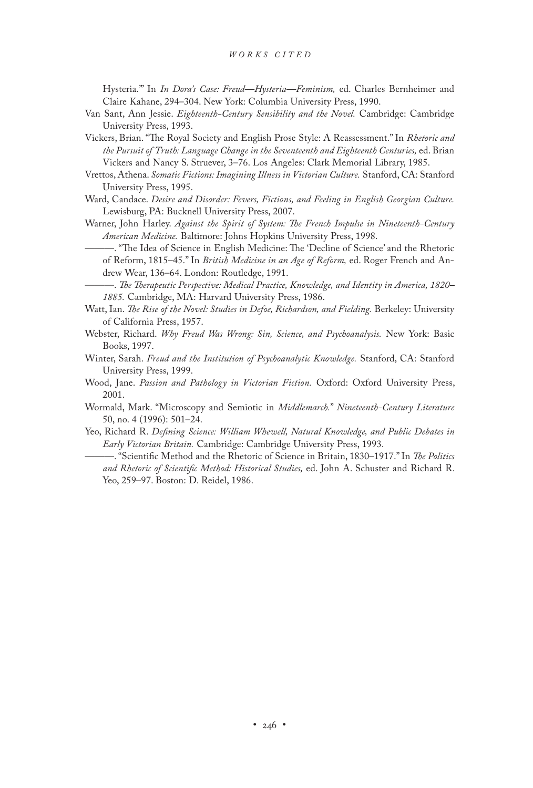Hysteria.'" In *In Dora's Case: Freud—Hysteria—Feminism,* ed. Charles Bernheimer and Claire Kahane, 294–304. New York: Columbia University Press, 1990.

- Van Sant, Ann Jessie. *Eighteenth-Century Sensibility and the Novel.* Cambridge: Cambridge University Press, 1993.
- Vickers, Brian. "The Royal Society and English Prose Style: A Reassessment." In *Rhetoric and the Pursuit of Truth: Language Change in the Seventeenth and Eighteenth Centuries,* ed. Brian Vickers and Nancy S. Struever, 3–76. Los Angeles: Clark Memorial Library, 1985.
- Vrettos, Athena. *Somatic Fictions: Imagining Illness in Victorian Culture.* Stanford, CA: Stanford University Press, 1995.
- Ward, Candace. *Desire and Disorder: Fevers, Fictions, and Feeling in English Georgian Culture.* Lewisburg, PA: Bucknell University Press, 2007.
- Warner, John Harley. *Against the Spirit of System: The French Impulse in Nineteenth-Century American Medicine.* Baltimore: Johns Hopkins University Press, 1998.
	- ———. "The Idea of Science in English Medicine: The 'Decline of Science' and the Rhetoric of Reform, 1815–45." In *British Medicine in an Age of Reform,* ed. Roger French and Andrew Wear, 136–64. London: Routledge, 1991.

———. *The Therapeutic Perspective: Medical Practice, Knowledge, and Identity in America, 1820– 1885.* Cambridge, MA: Harvard University Press, 1986.

- Watt, Ian. *The Rise of the Novel: Studies in Defoe, Richardson, and Fielding.* Berkeley: University of California Press, 1957.
- Webster, Richard. *Why Freud Was Wrong: Sin, Science, and Psychoanalysis.* New York: Basic Books, 1997.
- Winter, Sarah. *Freud and the Institution of Psychoanalytic Knowledge.* Stanford, CA: Stanford University Press, 1999.
- Wood, Jane. *Passion and Pathology in Victorian Fiction.* Oxford: Oxford University Press, 2001.
- Wormald, Mark. "Microscopy and Semiotic in *Middlemarch.*" *Nineteenth-Century Literature* 50, no. 4 (1996): 501–24.
- Yeo, Richard R. *Defining Science: William Whewell, Natural Knowledge, and Public Debates in Early Victorian Britain.* Cambridge: Cambridge University Press, 1993.
	- ———. "Scientific Method and the Rhetoric of Science in Britain, 1830–1917." In *The Politics and Rhetoric of Scientific Method: Historical Studies,* ed. John A. Schuster and Richard R. Yeo, 259–97. Boston: D. Reidel, 1986.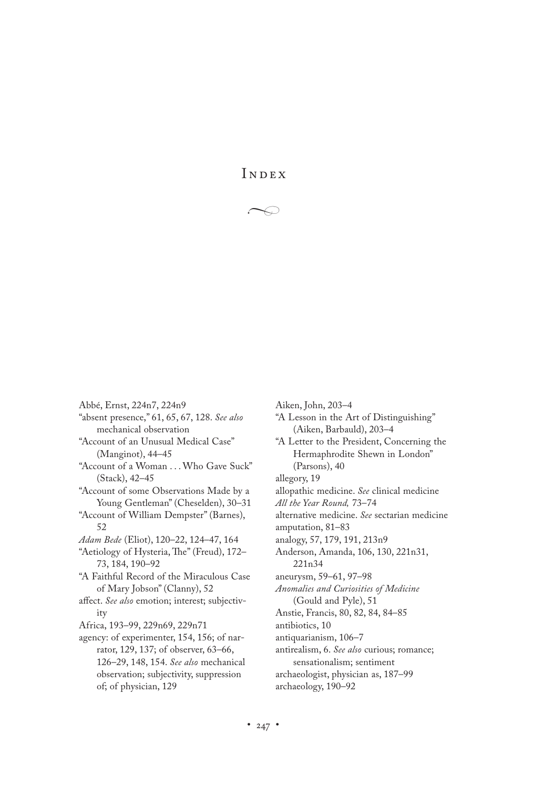INDEX

 $\rightarrow$ 

Abbé, Ernst, 224n7, 224n9 "absent presence," 61, 65, 67, 128. *See also* mechanical observation "Account of an Unusual Medical Case" (Manginot), 44–45 "Account of a Woman . . . Who Gave Suck" (Stack), 42–45 "Account of some Observations Made by a Young Gentleman" (Cheselden), 30–31 "Account of William Dempster" (Barnes), 52 *Adam Bede* (Eliot), 120–22, 124–47, 164 "Aetiology of Hysteria, The" (Freud), 172– 73, 184, 190–92 "A Faithful Record of the Miraculous Case of Mary Jobson" (Clanny), 52 affect. *See also* emotion; interest; subjectivity Africa, 193–99, 229n69, 229n71 agency: of experimenter, 154, 156; of narrator, 129, 137; of observer, 63–66, 126–29, 148, 154. *See also* mechanical observation; subjectivity, suppression of; of physician, 129

"A Lesson in the Art of Distinguishing" (Aiken, Barbauld), 203–4 "A Letter to the President, Concerning the Hermaphrodite Shewn in London" (Parsons), 40 allegory, 19 allopathic medicine. *See* clinical medicine *All the Year Round,* 73–74 alternative medicine. *See* sectarian medicine amputation, 81–83 analogy, 57, 179, 191, 213n9 Anderson, Amanda, 106, 130, 221n31, 221n34 aneurysm, 59–61, 97–98 *Anomalies and Curiosities of Medicine* (Gould and Pyle), 51 Anstie, Francis, 80, 82, 84, 84–85 antibiotics, 10 antiquarianism, 106–7 antirealism, 6. *See also* curious; romance; sensationalism; sentiment archaeologist, physician as, 187–99 archaeology, 190–92

Aiken, John, 203–4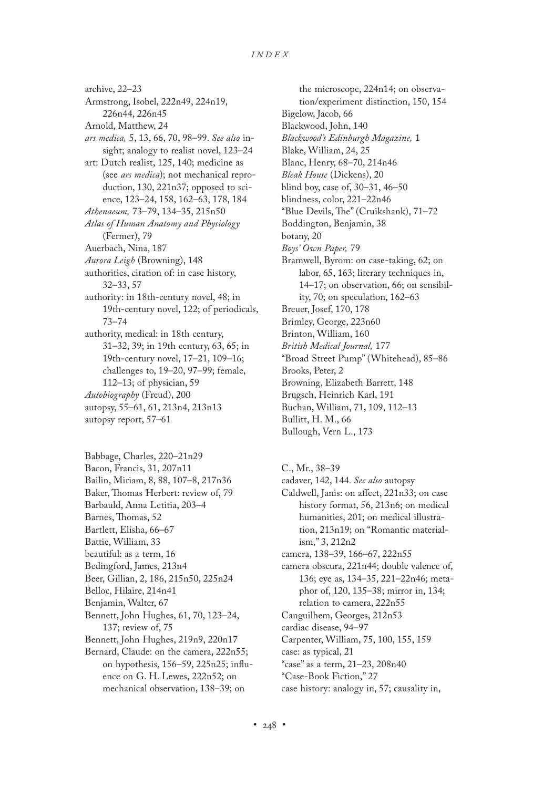archive, 22–23 Armstrong, Isobel, 222n49, 224n19, 226n44, 226n45 Arnold, Matthew, 24 *ars medica,* 5, 13, 66, 70, 98–99. *See also* insight; analogy to realist novel, 123–24 art: Dutch realist, 125, 140; medicine as (see *ars medica*); not mechanical reproduction, 130, 221n37; opposed to science, 123–24, 158, 162–63, 178, 184 *Athenaeum,* 73–79, 134–35, 215n50 *Atlas of Human Anatomy and Physiology* (Fermer), 79 Auerbach, Nina, 187 *Aurora Leigh* (Browning), 148 authorities, citation of: in case history, 32–33, 57 authority: in 18th-century novel, 48; in 19th-century novel, 122; of periodicals, 73–74 authority, medical: in 18th century, 31–32, 39; in 19th century, 63, 65; in 19th-century novel, 17–21, 109–16; challenges to, 19–20, 97–99; female, 112–13; of physician, 59 *Autobiography* (Freud), 200 autopsy, 55–61, 61, 213n4, 213n13 autopsy report, 57–61

- Babbage, Charles, 220–21n29
- Bacon, Francis, 31, 207n11
- Bailin, Miriam, 8, 88, 107–8, 217n36
- Baker, Thomas Herbert: review of, 79 Barbauld, Anna Letitia, 203–4
- 
- Barnes, Thomas, 52 Bartlett, Elisha, 66–67
- Battie, William, 33
- beautiful: as a term, 16
- 
- Bedingford, James, 213n4
- Beer, Gillian, 2, 186, 215n50, 225n24
- Belloc, Hilaire, 214n41
- Benjamin, Walter, 67
- Bennett, John Hughes, 61, 70, 123–24, 137; review of, 75
- Bennett, John Hughes, 219n9, 220n17
- Bernard, Claude: on the camera, 222n55; on hypothesis, 156–59, 225n25; influence on G. H. Lewes, 222n52; on mechanical observation, 138–39; on

the microscope, 224n14; on observation/experiment distinction, 150, 154 Bigelow, Jacob, 66 Blackwood, John, 140 *Blackwood's Edinburgh Magazine,* 1 Blake, William, 24, 25 Blanc, Henry, 68–70, 214n46 *Bleak House* (Dickens), 20 blind boy, case of, 30–31, 46–50 blindness, color, 221–22n46 "Blue Devils, The" (Cruikshank), 71–72 Boddington, Benjamin, 38 botany, 20 *Boys' Own Paper,* 79 Bramwell, Byrom: on case-taking, 62; on labor, 65, 163; literary techniques in, 14–17; on observation, 66; on sensibility, 70; on speculation, 162–63 Breuer, Josef, 170, 178 Brimley, George, 223n60 Brinton, William, 160 *British Medical Journal,* 177 "Broad Street Pump" (Whitehead), 85–86 Brooks, Peter, 2 Browning, Elizabeth Barrett, 148 Brugsch, Heinrich Karl, 191 Buchan, William, 71, 109, 112–13 Bullitt, H. M., 66 Bullough, Vern L., 173

C., Mr., 38–39

- cadaver, 142, 144. *See also* autopsy
- Caldwell, Janis: on affect, 221n33; on case history format, 56, 213n6; on medical humanities, 201; on medical illustration, 213n19; on "Romantic materialism," 3, 212n2
- camera, 138–39, 166–67, 222n55
- camera obscura, 221n44; double valence of, 136; eye as, 134–35, 221–22n46; metaphor of, 120, 135–38; mirror in, 134; relation to camera, 222n55
- Canguilhem, Georges, 212n53
- cardiac disease, 94–97
- Carpenter, William, 75, 100, 155, 159
- case: as typical, 21
- "case" as a term, 21–23, 208n40
- "Case-Book Fiction," 27
- case history: analogy in, 57; causality in,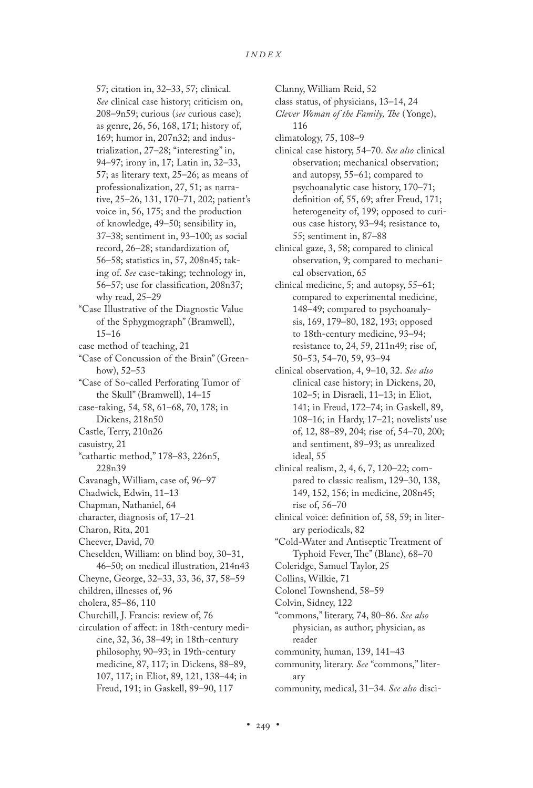57; citation in, 32–33, 57; clinical. *See* clinical case history; criticism on, 208–9n59; curious (*see* curious case); as genre, 26, 56, 168, 171; history of, 169; humor in, 207n32; and industrialization, 27–28; "interesting" in, 94–97; irony in, 17; Latin in, 32–33, 57; as literary text, 25–26; as means of professionalization, 27, 51; as narrative, 25–26, 131, 170–71, 202; patient's voice in, 56, 175; and the production of knowledge, 49–50; sensibility in, 37–38; sentiment in, 93–100; as social record, 26–28; standardization of, 56–58; statistics in, 57, 208n45; taking of. *See* case-taking; technology in, 56–57; use for classification, 208n37; why read, 25–29

"Case Illustrative of the Diagnostic Value of the Sphygmograph" (Bramwell), 15–16

case method of teaching, 21

- "Case of Concussion of the Brain" (Greenhow), 52–53
- "Case of So-called Perforating Tumor of the Skull" (Bramwell), 14–15
- case-taking, 54, 58, 61–68, 70, 178; in Dickens, 218n50
- Castle, Terry, 210n26
- casuistry, 21
- "cathartic method," 178–83, 226n5, 228n39
- Cavanagh, William, case of, 96–97
- Chadwick, Edwin, 11–13
- Chapman, Nathaniel, 64
- character, diagnosis of, 17–21
- Charon, Rita, 201
- Cheever, David, 70
- Cheselden, William: on blind boy, 30–31, 46–50; on medical illustration, 214n43
- Cheyne, George, 32–33, 33, 36, 37, 58–59
- children, illnesses of, 96
- cholera, 85–86, 110
- Churchill, J. Francis: review of, 76
- circulation of affect: in 18th-century medicine, 32, 36, 38–49; in 18th-century philosophy, 90–93; in 19th-century medicine, 87, 117; in Dickens, 88–89, 107, 117; in Eliot, 89, 121, 138–44; in Freud, 191; in Gaskell, 89–90, 117

Clanny, William Reid, 52

- class status, of physicians, 13–14, 24
- *Clever Woman of the Family, The* (Yonge), 116
- climatology, 75, 108–9
- clinical case history, 54–70. *See also* clinical observation; mechanical observation; and autopsy, 55–61; compared to psychoanalytic case history, 170–71; definition of, 55, 69; after Freud, 171; heterogeneity of, 199; opposed to curious case history, 93–94; resistance to, 55; sentiment in, 87–88
- clinical gaze, 3, 58; compared to clinical observation, 9; compared to mechanical observation, 65
- clinical medicine, 5; and autopsy, 55–61; compared to experimental medicine, 148–49; compared to psychoanalysis, 169, 179–80, 182, 193; opposed to 18th-century medicine, 93–94; resistance to, 24, 59, 211n49; rise of, 50–53, 54–70, 59, 93–94
- clinical observation, 4, 9–10, 32. *See also* clinical case history; in Dickens, 20, 102–5; in Disraeli, 11–13; in Eliot, 141; in Freud, 172–74; in Gaskell, 89, 108–16; in Hardy, 17–21; novelists' use of, 12, 88–89, 204; rise of, 54–70, 200; and sentiment, 89–93; as unrealized ideal, 55
- clinical realism, 2, 4, 6, 7, 120–22; compared to classic realism, 129–30, 138, 149, 152, 156; in medicine, 208n45; rise of, 56–70
- clinical voice: definition of, 58, 59; in literary periodicals, 82
- "Cold-Water and Antiseptic Treatment of Typhoid Fever, The" (Blanc), 68–70
- Coleridge, Samuel Taylor, 25
- Collins, Wilkie, 71
- Colonel Townshend, 58–59
- Colvin, Sidney, 122
- "commons," literary, 74, 80–86. *See also* physician, as author; physician, as reader
- community, human, 139, 141–43
- community, literary. *See* "commons," literary
- community, medical, 31–34. *See also* disci-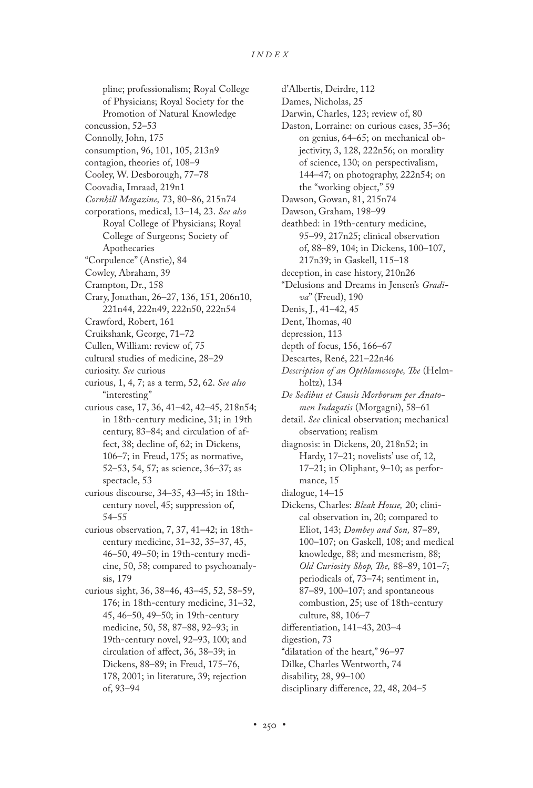pline; professionalism; Royal College of Physicians; Royal Society for the Promotion of Natural Knowledge concussion, 52–53 Connolly, John, 175 consumption, 96, 101, 105, 213n9 contagion, theories of, 108–9 Cooley, W. Desborough, 77–78 Coovadia, Imraad, 219n1 *Cornhill Magazine,* 73, 80–86, 215n74 corporations, medical, 13–14, 23. *See also* Royal College of Physicians; Royal College of Surgeons; Society of Apothecaries "Corpulence" (Anstie), 84 Cowley, Abraham, 39 Crampton, Dr., 158 Crary, Jonathan, 26–27, 136, 151, 206n10, 221n44, 222n49, 222n50, 222n54 Crawford, Robert, 161 Cruikshank, George, 71–72 Cullen, William: review of, 75 cultural studies of medicine, 28–29 curiosity. *See* curious curious, 1, 4, 7; as a term, 52, 62. *See also* "interesting" curious case, 17, 36, 41–42, 42–45, 218n54; in 18th-century medicine, 31; in 19th century, 83–84; and circulation of affect, 38; decline of, 62; in Dickens, 106–7; in Freud, 175; as normative, 52–53, 54, 57; as science, 36–37; as spectacle, 53 curious discourse, 34–35, 43–45; in 18thcentury novel, 45; suppression of, 54–55 curious observation, 7, 37, 41–42; in 18thcentury medicine, 31–32, 35–37, 45, 46–50, 49–50; in 19th-century medicine, 50, 58; compared to psychoanalysis, 179 curious sight, 36, 38–46, 43–45, 52, 58–59, 176; in 18th-century medicine, 31–32, 45, 46–50, 49–50; in 19th-century medicine, 50, 58, 87–88, 92–93; in 19th-century novel, 92–93, 100; and circulation of affect, 36, 38–39; in Dickens, 88–89; in Freud, 175–76, 178, 2001; in literature, 39; rejection of, 93–94

d'Albertis, Deirdre, 112 Dames, Nicholas, 25 Darwin, Charles, 123; review of, 80 Daston, Lorraine: on curious cases, 35–36; on genius, 64–65; on mechanical objectivity, 3, 128, 222n56; on morality of science, 130; on perspectivalism, 144–47; on photography, 222n54; on the "working object," 59 Dawson, Gowan, 81, 215n74 Dawson, Graham, 198–99 deathbed: in 19th-century medicine, 95–99, 217n25; clinical observation of, 88–89, 104; in Dickens, 100–107, 217n39; in Gaskell, 115–18 deception, in case history, 210n26 "Delusions and Dreams in Jensen's *Gradiva*" (Freud), 190 Denis, J., 41–42, 45 Dent, Thomas, 40 depression, 113 depth of focus, 156, 166–67 Descartes, René, 221–22n46 *Description of an Opthlamoscope, The* (Helmholtz), 134 *De Sedibus et Causis Morborum per Anatomen Indagatis* (Morgagni), 58–61 detail. *See* clinical observation; mechanical observation; realism diagnosis: in Dickens, 20, 218n52; in Hardy, 17–21; novelists' use of, 12, 17–21; in Oliphant, 9–10; as performance, 15 dialogue, 14–15 Dickens, Charles: *Bleak House,* 20; clinical observation in, 20; compared to Eliot, 143; *Dombey and Son,* 87–89, 100–107; on Gaskell, 108; and medical knowledge, 88; and mesmerism, 88; *Old Curiosity Shop, The,* 88–89, 101–7; periodicals of, 73–74; sentiment in, 87–89, 100–107; and spontaneous combustion, 25; use of 18th-century culture, 88, 106–7 differentiation, 141–43, 203–4 digestion, 73 "dilatation of the heart," 96–97 Dilke, Charles Wentworth, 74 disability, 28, 99–100 disciplinary difference, 22, 48, 204–5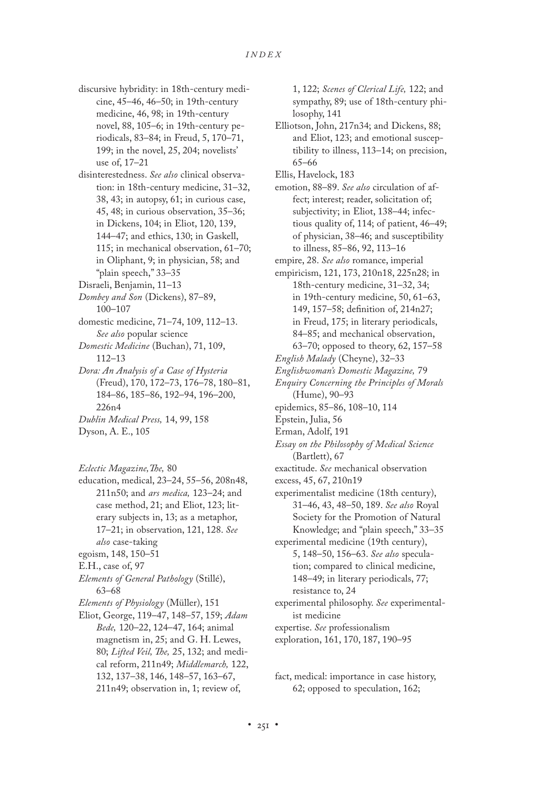- discursive hybridity: in 18th-century medicine, 45–46, 46–50; in 19th-century medicine, 46, 98; in 19th-century novel, 88, 105–6; in 19th-century periodicals, 83–84; in Freud, 5, 170–71, 199; in the novel, 25, 204; novelists' use of, 17–21
- disinterestedness. *See also* clinical observation: in 18th-century medicine, 31–32, 38, 43; in autopsy, 61; in curious case, 45, 48; in curious observation, 35–36; in Dickens, 104; in Eliot, 120, 139, 144–47; and ethics, 130; in Gaskell, 115; in mechanical observation, 61–70; in Oliphant, 9; in physician, 58; and "plain speech," 33–35
- Disraeli, Benjamin, 11–13
- *Dombey and Son* (Dickens), 87–89, 100–107
- domestic medicine, 71–74, 109, 112–13. *See also* popular science
- *Domestic Medicine* (Buchan), 71, 109, 112–13
- *Dora: An Analysis of a Case of Hysteria* (Freud), 170, 172–73, 176–78, 180–81, 184–86, 185–86, 192–94, 196–200, 226n4
- *Dublin Medical Press,* 14, 99, 158
- Dyson, A. E., 105

*Eclectic Magazine,The,* 80

- education, medical, 23–24, 55–56, 208n48, 211n50; and *ars medica,* 123–24; and case method, 21; and Eliot, 123; literary subjects in, 13; as a metaphor, 17–21; in observation, 121, 128. *See also* case-taking
- egoism, 148, 150–51
- E.H., case of, 97
- *Elements of General Pathology* (Stillé), 63–68
- *Elements of Physiology* (Müller), 151
- Eliot, George, 119–47, 148–57, 159; *Adam Bede,* 120–22, 124–47, 164; animal magnetism in, 25; and G. H. Lewes, 80; *Lifted Veil, The,* 25, 132; and medical reform, 211n49; *Middlemarch,* 122, 132, 137–38, 146, 148–57, 163–67, 211n49; observation in, 1; review of,

1, 122; *Scenes of Clerical Life,* 122; and sympathy, 89; use of 18th-century philosophy, 141

- Elliotson, John, 217n34; and Dickens, 88; and Eliot, 123; and emotional susceptibility to illness, 113–14; on precision, 65–66
- Ellis, Havelock, 183
- emotion, 88–89. *See also* circulation of affect; interest; reader, solicitation of; subjectivity; in Eliot, 138–44; infectious quality of, 114; of patient, 46–49; of physician, 38–46; and susceptibility to illness, 85–86, 92, 113–16
- empire, 28. *See also* romance, imperial
- empiricism, 121, 173, 210n18, 225n28; in 18th-century medicine, 31–32, 34; in 19th-century medicine, 50, 61–63, 149, 157–58; definition of, 214n27; in Freud, 175; in literary periodicals, 84–85; and mechanical observation, 63–70; opposed to theory, 62, 157–58
- *English Malady* (Cheyne), 32–33
- *Englishwoman's Domestic Magazine,* 79
- *Enquiry Concerning the Principles of Morals* (Hume), 90–93
- epidemics, 85–86, 108–10, 114
- Epstein, Julia, 56
- Erman, Adolf, 191
- *Essay on the Philosophy of Medical Science* (Bartlett), 67
- exactitude. *See* mechanical observation
- excess, 45, 67, 210n19
- experimentalist medicine (18th century), 31–46, 43, 48–50, 189. *See also* Royal Society for the Promotion of Natural Knowledge; and "plain speech," 33–35
- experimental medicine (19th century), 5, 148–50, 156–63. *See also* speculation; compared to clinical medicine, 148–49; in literary periodicals, 77; resistance to, 24
- experimental philosophy. *See* experimentalist medicine
- expertise. *See* professionalism
- exploration, 161, 170, 187, 190–95

fact, medical: importance in case history, 62; opposed to speculation, 162;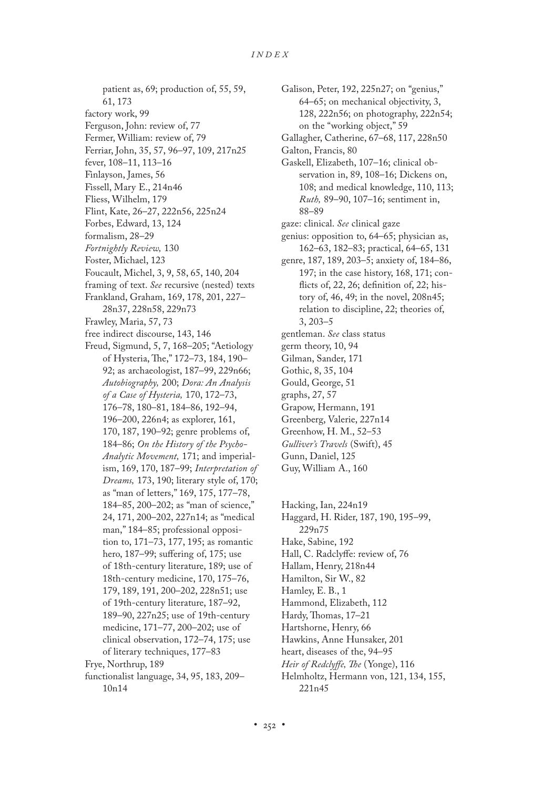- patient as, 69; production of, 55, 59, 61, 173 factory work, 99 Ferguson, John: review of, 77 Fermer, William: review of, 79 Ferriar, John, 35, 57, 96–97, 109, 217n25
- fever, 108–11, 113–16
- Finlayson, James, 56
- Fissell, Mary E., 214n46
- Fliess, Wilhelm, 179
- Flint, Kate, 26–27, 222n56, 225n24
- Forbes, Edward, 13, 124
- formalism, 28–29
- *Fortnightly Review,* 130
- Foster, Michael, 123
- Foucault, Michel, 3, 9, 58, 65, 140, 204
- framing of text. *See* recursive (nested) texts
- Frankland, Graham, 169, 178, 201, 227– 28n37, 228n58, 229n73
- Frawley, Maria, 57, 73
- free indirect discourse, 143, 146
- Freud, Sigmund, 5, 7, 168–205; "Aetiology of Hysteria, The," 172–73, 184, 190– 92; as archaeologist, 187–99, 229n66; *Autobiography,* 200; *Dora: An Analysis of a Case of Hysteria,* 170, 172–73, 176–78, 180–81, 184–86, 192–94, 196–200, 226n4; as explorer, 161, 170, 187, 190–92; genre problems of, 184–86; *On the History of the Psycho-Analytic Movement,* 171; and imperialism, 169, 170, 187–99; *Interpretation of Dreams,* 173, 190; literary style of, 170; as "man of letters," 169, 175, 177–78, 184–85, 200–202; as "man of science," 24, 171, 200–202, 227n14; as "medical man," 184–85; professional opposition to, 171–73, 177, 195; as romantic hero, 187–99; suffering of, 175; use of 18th-century literature, 189; use of 18th-century medicine, 170, 175–76, 179, 189, 191, 200–202, 228n51; use of 19th-century literature, 187–92, 189–90, 227n25; use of 19th-century medicine, 171–77, 200–202; use of clinical observation, 172–74, 175; use of literary techniques, 177–83 Frye, Northrup, 189
- functionalist language, 34, 95, 183, 209– 10n14
- Galison, Peter, 192, 225n27; on "genius," 64–65; on mechanical objectivity, 3, 128, 222n56; on photography, 222n54; on the "working object," 59
- Gallagher, Catherine, 67–68, 117, 228n50
- Galton, Francis, 80
- Gaskell, Elizabeth, 107–16; clinical observation in, 89, 108–16; Dickens on, 108; and medical knowledge, 110, 113; *Ruth,* 89–90, 107–16; sentiment in, 88–89
- gaze: clinical. *See* clinical gaze
- genius: opposition to, 64–65; physician as, 162–63, 182–83; practical, 64–65, 131
- genre, 187, 189, 203–5; anxiety of, 184–86, 197; in the case history, 168, 171; conflicts of, 22, 26; definition of, 22; history of, 46, 49; in the novel, 208n45; relation to discipline, 22; theories of, 3, 203–5
- gentleman. *See* class status
- germ theory, 10, 94
- Gilman, Sander, 171
- Gothic, 8, 35, 104
- Gould, George, 51
- graphs, 27, 57
- Grapow, Hermann, 191
- Greenberg, Valerie, 227n14
- Greenhow, H. M., 52–53 *Gulliver's Travels* (Swift), 45
- Gunn, Daniel, 125
- Guy, William A., 160

Hacking, Ian, 224n19 Haggard, H. Rider, 187, 190, 195–99, 229n75 Hake, Sabine, 192 Hall, C. Radclyffe: review of, 76 Hallam, Henry, 218n44 Hamilton, Sir W., 82 Hamley, E. B., 1 Hammond, Elizabeth, 112 Hardy, Thomas, 17–21 Hartshorne, Henry, 66 Hawkins, Anne Hunsaker, 201 heart, diseases of the, 94–95 *Heir of Redclyffe, The* (Yonge), 116

Helmholtz, Hermann von, 121, 134, 155, 221n45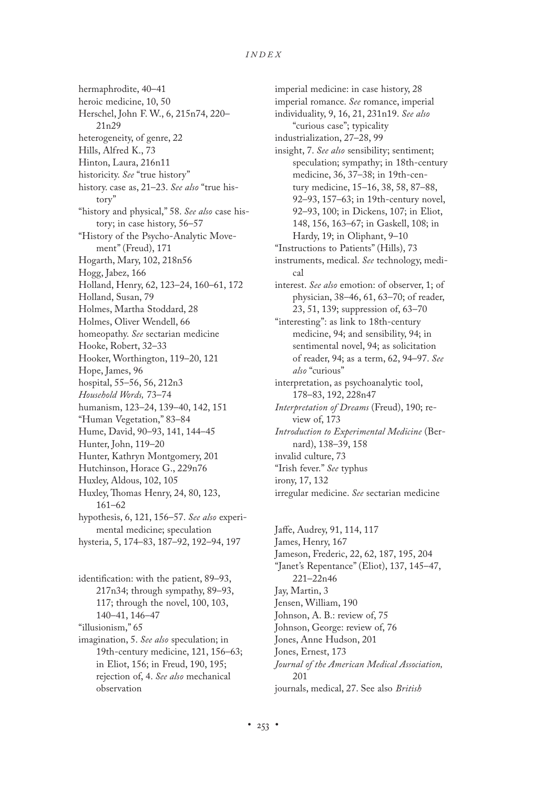hermaphrodite, 40–41 heroic medicine, 10, 50 Herschel, John F. W., 6, 215n74, 220– 21n29 heterogeneity, of genre, 22 Hills, Alfred K., 73 Hinton, Laura, 216n11 historicity. *See* "true history" history. case as, 21–23. *See also* "true history" "history and physical," 58. *See also* case history; in case history, 56–57 "History of the Psycho-Analytic Movement" (Freud), 171 Hogarth, Mary, 102, 218n56 Hogg, Jabez, 166 Holland, Henry, 62, 123–24, 160–61, 172 Holland, Susan, 79 Holmes, Martha Stoddard, 28 Holmes, Oliver Wendell, 66 homeopathy. *See* sectarian medicine Hooke, Robert, 32–33 Hooker, Worthington, 119–20, 121 Hope, James, 96 hospital, 55–56, 56, 212n3 *Household Words,* 73–74 humanism, 123–24, 139–40, 142, 151 "Human Vegetation," 83–84 Hume, David, 90–93, 141, 144–45 Hunter, John, 119–20 Hunter, Kathryn Montgomery, 201 Hutchinson, Horace G., 229n76 Huxley, Aldous, 102, 105 Huxley, Thomas Henry, 24, 80, 123, 161–62 hypothesis, 6, 121, 156–57. *See also* experimental medicine; speculation hysteria, 5, 174–83, 187–92, 192–94, 197

identification: with the patient, 89–93, 217n34; through sympathy, 89–93, 117; through the novel, 100, 103, 140–41, 146–47 "illusionism," 65 imagination, 5. *See also* speculation; in 19th-century medicine, 121, 156–63; in Eliot, 156; in Freud, 190, 195; rejection of, 4. *See also* mechanical observation

imperial medicine: in case history, 28 imperial romance. *See* romance, imperial individuality, 9, 16, 21, 231n19. *See also* "curious case"; typicality industrialization, 27–28, 99 insight, 7. *See also* sensibility; sentiment; speculation; sympathy; in 18th-century medicine, 36, 37–38; in 19th-century medicine, 15–16, 38, 58, 87–88, 92–93, 157–63; in 19th-century novel, 92–93, 100; in Dickens, 107; in Eliot, 148, 156, 163–67; in Gaskell, 108; in Hardy, 19; in Oliphant, 9–10 "Instructions to Patients" (Hills), 73 instruments, medical. *See* technology, medical interest. *See also* emotion: of observer, 1; of physician, 38–46, 61, 63–70; of reader, 23, 51, 139; suppression of, 63–70 "interesting": as link to 18th-century medicine, 94; and sensibility, 94; in sentimental novel, 94; as solicitation of reader, 94; as a term, 62, 94–97. *See also* "curious" interpretation, as psychoanalytic tool, 178–83, 192, 228n47 *Interpretation of Dreams* (Freud), 190; review of, 173 *Introduction to Experimental Medicine* (Bernard), 138–39, 158 invalid culture, 73 "Irish fever." *See* typhus irony, 17, 132 irregular medicine. *See* sectarian medicine

Jaffe, Audrey, 91, 114, 117 James, Henry, 167 Jameson, Frederic, 22, 62, 187, 195, 204 "Janet's Repentance" (Eliot), 137, 145–47, 221–22n46 Jay, Martin, 3 Jensen, William, 190 Johnson, A. B.: review of, 75 Johnson, George: review of, 76 Jones, Anne Hudson, 201 Jones, Ernest, 173 *Journal of the American Medical Association,* 201 journals, medical, 27. See also *British*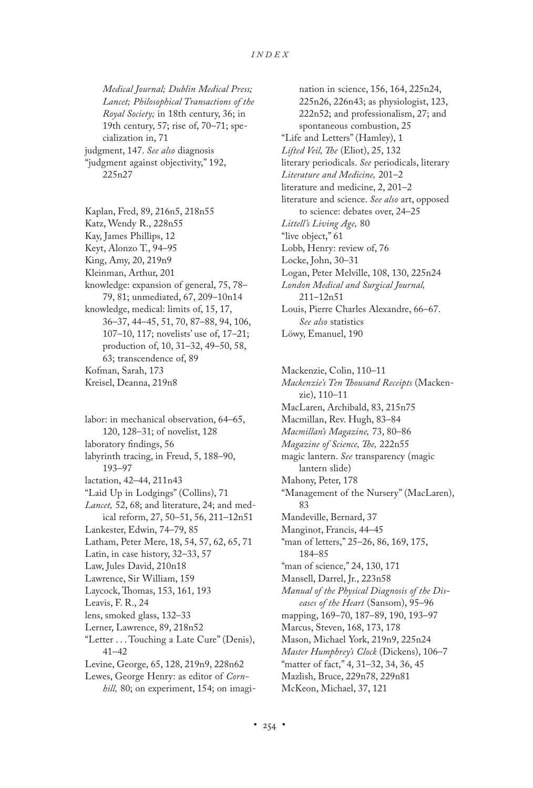*Medical Journal; Dublin Medical Press; Lancet; Philosophical Transactions of the Royal Society;* in 18th century, 36; in 19th century, 57; rise of, 70–71; specialization in, 71 judgment, 147. *See also* diagnosis "judgment against objectivity," 192, 225n27

- Kaplan, Fred, 89, 216n5, 218n55 Katz, Wendy R., 228n55 Kay, James Phillips, 12
- Keyt, Alonzo T., 94–95
- 
- King, Amy, 20, 219n9
- Kleinman, Arthur, 201
- knowledge: expansion of general, 75, 78– 79, 81; unmediated, 67, 209–10n14 knowledge, medical: limits of, 15, 17, 36–37, 44–45, 51, 70, 87–88, 94, 106,
- 107–10, 117; novelists' use of, 17–21; production of, 10, 31–32, 49–50, 58, 63; transcendence of, 89 Kofman, Sarah, 173
- Kreisel, Deanna, 219n8

labor: in mechanical observation, 64–65, 120, 128–31; of novelist, 128 laboratory findings, 56 labyrinth tracing, in Freud, 5, 188–90, 193–97 lactation, 42–44, 211n43 "Laid Up in Lodgings" (Collins), 71 *Lancet,* 52, 68; and literature, 24; and medical reform, 27, 50–51, 56, 211–12n51 Lankester, Edwin, 74–79, 85 Latham, Peter Mere, 18, 54, 57, 62, 65, 71 Latin, in case history, 32–33, 57 Law, Jules David, 210n18 Lawrence, Sir William, 159 Laycock, Thomas, 153, 161, 193 Leavis, F. R., 24 lens, smoked glass, 132–33 Lerner, Lawrence, 89, 218n52 "Letter . . . Touching a Late Cure" (Denis), 41–42 Levine, George, 65, 128, 219n9, 228n62 Lewes, George Henry: as editor of *Corn-*

*hill,* 80; on experiment, 154; on imagi-

nation in science, 156, 164, 225n24, 225n26, 226n43; as physiologist, 123, 222n52; and professionalism, 27; and spontaneous combustion, 25 "Life and Letters" (Hamley), 1 *Lifted Veil, The* (Eliot), 25, 132 literary periodicals. *See* periodicals, literary *Literature and Medicine,* 201–2 literature and medicine, 2, 201–2 literature and science. *See also* art, opposed to science: debates over, 24–25 *Littell's Living Age,* 80 "live object," 61 Lobb, Henry: review of, 76 Locke, John, 30–31 Logan, Peter Melville, 108, 130, 225n24 *London Medical and Surgical Journal,* 211–12n51 Louis, Pierre Charles Alexandre, 66–67. *See also* statistics Löwy, Emanuel, 190

Mackenzie, Colin, 110–11 *Mackenzie's Ten Thousand Receipts* (Mackenzie), 110–11 MacLaren, Archibald, 83, 215n75 Macmillan, Rev. Hugh, 83–84 *Macmillan's Magazine,* 73, 80–86 *Magazine of Science, The,* 222n55 magic lantern. *See* transparency (magic lantern slide) Mahony, Peter, 178 "Management of the Nursery" (MacLaren), 83 Mandeville, Bernard, 37 Manginot, Francis, 44–45 "man of letters," 25–26, 86, 169, 175, 184–85 "man of science," 24, 130, 171 Mansell, Darrel, Jr., 223n58 *Manual of the Physical Diagnosis of the Diseases of the Heart* (Sansom), 95–96 mapping, 169–70, 187–89, 190, 193–97 Marcus, Steven, 168, 173, 178 Mason, Michael York, 219n9, 225n24 *Master Humphrey's Clock* (Dickens), 106–7 "matter of fact," 4, 31–32, 34, 36, 45 Mazlish, Bruce, 229n78, 229n81 McKeon, Michael, 37, 121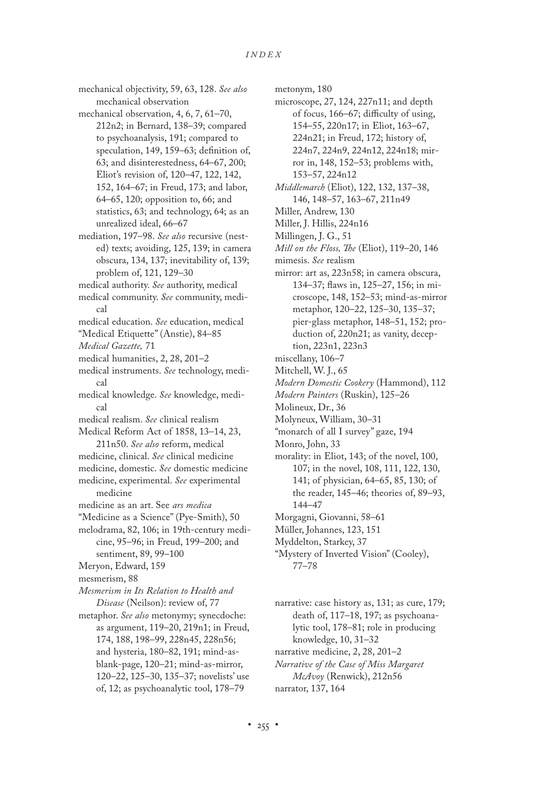mechanical objectivity, 59, 63, 128. *See also* mechanical observation

mechanical observation, 4, 6, 7, 61–70, 212n2; in Bernard, 138–39; compared to psychoanalysis, 191; compared to speculation, 149, 159–63; definition of, 63; and disinterestedness, 64–67, 200; Eliot's revision of, 120–47, 122, 142, 152, 164–67; in Freud, 173; and labor, 64–65, 120; opposition to, 66; and statistics, 63; and technology, 64; as an unrealized ideal, 66–67

- mediation, 197–98. *See also* recursive (nested) texts; avoiding, 125, 139; in camera obscura, 134, 137; inevitability of, 139; problem of, 121, 129–30
- medical authority. *See* authority, medical
- medical community. *See* community, medical
- medical education. *See* education, medical
- "Medical Etiquette" (Anstie), 84–85
- *Medical Gazette,* 71
- medical humanities, 2, 28, 201–2
- medical instruments. *See* technology, medical
- medical knowledge. *See* knowledge, medical
- medical realism. *See* clinical realism
- Medical Reform Act of 1858, 13–14, 23, 211n50. *See also* reform, medical
- medicine, clinical. *See* clinical medicine medicine, domestic. *See* domestic medicine
- medicine, experimental. *See* experimental medicine
- medicine as an art. See *ars medica*
- "Medicine as a Science" (Pye-Smith), 50
- melodrama, 82, 106; in 19th-century medicine, 95–96; in Freud, 199–200; and sentiment, 89, 99–100
- Meryon, Edward, 159
- mesmerism, 88
- *Mesmerism in Its Relation to Health and Disease* (Neilson): review of, 77
- metaphor. *See also* metonymy; synecdoche: as argument, 119–20, 219n1; in Freud, 174, 188, 198–99, 228n45, 228n56; and hysteria, 180–82, 191; mind-asblank-page, 120–21; mind-as-mirror, 120–22, 125–30, 135–37; novelists' use of, 12; as psychoanalytic tool, 178–79

metonym, 180

- microscope, 27, 124, 227n11; and depth of focus, 166–67; difficulty of using, 154–55, 220n17; in Eliot, 163–67, 224n21; in Freud, 172; history of, 224n7, 224n9, 224n12, 224n18; mirror in, 148, 152–53; problems with, 153–57, 224n12
- *Middlemarch* (Eliot), 122, 132, 137–38, 146, 148–57, 163–67, 211n49
- Miller, Andrew, 130
- Miller, J. Hillis, 224n16
- Millingen, J. G., 51
- *Mill on the Floss, The* (Eliot), 119–20, 146
- mimesis. *See* realism
- mirror: art as, 223n58; in camera obscura, 134–37; flaws in, 125–27, 156; in microscope, 148, 152–53; mind-as-mirror metaphor, 120–22, 125–30, 135–37; pier-glass metaphor, 148–51, 152; production of, 220n21; as vanity, deception, 223n1, 223n3
- miscellany, 106–7
- Mitchell, W. J., 65
- *Modern Domestic Cookery* (Hammond), 112
- *Modern Painters* (Ruskin), 125–26
- Molineux, Dr., 36
- Molyneux, William, 30–31
- "monarch of all I survey" gaze, 194
- Monro, John, 33
- morality: in Eliot, 143; of the novel, 100, 107; in the novel, 108, 111, 122, 130, 141; of physician, 64–65, 85, 130; of the reader, 145–46; theories of, 89–93, 144–47
- Morgagni, Giovanni, 58–61
- Müller, Johannes, 123, 151
- Myddelton, Starkey, 37
- "Mystery of Inverted Vision" (Cooley), 77–78
- narrative: case history as, 131; as cure, 179; death of, 117–18, 197; as psychoanalytic tool, 178–81; role in producing knowledge, 10, 31–32 narrative medicine, 2, 28, 201–2 *Narrative of the Case of Miss Margaret*
- *McAvoy* (Renwick), 212n56
- narrator, 137, 164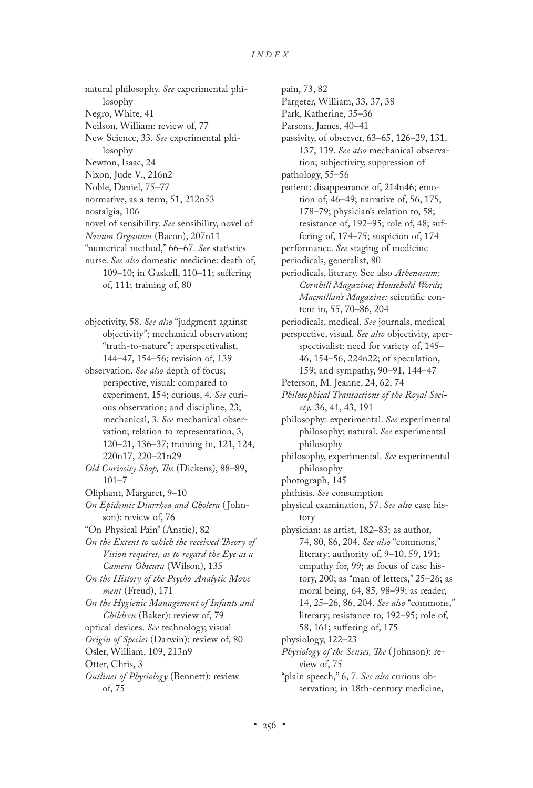natural philosophy. *See* experimental philosophy Negro, White, 41 Neilson, William: review of, 77 New Science, 33. *See* experimental philosophy Newton, Isaac, 24 Nixon, Jude V., 216n2 Noble, Daniel, 75–77 normative, as a term, 51, 212n53 nostalgia, 106 novel of sensibility. *See* sensibility, novel of *Novum Organum* (Bacon), 207n11 "numerical method," 66–67. *See* statistics nurse. *See also* domestic medicine: death of, 109–10; in Gaskell, 110–11; suffering of, 111; training of, 80

objectivity, 58. *See also* "judgment against objectivity"; mechanical observation; "truth-to-nature"; aperspectivalist, 144–47, 154–56; revision of, 139

observation. *See also* depth of focus; perspective, visual: compared to experiment, 154; curious, 4. *See* curious observation; and discipline, 23; mechanical, 3. *See* mechanical observation; relation to representation, 3, 120–21, 136–37; training in, 121, 124, 220n17, 220–21n29

- *Old Curiosity Shop, The* (Dickens), 88–89, 101–7
- Oliphant, Margaret, 9–10

*On Epidemic Diarrhea and Cholera* ( Johnson): review of, 76

- "On Physical Pain" (Anstie), 82
- *On the Extent to which the received Theory of Vision requires, as to regard the Eye as a Camera Obscura* (Wilson), 135

*On the History of the Psycho-Analytic Movement* (Freud), 171

*On the Hygienic Management of Infants and Children* (Baker): review of, 79

optical devices. *See* technology, visual

*Origin of Species* (Darwin): review of, 80

Osler, William, 109, 213n9

Otter, Chris, 3

*Outlines of Physiology* (Bennett): review of, 75

pain, 73, 82 Pargeter, William, 33, 37, 38 Park, Katherine, 35–36 Parsons, James, 40–41 passivity, of observer, 63–65, 126–29, 131, 137, 139. *See also* mechanical observation; subjectivity, suppression of pathology, 55–56 patient: disappearance of, 214n46; emotion of, 46–49; narrative of, 56, 175, 178–79; physician's relation to, 58; resistance of, 192–95; role of, 48; suffering of, 174–75; suspicion of, 174 performance. *See* staging of medicine periodicals, generalist, 80 periodicals, literary. See also *Athenaeum; Cornhill Magazine; Household Words; Macmillan's Magazine:* scientific content in, 55, 70–86, 204 periodicals, medical. *See* journals, medical perspective, visual. *See also* objectivity, aperspectivalist: need for variety of, 145– 46, 154–56, 224n22; of speculation, 159; and sympathy, 90–91, 144–47 Peterson, M. Jeanne, 24, 62, 74 *Philosophical Transactions of the Royal Society,* 36, 41, 43, 191 philosophy: experimental. *See* experimental philosophy; natural. *See* experimental philosophy philosophy, experimental. *See* experimental philosophy photograph, 145 phthisis. *See* consumption physical examination, 57. *See also* case history physician: as artist, 182–83; as author, 74, 80, 86, 204. *See also* "commons," literary; authority of, 9–10, 59, 191; empathy for, 99; as focus of case history, 200; as "man of letters," 25–26; as moral being, 64, 85, 98–99; as reader, 14, 25–26, 86, 204. *See also* "commons," literary; resistance to, 192–95; role of, 58, 161; suffering of, 175 physiology, 122–23

*Physiology of the Senses, The* ( Johnson): review of, 75

"plain speech," 6, 7. *See also* curious observation; in 18th-century medicine,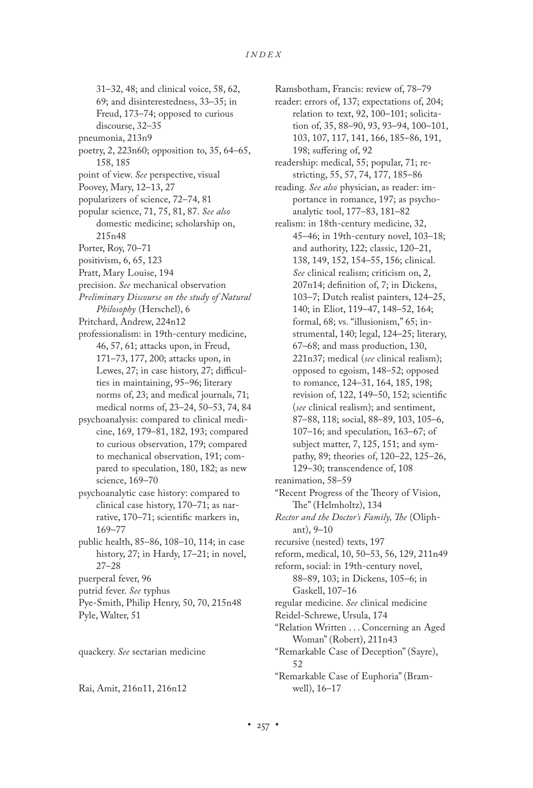- 31–32, 48; and clinical voice, 58, 62,
- 69; and disinterestedness, 33–35; in
- Freud, 173–74; opposed to curious discourse, 32–35
- pneumonia, 213n9
- 
- poetry, 2, 223n60; opposition to, 35, 64–65, 158, 185
- point of view. *See* perspective, visual
- Poovey, Mary, 12–13, 27
- popularizers of science, 72–74, 81
- popular science, 71, 75, 81, 87. *See also* domestic medicine; scholarship on, 215n48
- Porter, Roy, 70–71
- positivism, 6, 65, 123
- Pratt, Mary Louise, 194
- precision. *See* mechanical observation
- *Preliminary Discourse on the study of Natural Philosophy* (Herschel), 6
- Pritchard, Andrew, 224n12
- professionalism: in 19th-century medicine, 46, 57, 61; attacks upon, in Freud, 171–73, 177, 200; attacks upon, in Lewes, 27; in case history, 27; difficulties in maintaining, 95–96; literary norms of, 23; and medical journals, 71; medical norms of, 23–24, 50–53, 74, 84
- psychoanalysis: compared to clinical medicine, 169, 179–81, 182, 193; compared to curious observation, 179; compared to mechanical observation, 191; compared to speculation, 180, 182; as new science, 169–70
- psychoanalytic case history: compared to clinical case history, 170–71; as narrative, 170–71; scientific markers in, 169–77
- public health, 85–86, 108–10, 114; in case history, 27; in Hardy, 17–21; in novel, 27–28
- puerperal fever, 96
- putrid fever. *See* typhus
- Pye-Smith, Philip Henry, 50, 70, 215n48 Pyle, Walter, 51

quackery. *See* sectarian medicine

Rai, Amit, 216n11, 216n12

Ramsbotham, Francis: review of, 78–79

- reader: errors of, 137; expectations of, 204; relation to text, 92, 100–101; solicitation of, 35, 88–90, 93, 93–94, 100–101, 103, 107, 117, 141, 166, 185–86, 191, 198; suffering of, 92
- readership: medical, 55; popular, 71; restricting, 55, 57, 74, 177, 185–86
- reading. *See also* physician, as reader: importance in romance, 197; as psychoanalytic tool, 177–83, 181–82
- realism: in 18th-century medicine, 32, 45–46; in 19th-century novel, 103–18; and authority, 122; classic, 120–21, 138, 149, 152, 154–55, 156; clinical. *See* clinical realism; criticism on, 2, 207n14; definition of, 7; in Dickens, 103–7; Dutch realist painters, 124–25, 140; in Eliot, 119–47, 148–52, 164; formal, 68; vs. "illusionism," 65; instrumental, 140; legal, 124–25; literary, 67–68; and mass production, 130, 221n37; medical (*see* clinical realism); opposed to egoism, 148–52; opposed to romance, 124–31, 164, 185, 198; revision of, 122, 149–50, 152; scientific (*see* clinical realism); and sentiment, 87–88, 118; social, 88–89, 103, 105–6, 107–16; and speculation, 163–67; of subject matter, 7, 125, 151; and sympathy, 89; theories of, 120–22, 125–26, 129–30; transcendence of, 108
- reanimation, 58–59
- "Recent Progress of the Theory of Vision, The" (Helmholtz), 134
- *Rector and the Doctor's Family, The* (Oliphant), 9–10
- recursive (nested) texts, 197
- reform, medical, 10, 50–53, 56, 129, 211n49
- reform, social: in 19th-century novel, 88–89, 103; in Dickens, 105–6; in Gaskell, 107–16
- regular medicine. *See* clinical medicine
- Reidel-Schrewe, Ursula, 174
- "Relation Written . . . Concerning an Aged Woman" (Robert), 211n43
- "Remarkable Case of Deception" (Sayre), 52
- "Remarkable Case of Euphoria" (Bramwell), 16–17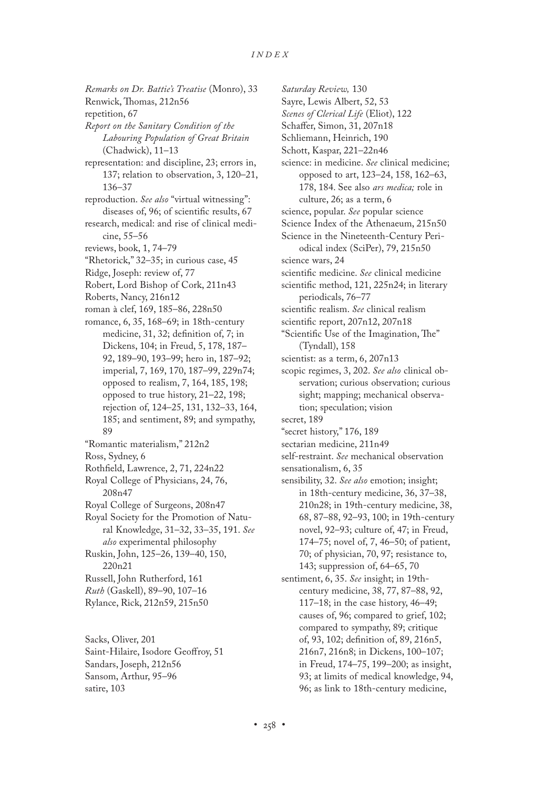*Remarks on Dr. Battie's Treatise* (Monro), 33 Renwick, Thomas, 212n56 repetition, 67 *Report on the Sanitary Condition of the Labouring Population of Great Britain* (Chadwick), 11–13 representation: and discipline, 23; errors in, 137; relation to observation, 3, 120–21, 136–37 reproduction. *See also* "virtual witnessing": diseases of, 96; of scientific results, 67 research, medical: and rise of clinical medicine, 55–56 reviews, book, 1, 74–79 "Rhetorick," 32–35; in curious case, 45 Ridge, Joseph: review of, 77 Robert, Lord Bishop of Cork, 211n43 Roberts, Nancy, 216n12 roman à clef, 169, 185–86, 228n50 romance, 6, 35, 168–69; in 18th-century medicine, 31, 32; definition of, 7; in Dickens, 104; in Freud, 5, 178, 187– 92, 189–90, 193–99; hero in, 187–92; imperial, 7, 169, 170, 187–99, 229n74; opposed to realism, 7, 164, 185, 198; opposed to true history, 21–22, 198; rejection of, 124–25, 131, 132–33, 164, 185; and sentiment, 89; and sympathy, 89 "Romantic materialism," 212n2 Ross, Sydney, 6 Rothfield, Lawrence, 2, 71, 224n22 Royal College of Physicians, 24, 76, 208n47 Royal College of Surgeons, 208n47 Royal Society for the Promotion of Natural Knowledge, 31–32, 33–35, 191. *See also* experimental philosophy Ruskin, John, 125–26, 139–40, 150, 220n21 Russell, John Rutherford, 161 *Ruth* (Gaskell), 89–90, 107–16 Rylance, Rick, 212n59, 215n50

Sacks, Oliver, 201 Saint-Hilaire, Isodore Geoffroy, 51 Sandars, Joseph, 212n56 Sansom, Arthur, 95–96 satire, 103

*Saturday Review,* 130 Sayre, Lewis Albert, 52, 53 *Scenes of Clerical Life* (Eliot), 122 Schaffer, Simon, 31, 207n18 Schliemann, Heinrich, 190 Schott, Kaspar, 221–22n46 science: in medicine. *See* clinical medicine; opposed to art, 123–24, 158, 162–63, 178, 184. See also *ars medica;* role in culture, 26; as a term, 6 science, popular. *See* popular science Science Index of the Athenaeum, 215n50 Science in the Nineteenth-Century Periodical index (SciPer), 79, 215n50 science wars, 24 scientific medicine. *See* clinical medicine scientific method, 121, 225n24; in literary periodicals, 76–77 scientific realism. *See* clinical realism scientific report, 207n12, 207n18 "Scientific Use of the Imagination, The" (Tyndall), 158 scientist: as a term, 6, 207n13 scopic regimes, 3, 202. *See also* clinical observation; curious observation; curious sight; mapping; mechanical observation; speculation; vision secret, 189 "secret history," 176, 189 sectarian medicine, 211n49 self-restraint. *See* mechanical observation sensationalism, 6, 35 sensibility, 32. *See also* emotion; insight; in 18th-century medicine, 36, 37–38, 210n28; in 19th-century medicine, 38, 68, 87–88, 92–93, 100; in 19th-century novel, 92–93; culture of, 47; in Freud, 174–75; novel of, 7, 46–50; of patient, 70; of physician, 70, 97; resistance to, 143; suppression of, 64–65, 70 sentiment, 6, 35. *See* insight; in 19thcentury medicine, 38, 77, 87–88, 92, 117–18; in the case history, 46–49; causes of, 96; compared to grief, 102; compared to sympathy, 89; critique of, 93, 102; definition of, 89, 216n5, 216n7, 216n8; in Dickens, 100–107; in Freud, 174–75, 199–200; as insight, 93; at limits of medical knowledge, 94, 96; as link to 18th-century medicine,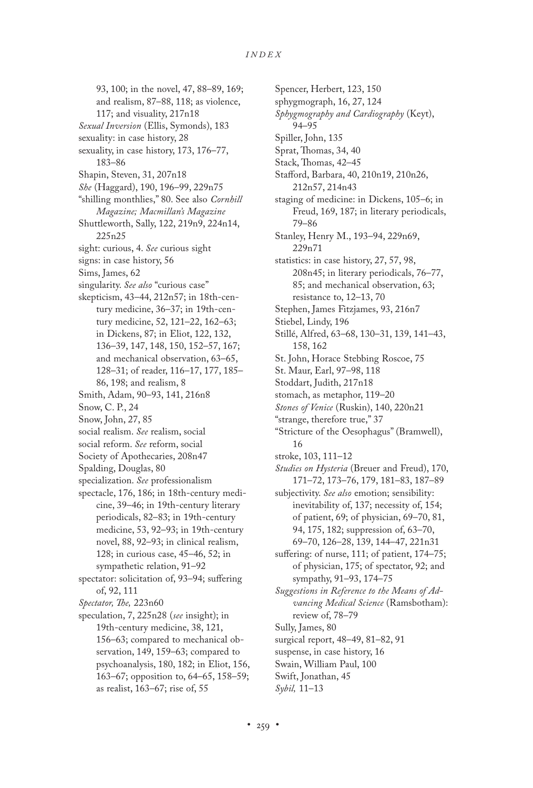Spencer, Herbert, 123, 150

93, 100; in the novel, 47, 88–89, 169; and realism, 87–88, 118; as violence, 117; and visuality, 217n18 *Sexual Inversion* (Ellis, Symonds), 183 sexuality: in case history, 28 sexuality, in case history, 173, 176–77, 183–86 Shapin, Steven, 31, 207n18 *She* (Haggard), 190, 196–99, 229n75 "shilling monthlies," 80. See also *Cornhill Magazine; Macmillan's Magazine* Shuttleworth, Sally, 122, 219n9, 224n14, 225n25 sight: curious, 4. *See* curious sight signs: in case history, 56 Sims, James, 62 singularity. *See also* "curious case" skepticism, 43–44, 212n57; in 18th-century medicine, 36–37; in 19th-century medicine, 52, 121–22, 162–63; in Dickens, 87; in Eliot, 122, 132, 136–39, 147, 148, 150, 152–57, 167; and mechanical observation, 63–65, 128–31; of reader, 116–17, 177, 185– 86, 198; and realism, 8 Smith, Adam, 90–93, 141, 216n8 Snow, C. P., 24 Snow, John, 27, 85 social realism. *See* realism, social social reform. *See* reform, social Society of Apothecaries, 208n47 Spalding, Douglas, 80 specialization. *See* professionalism spectacle, 176, 186; in 18th-century medicine, 39–46; in 19th-century literary periodicals, 82–83; in 19th-century medicine, 53, 92–93; in 19th-century novel, 88, 92–93; in clinical realism, 128; in curious case, 45–46, 52; in sympathetic relation, 91–92 spectator: solicitation of, 93–94; suffering of, 92, 111 *Spectator, The,* 223n60 speculation, 7, 225n28 (*see* insight); in 19th-century medicine, 38, 121, 156–63; compared to mechanical observation, 149, 159–63; compared to psychoanalysis, 180, 182; in Eliot, 156, 163–67; opposition to, 64–65, 158–59; as realist, 163–67; rise of, 55

sphygmograph, 16, 27, 124 *Sphygmography and Cardiography* (Keyt), 94–95 Spiller, John, 135 Sprat, Thomas, 34, 40 Stack, Thomas, 42–45 Stafford, Barbara, 40, 210n19, 210n26, 212n57, 214n43 staging of medicine: in Dickens, 105–6; in Freud, 169, 187; in literary periodicals, 79–86 Stanley, Henry M., 193–94, 229n69, 229n71 statistics: in case history, 27, 57, 98, 208n45; in literary periodicals, 76–77, 85; and mechanical observation, 63; resistance to, 12–13, 70 Stephen, James Fitzjames, 93, 216n7 Stiebel, Lindy, 196 Stillé, Alfred, 63–68, 130–31, 139, 141–43, 158, 162 St. John, Horace Stebbing Roscoe, 75 St. Maur, Earl, 97–98, 118 Stoddart, Judith, 217n18 stomach, as metaphor, 119–20 *Stones of Venice* (Ruskin), 140, 220n21 "strange, therefore true," 37 "Stricture of the Oesophagus" (Bramwell), 16 stroke, 103, 111–12 *Studies on Hysteria* (Breuer and Freud), 170, 171–72, 173–76, 179, 181–83, 187–89 subjectivity. *See also* emotion; sensibility: inevitability of, 137; necessity of, 154; of patient, 69; of physician, 69–70, 81, 94, 175, 182; suppression of, 63–70, 69–70, 126–28, 139, 144–47, 221n31 suffering: of nurse, 111; of patient, 174–75; of physician, 175; of spectator, 92; and sympathy, 91–93, 174–75 *Suggestions in Reference to the Means of Advancing Medical Science* (Ramsbotham): review of, 78–79 Sully, James, 80 surgical report, 48–49, 81–82, 91 suspense, in case history, 16 Swain, William Paul, 100 Swift, Jonathan, 45 *Sybil,* 11–13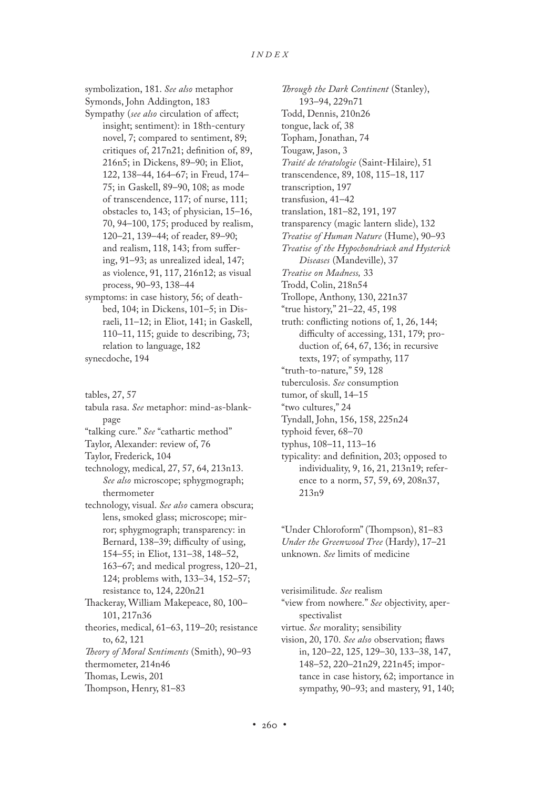symbolization, 181. *See also* metaphor Symonds, John Addington, 183 Sympathy (*see also* circulation of affect; insight; sentiment): in 18th-century novel, 7; compared to sentiment, 89; critiques of, 217n21; definition of, 89, 216n5; in Dickens, 89–90; in Eliot, 122, 138–44, 164–67; in Freud, 174– 75; in Gaskell, 89–90, 108; as mode of transcendence, 117; of nurse, 111; obstacles to, 143; of physician, 15–16, 70, 94–100, 175; produced by realism, 120–21, 139–44; of reader, 89–90; and realism, 118, 143; from suffering, 91–93; as unrealized ideal, 147; as violence, 91, 117, 216n12; as visual process, 90–93, 138–44 symptoms: in case history, 56; of deathbed, 104; in Dickens, 101–5; in Dis-

- raeli, 11–12; in Eliot, 141; in Gaskell, 110–11, 115; guide to describing, 73; relation to language, 182 synecdoche, 194
- tables, 27, 57
- tabula rasa. *See* metaphor: mind-as-blankpage "talking cure." *See* "cathartic method" Taylor, Alexander: review of, 76 Taylor, Frederick, 104 technology, medical, 27, 57, 64, 213n13. *See also* microscope; sphygmograph; thermometer technology, visual. *See also* camera obscura; lens, smoked glass; microscope; mirror; sphygmograph; transparency: in Bernard, 138–39; difficulty of using, 154–55; in Eliot, 131–38, 148–52, 163–67; and medical progress, 120–21, 124; problems with, 133–34, 152–57; resistance to, 124, 220n21 Thackeray, William Makepeace, 80, 100– 101, 217n36 theories, medical, 61–63, 119–20; resistance to, 62, 121 *Theory of Moral Sentiments* (Smith), 90–93 thermometer, 214n46 Thomas, Lewis, 201 Thompson, Henry, 81–83

*Through the Dark Continent* (Stanley), 193–94, 229n71 Todd, Dennis, 210n26 tongue, lack of, 38 Topham, Jonathan, 74 Tougaw, Jason, 3 *Traité de tératologie* (Saint-Hilaire), 51 transcendence, 89, 108, 115–18, 117 transcription, 197 transfusion, 41–42 translation, 181–82, 191, 197 transparency (magic lantern slide), 132 *Treatise of Human Nature* (Hume), 90–93 *Treatise of the Hypochondriack and Hysterick Diseases* (Mandeville), 37 *Treatise on Madness,* 33 Trodd, Colin, 218n54 Trollope, Anthony, 130, 221n37 "true history," 21–22, 45, 198 truth: conflicting notions of, 1, 26, 144; difficulty of accessing, 131, 179; production of, 64, 67, 136; in recursive texts, 197; of sympathy, 117 "truth-to-nature," 59, 128 tuberculosis. *See* consumption tumor, of skull, 14–15 "two cultures," 24 Tyndall, John, 156, 158, 225n24 typhoid fever, 68–70 typhus, 108–11, 113–16 typicality: and definition, 203; opposed to individuality, 9, 16, 21, 213n19; reference to a norm, 57, 59, 69, 208n37, 213n9

"Under Chloroform" (Thompson), 81–83 *Under the Greenwood Tree* (Hardy), 17–21 unknown. *See* limits of medicine

verisimilitude. *See* realism "view from nowhere." *See* objectivity, aperspectivalist virtue. *See* morality; sensibility vision, 20, 170. *See also* observation; flaws in, 120–22, 125, 129–30, 133–38, 147, 148–52, 220–21n29, 221n45; importance in case history, 62; importance in sympathy, 90–93; and mastery, 91, 140;